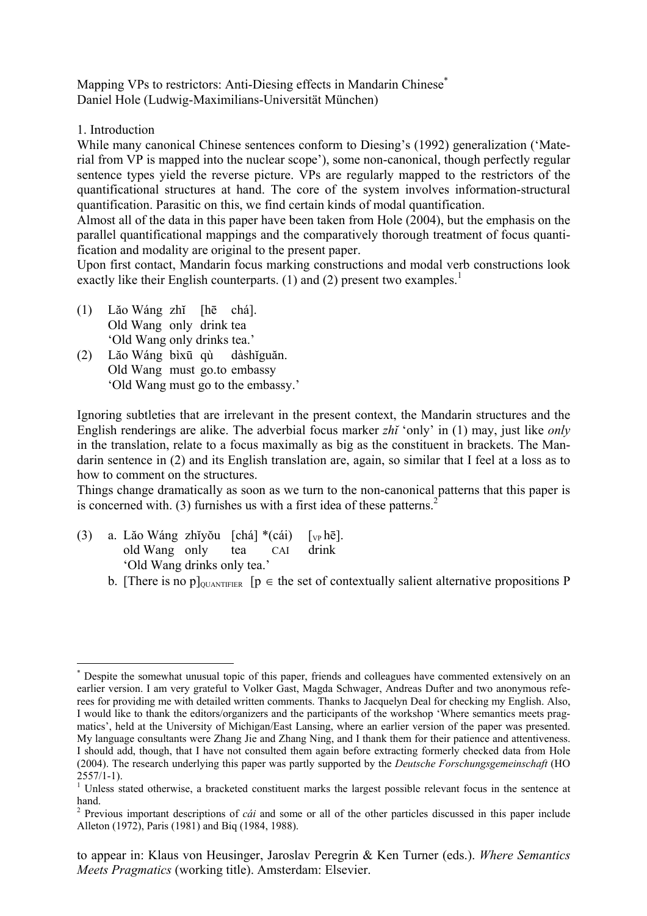Mapping VPs to restrictors: Anti-Diesing effects in Mandarin Chinese<sup>\*</sup> Daniel Hole (Ludwig-Maximilians-Universität München)

1. Introduction

While many canonical Chinese sentences conform to Diesing's (1992) generalization ('Material from VP is mapped into the nuclear scope'), some non-canonical, though perfectly regular sentence types yield the reverse picture. VPs are regularly mapped to the restrictors of the quantificational structures at hand. The core of the system involves information-structural quantification. Parasitic on this, we find certain kinds of modal quantification.

Almost all of the data in this paper have been taken from Hole (2004), but the emphasis on the parallel quantificational mappings and the comparatively thorough treatment of focus quantification and modality are original to the present paper.

Upon first contact, Mandarin focus marking constructions and modal verb constructions look exactly like their English counterparts. [\(1\)](#page-0-0) and [\(2\)](#page-0-1) present two examples.<sup>[1](#page-0-4)</sup>

- <span id="page-0-0"></span>(1) Lăo Wáng zhĭ [hē chá]. Old Wang only drink tea 'Old Wang only drinks tea.'
- <span id="page-0-1"></span>(2) Lăo Wáng bìxū qù dàshĭguăn. Old Wang must go.to embassy 'Old Wang must go to the embassy.'

Ignoring subtleties that are irrelevant in the present context, the Mandarin structures and the English renderings are alike. The adverbial focus marker *zhĭ* 'only' in [\(1\)](#page-0-0) may, just like *only* in the translation, relate to a focus maximally as big as the constituent in brackets. The Mandarin sentence in [\(2\)](#page-0-1) and its English translation are, again, so similar that I feel at a loss as to how to comment on the structures.

Things change dramatically as soon as we turn to the non-canonical patterns that this paper is is concerned with. [\(3\)](#page-0-2) furnishes us with a first idea of these patterns.<sup>2</sup>

- <span id="page-0-2"></span>(3) a. Lão Wáng zhǐyǒu  $[ch\acute{a}] * (c\acute{a}i)$   $[{}_{VP} h\bar{e}]$ . old Wang only tea CAI drink 'Old Wang drinks only tea.'
	- b. [There is no p]<sub>QUANTIFIER</sub> [p  $\in$  the set of contextually salient alternative propositions P

<span id="page-0-3"></span><sup>1</sup> \* Despite the somewhat unusual topic of this paper, friends and colleagues have commented extensively on an earlier version. I am very grateful to Volker Gast, Magda Schwager, Andreas Dufter and two anonymous referees for providing me with detailed written comments. Thanks to Jacquelyn Deal for checking my English. Also, I would like to thank the editors/organizers and the participants of the workshop 'Where semantics meets pragmatics', held at the University of Michigan/East Lansing, where an earlier version of the paper was presented. My language consultants were Zhang Jie and Zhang Ning, and I thank them for their patience and attentiveness. I should add, though, that I have not consulted them again before extracting formerly checked data from Hole (2004). The research underlying this paper was partly supported by the *Deutsche Forschungsgemeinschaft* (HO  $2557/1 - 1$ .

<span id="page-0-4"></span><sup>&</sup>lt;sup>1</sup> Unless stated otherwise, a bracketed constituent marks the largest possible relevant focus in the sentence at hand.

<span id="page-0-5"></span><sup>2</sup> Previous important descriptions of *cái* and some or all of the other particles discussed in this paper include Alleton (1972), Paris (1981) and Biq (1984, 1988).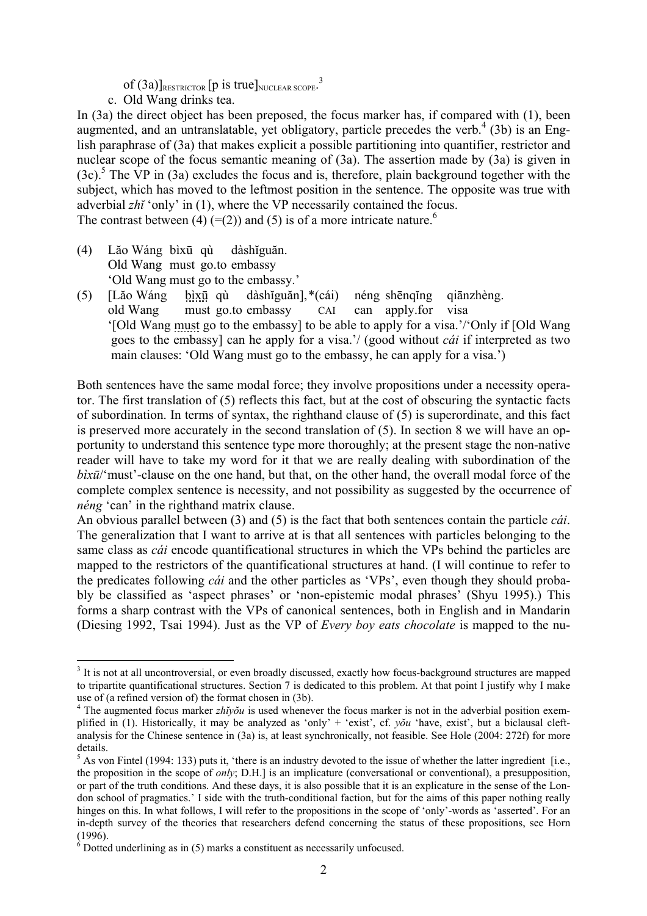of  $(3a)$  $(3a)$  $(3a)$ <sub>RESTRICTOR</sub> [p is true]
NUCLEAR SCOPE.<sup>3</sup>

c. Old Wang drinks tea.

In [\(3a](#page-0-2)) the direct object has been preposed, the focus marker has, if compared with [\(1\)](#page-0-0), been augmented, and an untranslatable, yet obligatory, particle precedes the verb.<sup>[4](#page-1-3)</sup> [\(3b](#page-0-2)) is an English paraphrase of [\(3a](#page-0-2)) that makes explicit a possible partitioning into quantifier, restrictor and nuclear scope of the focus semantic meaning of [\(3a](#page-0-2)). The assertion made by [\(3a](#page-0-2)) is given in  $(3c)$  $(3c)$ .<sup>5</sup> The VP in [\(3a](#page-0-2)) excludes the focus and is, therefore, plain background together with the subject, which has moved to the leftmost position in the sentence. The opposite was true with adverbial *zhĭ* 'only' in [\(1\)](#page-0-0), where the VP necessarily contained the focus. The contrast between [\(4\)](#page-1-0) ([=\(2\)](#page-0-1)) and [\(5\)](#page-1-1) is of a more intricate nature.<sup>[6](#page-1-5)</sup>

- <span id="page-1-0"></span>(4) Lăo Wáng bìxū qù dàshĭguăn. Old Wang must go.to embassy 'Old Wang must go to the embassy.'
- <span id="page-1-1"></span>(5) [Lăo Wáng bìxū qù dàshĭguăn], \*(cái) néng shēnqĭng qiānzhèng. old Wang must go.to embassy CAI can apply.for visa '[Old Wang must go to the embassy] to be able to apply for a visa.'/'Only if [Old Wang goes to the embassy] can he apply for a visa.'/ (good without *cái* if interpreted as two main clauses: 'Old Wang must go to the embassy, he can apply for a visa.')

Both sentences have the same modal force; they involve propositions under a necessity operator. The first translation of [\(5\)](#page-1-1) reflects this fact, but at the cost of obscuring the syntactic facts of subordination. In terms of syntax, the righthand clause of [\(5\)](#page-1-1) is superordinate, and this fact is preserved more accurately in the second translation of [\(5\)](#page-1-1). In section 8 we will have an opportunity to understand this sentence type more thoroughly; at the present stage the non-native reader will have to take my word for it that we are really dealing with subordination of the *bìxū*/'must'-clause on the one hand, but that, on the other hand, the overall modal force of the complete complex sentence is necessity, and not possibility as suggested by the occurrence of *néng* 'can' in the righthand matrix clause.

An obvious parallel between [\(3\)](#page-0-2) and [\(5\)](#page-1-1) is the fact that both sentences contain the particle *cái*. The generalization that I want to arrive at is that all sentences with particles belonging to the same class as *cái* encode quantificational structures in which the VPs behind the particles are mapped to the restrictors of the quantificational structures at hand. (I will continue to refer to the predicates following *cái* and the other particles as 'VPs', even though they should probably be classified as 'aspect phrases' or 'non-epistemic modal phrases' (Shyu 1995).) This forms a sharp contrast with the VPs of canonical sentences, both in English and in Mandarin (Diesing 1992, Tsai 1994). Just as the VP of *Every boy eats chocolate* is mapped to the nu-

<span id="page-1-2"></span><sup>&</sup>lt;sup>3</sup> It is not at all uncontroversial, or even broadly discussed, exactly how focus-background structures are mapped to tripartite quantificational structures. Section 7 is dedicated to this problem. At that point I justify why I make use of (a refined version of) the format chosen in (3b).

<span id="page-1-3"></span><sup>&</sup>lt;sup>4</sup> The augmented focus marker *zhiyou* is used whenever the focus marker is not in the adverbial position exemplified in (1). Historically, it may be analyzed as 'only' + 'exist', cf. *yŏu* 'have, exist', but a biclausal cleftanalysis for the Chinese sentence in (3a) is, at least synchronically, not feasible. See Hole (2004: 272f) for more details.

<span id="page-1-4"></span> $<sup>5</sup>$  As von Fintel (1994: 133) puts it, 'there is an industry devoted to the issue of whether the latter ingredient [i.e.,</sup> the proposition in the scope of *only*; D.H.] is an implicature (conversational or conventional), a presupposition, or part of the truth conditions. And these days, it is also possible that it is an explicature in the sense of the London school of pragmatics.' I side with the truth-conditional faction, but for the aims of this paper nothing really hinges on this. In what follows, I will refer to the propositions in the scope of 'only'-words as 'asserted'. For an in-depth survey of the theories that researchers defend concerning the status of these propositions, see Horn  $(1996)$ .

<span id="page-1-5"></span> $\delta$  Dotted underlining as in (5) marks a constituent as necessarily unfocused.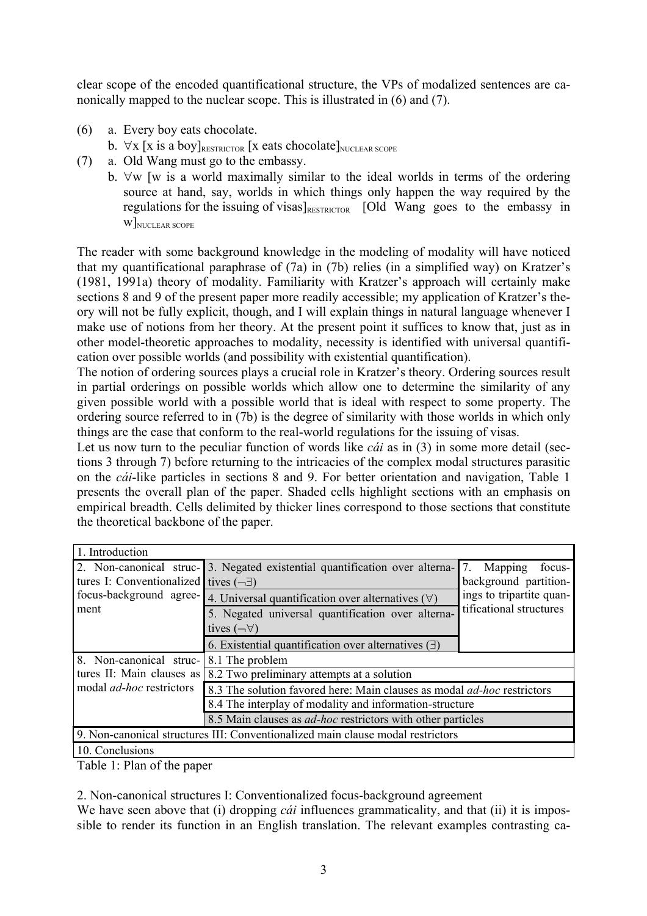clear scope of the encoded quantificational structure, the VPs of modalized sentences are canonically mapped to the nuclear scope. This is illustrated in [\(6\)](#page-2-0) and [\(7\)](#page-2-1).

- <span id="page-2-0"></span>(6) a. Every boy eats chocolate.
	- b.  $\forall$ x [x is a boy]<sub>RESTRICTOR</sub> [x eats chocolate]<sub>NUCLEAR</sub> SCOPE
- <span id="page-2-1"></span>(7) a. Old Wang must go to the embassy.
	- b. ∀w [w is a world maximally similar to the ideal worlds in terms of the ordering source at hand, say, worlds in which things only happen the way required by the regulations for the issuing of visas] $_{RESTRICTOR}$  [Old Wang goes to the embassy in W NUCLEAR SCOPE

The reader with some background knowledge in the modeling of modality will have noticed that my quantificational paraphrase of [\(7a](#page-2-1)) in [\(7b](#page-2-1)) relies (in a simplified way) on Kratzer's (1981, 1991a) theory of modality. Familiarity with Kratzer's approach will certainly make sections 8 and 9 of the present paper more readily accessible; my application of Kratzer's theory will not be fully explicit, though, and I will explain things in natural language whenever I make use of notions from her theory. At the present point it suffices to know that, just as in other model-theoretic approaches to modality, necessity is identified with universal quantification over possible worlds (and possibility with existential quantification).

The notion of ordering sources plays a crucial role in Kratzer's theory. Ordering sources result in partial orderings on possible worlds which allow one to determine the similarity of any given possible world with a possible world that is ideal with respect to some property. The ordering source referred to in [\(7b](#page-2-1)) is the degree of similarity with those worlds in which only things are the case that conform to the real-world regulations for the issuing of visas.

Let us now turn to the peculiar function of words like *cái* as in [\(3\)](#page-0-2) in some more detail (sections 3 through 7) before returning to the intricacies of the complex modal structures parasitic on the *cái*-like particles in sections 8 and 9. For better orientation and navigation, Table 1 presents the overall plan of the paper. Shaded cells highlight sections with an emphasis on empirical breadth. Cells delimited by thicker lines correspond to those sections that constitute the theoretical backbone of the paper.

| 1. Introduction                                                                     |                                                                                                                                                                                                                            |                                                                                                   |  |  |  |
|-------------------------------------------------------------------------------------|----------------------------------------------------------------------------------------------------------------------------------------------------------------------------------------------------------------------------|---------------------------------------------------------------------------------------------------|--|--|--|
| tures I: Conventionalized tives $(\neg \exists)$<br>focus-background agree-<br>ment | 2. Non-canonical struc- 3. Negated existential quantification over alterna- 7.<br>4. Universal quantification over alternatives $(\forall)$<br>5. Negated universal quantification over alterna-<br>tives $(\neg \forall)$ | focus-<br>Mapping<br>background partition-<br>ings to tripartite quan-<br>tificational structures |  |  |  |
|                                                                                     | 6. Existential quantification over alternatives $(\exists)$                                                                                                                                                                |                                                                                                   |  |  |  |
| 8. Non-canonical struc-                                                             | 8.1 The problem                                                                                                                                                                                                            |                                                                                                   |  |  |  |
| tures II: Main clauses as                                                           | 8.2 Two preliminary attempts at a solution                                                                                                                                                                                 |                                                                                                   |  |  |  |
| modal <i>ad-hoc</i> restrictors                                                     | 8.3 The solution favored here: Main clauses as modal <i>ad-hoc</i> restrictors                                                                                                                                             |                                                                                                   |  |  |  |
|                                                                                     | 8.4 The interplay of modality and information-structure                                                                                                                                                                    |                                                                                                   |  |  |  |
|                                                                                     | 8.5 Main clauses as <i>ad-hoc</i> restrictors with other particles                                                                                                                                                         |                                                                                                   |  |  |  |
| 9. Non-canonical structures III: Conventionalized main clause modal restrictors     |                                                                                                                                                                                                                            |                                                                                                   |  |  |  |
| 10. Conclusions                                                                     |                                                                                                                                                                                                                            |                                                                                                   |  |  |  |

Table 1: Plan of the paper

2. Non-canonical structures I: Conventionalized focus-background agreement

We have seen above that (i) dropping *cái* influences grammaticality, and that (ii) it is impossible to render its function in an English translation. The relevant examples contrasting ca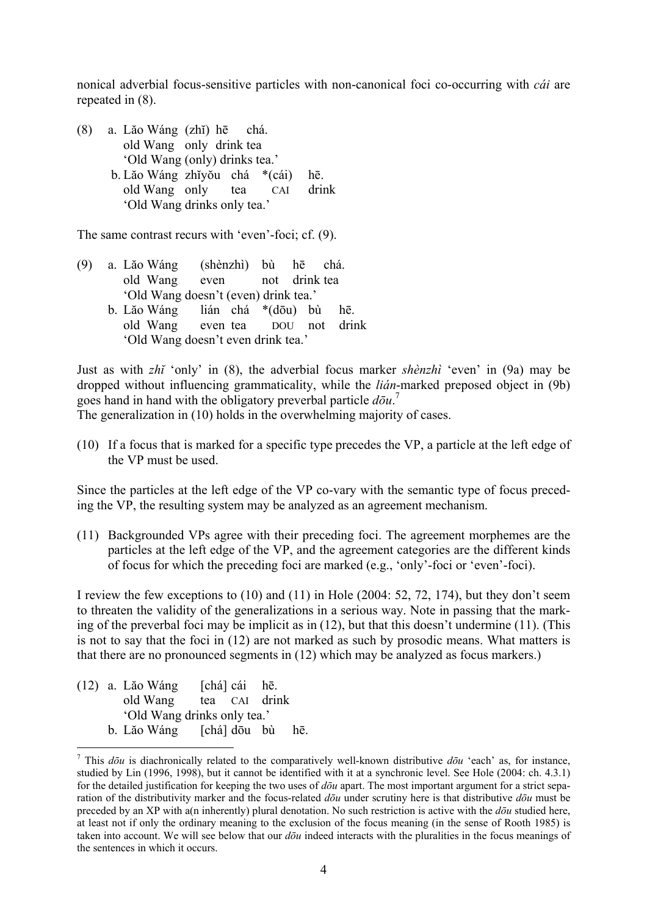nonical adverbial focus-sensitive particles with non-canonical foci co-occurring with *cái* are repeated in [\(8\)](#page-3-0).

<span id="page-3-0"></span>(8) a. Lăo Wáng (zhĭ) hē chá. old Wang only drink tea 'Old Wang (only) drinks tea.' b. Lăo Wáng zhĭyŏu chá \*(cái) hē. old Wang only tea CAI drink 'Old Wang drinks only tea.'

The same contrast recurs with 'even'-foci; cf. [\(9\)](#page-3-1).

<span id="page-3-1"></span>

| (9) | a. Lão Wáng (shènzhì) bù hē chá.     |  |               |     |
|-----|--------------------------------------|--|---------------|-----|
|     | old Wang even                        |  | not drink tea |     |
|     | 'Old Wang doesn't (even) drink tea.' |  |               |     |
|     | b. Lão Wáng lián chá *(dōu) bù       |  |               | hē. |
|     | old Wang even tea DOU not drink      |  |               |     |
|     | 'Old Wang doesn't even drink tea.'   |  |               |     |

Just as with *zhĭ* 'only' in [\(8\)](#page-3-0), the adverbial focus marker *shènzhì* 'even' in [\(9a](#page-3-1)) may be dropped without influencing grammaticality, while the *lián*-marked preposed object in [\(9b](#page-3-1)) goes hand in hand with the obligatory preverbal particle *dōu*. [7](#page-3-5)

<span id="page-3-6"></span>The generalization in [\(10\)](#page-3-2) holds in the overwhelming majority of cases.

<span id="page-3-2"></span>(10) If a focus that is marked for a specific type precedes the VP, a particle at the left edge of the VP must be used.

Since the particles at the left edge of the VP co-vary with the semantic type of focus preceding the VP, the resulting system may be analyzed as an agreement mechanism.

<span id="page-3-3"></span>(11) Backgrounded VPs agree with their preceding foci. The agreement morphemes are the particles at the left edge of the VP, and the agreement categories are the different kinds of focus for which the preceding foci are marked (e.g., 'only'-foci or 'even'-foci).

I review the few exceptions to [\(10\)](#page-3-2) and [\(11\)](#page-3-3) in Hole (2004: 52, 72, 174), but they don't seem to threaten the validity of the generalizations in a serious way. Note in passing that the marking of the preverbal foci may be implicit as in [\(12\)](#page-3-4), but that this doesn't undermine [\(11\)](#page-3-3). (This is not to say that the foci in [\(12\)](#page-3-4) are not marked as such by prosodic means. What matters is that there are no pronounced segments in [\(12\)](#page-3-4) which may be analyzed as focus markers.)

<span id="page-3-4"></span> $(12)$  a. Lão Wáng [chá] cái hē. old Wang tea CAI drink 'Old Wang drinks only tea.' b. Lăo Wáng [chá] dōu bù hē.

1

<span id="page-3-5"></span><sup>&</sup>lt;sup>7</sup> This  $d\bar{\sigma}u$  is diachronically related to the comparatively well-known distributive  $d\bar{\sigma}u$  'each' as, for instance, studied by Lin (1996, 1998), but it cannot be identified with it at a synchronic level. See Hole (2004: ch. 4.3.1) for the detailed justification for keeping the two uses of *dōu* apart. The most important argument for a strict separation of the distributivity marker and the focus-related *dōu* under scrutiny here is that distributive *dōu* must be preceded by an XP with  $a(n)$  inherently) plural denotation. No such restriction is active with the  $d\bar{\sigma}u$  studied here, at least not if only the ordinary meaning to the exclusion of the focus meaning (in the sense of Rooth 1985) is taken into account. We will see below that our *dōu* indeed interacts with the pluralities in the focus meanings of the sentences in which it occurs.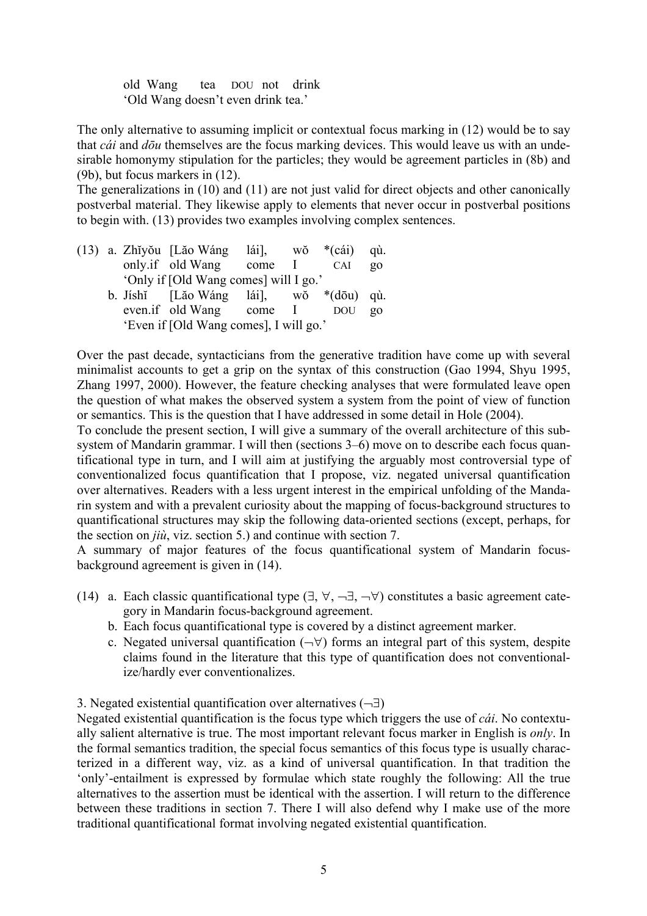old Wang tea DOU not drink 'Old Wang doesn't even drink tea.'

The only alternative to assuming implicit or contextual focus marking in [\(12\)](#page-3-4) would be to say that *cái* and *dōu* themselves are the focus marking devices. This would leave us with an undesirable homonymy stipulation for the particles; they would be agreement particles in [\(8b](#page-3-0)) and [\(9b](#page-3-1)), but focus markers in [\(12\)](#page-3-4).

The generalizations in [\(10\)](#page-3-2) and [\(11\)](#page-3-3) are not just valid for direct objects and other canonically postverbal material. They likewise apply to elements that never occur in postverbal positions to begin with. [\(13\)](#page-4-0) provides two examples involving complex sentences.

<span id="page-4-0"></span>

|  | (13) a. Zhĭyŏu [Lăo Wáng lái], wŏ      |  | $*(c\acute{a}i)$ quentity |    |
|--|----------------------------------------|--|---------------------------|----|
|  | only if old Wang come I                |  | <b>CAI</b>                | 80 |
|  | 'Only if [Old Wang comes] will I go.'  |  |                           |    |
|  | b. Jishĭ [Lăo Wáng lái], wǒ *(dōu) qù. |  |                           |    |
|  | even.if old Wang come I                |  | <b>DOU</b>                | 80 |
|  | 'Even if [Old Wang comes], I will go.' |  |                           |    |

Over the past decade, syntacticians from the generative tradition have come up with several minimalist accounts to get a grip on the syntax of this construction (Gao 1994, Shyu 1995, Zhang 1997, 2000). However, the feature checking analyses that were formulated leave open the question of what makes the observed system a system from the point of view of function or semantics. This is the question that I have addressed in some detail in Hole (2004).

To conclude the present section, I will give a summary of the overall architecture of this subsystem of Mandarin grammar. I will then (sections 3–6) move on to describe each focus quantificational type in turn, and I will aim at justifying the arguably most controversial type of conventionalized focus quantification that I propose, viz. negated universal quantification over alternatives. Readers with a less urgent interest in the empirical unfolding of the Mandarin system and with a prevalent curiosity about the mapping of focus-background structures to quantificational structures may skip the following data-oriented sections (except, perhaps, for the section on *jiù*, viz. section 5.) and continue with section 7.

A summary of major features of the focus quantificational system of Mandarin focusbackground agreement is given in [\(14\)](#page-4-1).

- <span id="page-4-1"></span>(14) a. Each classic quantificational type  $(\exists, \forall, \neg \exists, \neg \forall)$  constitutes a basic agreement cate gory in Mandarin focus-background agreement.
	- b. Each focus quantificational type is covered by a distinct agreement marker.
	- c. Negated universal quantification  $(\neg \forall)$  forms an integral part of this system, despite claims found in the literature that this type of quantification does not conventional ize/hardly ever conventionalizes.

3. Negated existential quantification over alternatives (¬∃)

Negated existential quantification is the focus type which triggers the use of *cái*. No contextually salient alternative is true. The most important relevant focus marker in English is *only*. In the formal semantics tradition, the special focus semantics of this focus type is usually characterized in a different way, viz. as a kind of universal quantification. In that tradition the 'only'-entailment is expressed by formulae which state roughly the following: All the true alternatives to the assertion must be identical with the assertion. I will return to the difference between these traditions in section 7. There I will also defend why I make use of the more traditional quantificational format involving negated existential quantification.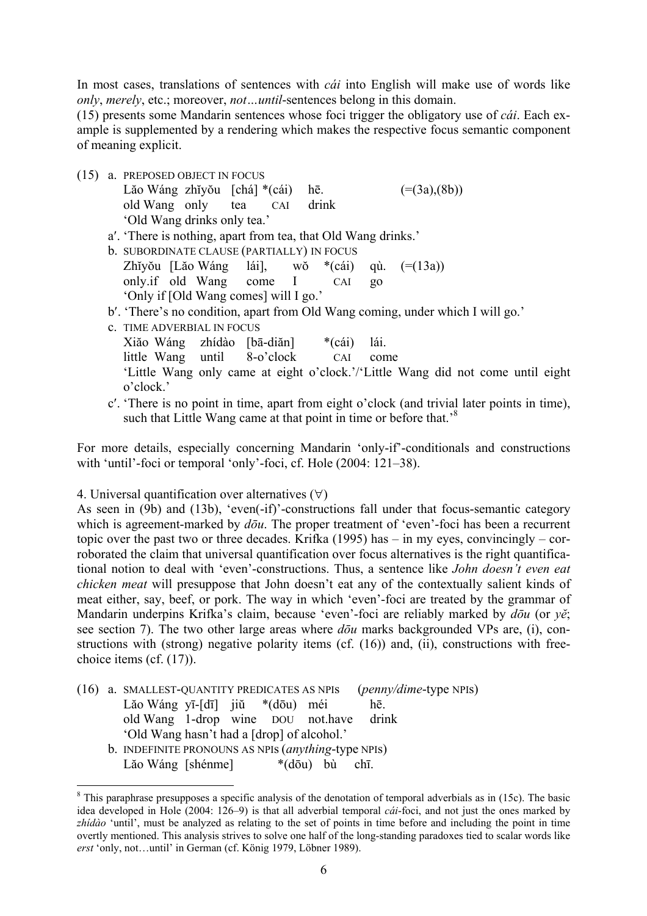In most cases, translations of sentences with *cái* into English will make use of words like *only*, *merely*, etc.; moreover, *not…until*-sentences belong in this domain.

[\(15\)](#page-5-0) presents some Mandarin sentences whose foci trigger the obligatory use of *cái*. Each example is supplemented by a rendering which makes the respective focus semantic component of meaning explicit.

<span id="page-5-0"></span>

| (15) | a. PREPOSED OBJECT IN FOCUS                                   |                  |       |                                                                                 |  |
|------|---------------------------------------------------------------|------------------|-------|---------------------------------------------------------------------------------|--|
|      | Lão Wáng zhǐyǒu [chá] *(cái)                                  | hē.              |       | $(=(3a),(8b))$                                                                  |  |
|      | old Wang only tea CAI                                         | drink            |       |                                                                                 |  |
|      | 'Old Wang drinks only tea.'                                   |                  |       |                                                                                 |  |
|      | a'. 'There is nothing, apart from tea, that Old Wang drinks.' |                  |       |                                                                                 |  |
|      | b. SUBORDINATE CLAUSE (PARTIALLY) IN FOCUS                    |                  |       |                                                                                 |  |
|      | Zhǐyǒu [Lǎo Wáng lái], wǒ $*(cái)$ qù. $(=(13a))$             |                  |       |                                                                                 |  |
|      | only if old Wang come I                                       | CAI              | $g_0$ |                                                                                 |  |
|      | 'Only if [Old Wang comes] will I go.'                         |                  |       |                                                                                 |  |
|      |                                                               |                  |       | b'. 'There's no condition, apart from Old Wang coming, under which I will go.'  |  |
|      | <b>C. TIME ADVERBIAL IN FOCUS</b>                             |                  |       |                                                                                 |  |
|      | Xiăo Wáng zhídào [bā-diăn]                                    | $*(c\acute{a}i)$ | lái.  |                                                                                 |  |
|      | little Wang until 8-o'clock CAI                               |                  | come  |                                                                                 |  |
|      |                                                               |                  |       | 'Little Wang only came at eight o'clock.'/'Little Wang did not come until eight |  |
|      | o'clock.'                                                     |                  |       |                                                                                 |  |
|      |                                                               |                  |       |                                                                                 |  |

c′. 'There is no point in time, apart from eight o'clock (and trivial later points in time), such that Little Wang came at that point in time or before that.<sup>8</sup>

For more details, especially concerning Mandarin 'only-if'-conditionals and constructions with 'until'-foci or temporal 'only'-foci, cf. Hole (2004: 121–38).

4. Universal quantification over alternatives (∀)

1

As seen in [\(9b](#page-3-1)) and [\(13b](#page-4-0)), 'even(-if)'-constructions fall under that focus-semantic category which is agreement-marked by  $d\bar{\sigma}u$ . The proper treatment of 'even'-foci has been a recurrent topic over the past two or three decades. Krifka (1995) has – in my eyes, convincingly – corroborated the claim that universal quantification over focus alternatives is the right quantificational notion to deal with 'even'-constructions. Thus, a sentence like *John doesn't even eat chicken meat* will presuppose that John doesn't eat any of the contextually salient kinds of meat either, say, beef, or pork. The way in which 'even'-foci are treated by the grammar of Mandarin underpins Krifka's claim, because 'even'-foci are reliably marked by *dōu* (or *yĕ*; see section 7). The two other large areas where *dōu* marks backgrounded VPs are, (i), constructions with (strong) negative polarity items (cf. [\(16\)](#page-5-1)) and, (ii), constructions with freechoice items (cf. [\(17\)](#page-6-0)).

<span id="page-5-1"></span>

|  | (16) a. SMALLEST-QUANTITY PREDICATES AS NPIS        |  |                | <i>(penny/dime-type NPIS)</i> |
|--|-----------------------------------------------------|--|----------------|-------------------------------|
|  | Lão Wáng yī-[dī] jiŭ *(dōu) méi                     |  |                | hē.                           |
|  | old Wang 1-drop wine DOU not have drink             |  |                |                               |
|  | 'Old Wang hasn't had a [drop] of alcohol.'          |  |                |                               |
|  | b. INDEFINITE PRONOUNS AS NPIS (anything-type NPIS) |  |                |                               |
|  | Lão Wáng [shénme]                                   |  | *(dōu) bù chī. |                               |

<span id="page-5-2"></span> $8$  This paraphrase presupposes a specific analysis of the denotation of temporal adverbials as in (15c). The basic idea developed in Hole (2004: 126–9) is that all adverbial temporal *cái*-foci, and not just the ones marked by *zhídào* 'until', must be analyzed as relating to the set of points in time before and including the point in time overtly mentioned. This analysis strives to solve one half of the long-standing paradoxes tied to scalar words like *erst* 'only, not…until' in German (cf. König 1979, Löbner 1989).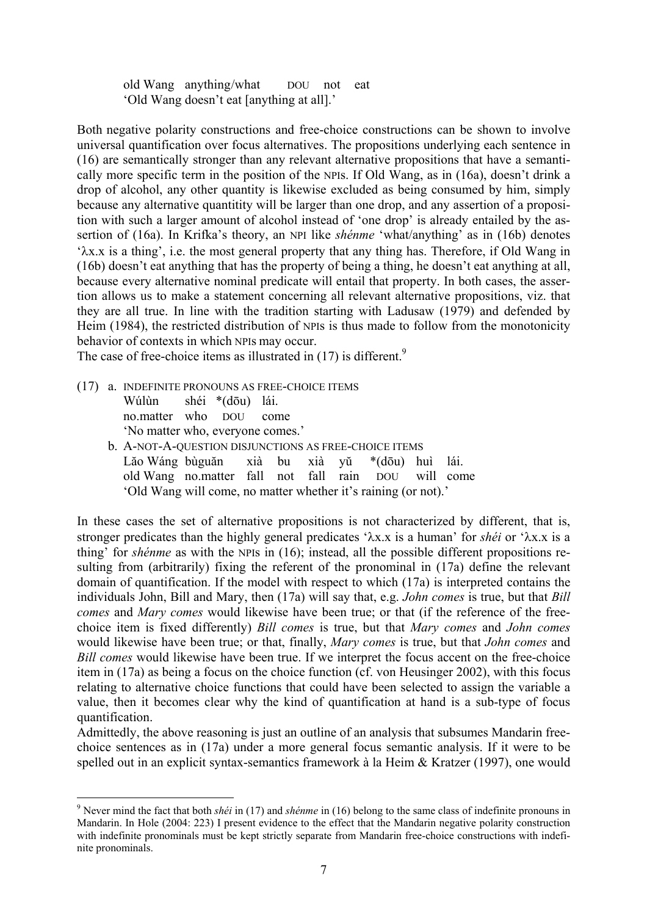old Wang anything/what DOU not eat 'Old Wang doesn't eat [anything at all].'

Both negative polarity constructions and free-choice constructions can be shown to involve universal quantification over focus alternatives. The propositions underlying each sentence in [\(16\)](#page-5-1) are semantically stronger than any relevant alternative propositions that have a semantically more specific term in the position of the NPIs. If Old Wang, as in [\(16a](#page-5-1)), doesn't drink a drop of alcohol, any other quantity is likewise excluded as being consumed by him, simply because any alternative quantitity will be larger than one drop, and any assertion of a proposition with such a larger amount of alcohol instead of 'one drop' is already entailed by the assertion of [\(16a](#page-5-1)). In Krifka's theory, an NPI like *shénme* 'what/anything' as in [\(16b](#page-5-1)) denotes 'λx.x is a thing', i.e. the most general property that any thing has. Therefore, if Old Wang in [\(16b](#page-5-1)) doesn't eat anything that has the property of being a thing, he doesn't eat anything at all, because every alternative nominal predicate will entail that property. In both cases, the assertion allows us to make a statement concerning all relevant alternative propositions, viz. that they are all true. In line with the tradition starting with Ladusaw (1979) and defended by Heim (1984), the restricted distribution of NPIs is thus made to follow from the monotonicity behavior of contexts in which NPIs may occur.

The case of free-choice items as illustrated in [\(17\)](#page-6-0) is different.<sup>[9](#page-6-1)</sup>

- <span id="page-6-0"></span>(17) a. INDEFINITE PRONOUNS AS FREE-CHOICE ITEMS
	- Wúlùn shéi \*(dōu) lái. no.matter who DOU come

'No matter who, everyone comes.'

1

b. A-NOT-A-QUESTION DISJUNCTIONS AS FREE-CHOICE ITEMS Lăo Wáng bùguăn xià bu xià yŭ \*(dōu) huì lái. old Wang no.matter fall not fall rain DOU will come 'Old Wang will come, no matter whether it's raining (or not).'

In these cases the set of alternative propositions is not characterized by different, that is, stronger predicates than the highly general predicates 'λx.x is a human' for *shéi* or 'λx.x is a thing' for *shénme* as with the NPIs in [\(16\)](#page-5-1); instead, all the possible different propositions resulting from (arbitrarily) fixing the referent of the pronominal in [\(17a](#page-6-0)) define the relevant domain of quantification. If the model with respect to which [\(17a](#page-6-0)) is interpreted contains the individuals John, Bill and Mary, then [\(17a](#page-6-0)) will say that, e.g. *John comes* is true, but that *Bill comes* and *Mary comes* would likewise have been true; or that (if the reference of the freechoice item is fixed differently) *Bill comes* is true, but that *Mary comes* and *John comes* would likewise have been true; or that, finally, *Mary comes* is true, but that *John comes* and *Bill comes* would likewise have been true. If we interpret the focus accent on the free-choice item in [\(17a](#page-6-0)) as being a focus on the choice function (cf. von Heusinger 2002), with this focus relating to alternative choice functions that could have been selected to assign the variable a value, then it becomes clear why the kind of quantification at hand is a sub-type of focus quantification.

Admittedly, the above reasoning is just an outline of an analysis that subsumes Mandarin freechoice sentences as in [\(17a](#page-6-0)) under a more general focus semantic analysis. If it were to be spelled out in an explicit syntax-semantics framework à la Heim & Kratzer (1997), one would

<span id="page-6-1"></span><sup>&</sup>lt;sup>9</sup> Never mind the fact that both *shéi* in (17) and *shénme* in (16) belong to the same class of indefinite pronouns in Mandarin. In Hole (2004: 223) I present evidence to the effect that the Mandarin negative polarity construction with indefinite pronominals must be kept strictly separate from Mandarin free-choice constructions with indefinite pronominals.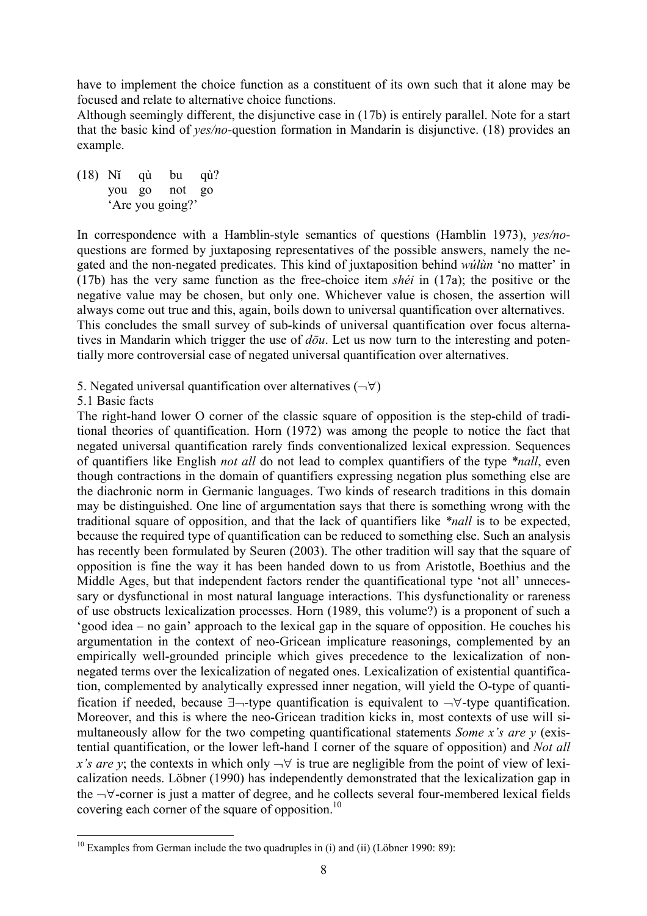<span id="page-7-1"></span>have to implement the choice function as a constituent of its own such that it alone may be focused and relate to alternative choice functions.

Although seemingly different, the disjunctive case in [\(17b](#page-6-0)) is entirely parallel. Note for a start that the basic kind of *yes/no*-question formation in Mandarin is disjunctive. [\(18\)](#page-7-0) provides an example.

<span id="page-7-0"></span>(18) Nĭ qù bu qù? you go not go 'Are you going?'

In correspondence with a Hamblin-style semantics of questions (Hamblin 1973), *yes/no*questions are formed by juxtaposing representatives of the possible answers, namely the negated and the non-negated predicates. This kind of juxtaposition behind *wúlùn* 'no matter' in [\(17b](#page-6-0)) has the very same function as the free-choice item *shéi* in [\(17a](#page-6-0)); the positive or the negative value may be chosen, but only one. Whichever value is chosen, the assertion will always come out true and this, again, boils down to universal quantification over alternatives. This concludes the small survey of sub-kinds of universal quantification over focus alternatives in Mandarin which trigger the use of *dōu*. Let us now turn to the interesting and potentially more controversial case of negated universal quantification over alternatives.

5. Negated universal quantification over alternatives  $(\neg \forall)$ 

### 5.1 Basic facts

1

The right-hand lower O corner of the classic square of opposition is the step-child of traditional theories of quantification. Horn (1972) was among the people to notice the fact that negated universal quantification rarely finds conventionalized lexical expression. Sequences of quantifiers like English *not all* do not lead to complex quantifiers of the type *\*nall*, even though contractions in the domain of quantifiers expressing negation plus something else are the diachronic norm in Germanic languages. Two kinds of research traditions in this domain may be distinguished. One line of argumentation says that there is something wrong with the traditional square of opposition, and that the lack of quantifiers like *\*nall* is to be expected, because the required type of quantification can be reduced to something else. Such an analysis has recently been formulated by Seuren (2003). The other tradition will say that the square of opposition is fine the way it has been handed down to us from Aristotle, Boethius and the Middle Ages, but that independent factors render the quantificational type 'not all' unnecessary or dysfunctional in most natural language interactions. This dysfunctionality or rareness of use obstructs lexicalization processes. Horn (1989, this volume?) is a proponent of such a 'good idea – no gain' approach to the lexical gap in the square of opposition. He couches his argumentation in the context of neo-Gricean implicature reasonings, complemented by an empirically well-grounded principle which gives precedence to the lexicalization of nonnegated terms over the lexicalization of negated ones. Lexicalization of existential quantification, complemented by analytically expressed inner negation, will yield the O-type of quantification if needed, because ∃¬-type quantification is equivalent to ¬∀-type quantification. Moreover, and this is where the neo-Gricean tradition kicks in, most contexts of use will simultaneously allow for the two competing quantificational statements *Some x's are y* (existential quantification, or the lower left-hand I corner of the square of opposition) and *Not all x's are y*; the contexts in which only  $\neg \forall$  is true are negligible from the point of view of lexicalization needs. Löbner (1990) has independently demonstrated that the lexicalization gap in the ¬∀-corner is just a matter of degree, and he collects several four-membered lexical fields covering each corner of the square of opposition.<sup>10</sup>

 $10$  Examples from German include the two quadruples in (i) and (ii) (Löbner 1990: 89):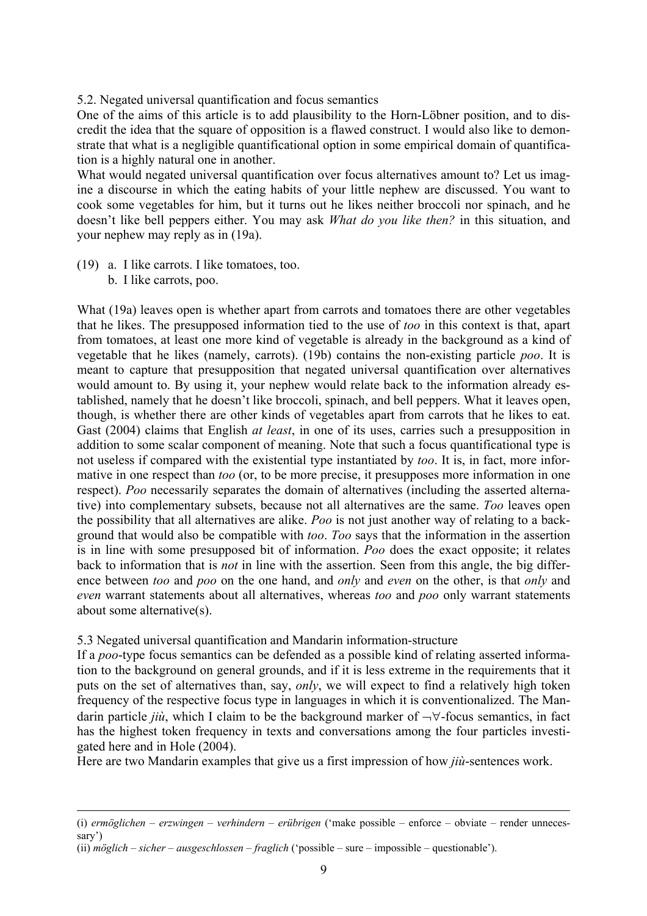5.2. Negated universal quantification and focus semantics

One of the aims of this article is to add plausibility to the Horn-Löbner position, and to discredit the idea that the square of opposition is a flawed construct. I would also like to demonstrate that what is a negligible quantificational option in some empirical domain of quantification is a highly natural one in another.

What would negated universal quantification over focus alternatives amount to? Let us imagine a discourse in which the eating habits of your little nephew are discussed. You want to cook some vegetables for him, but it turns out he likes neither broccoli nor spinach, and he doesn't like bell peppers either. You may ask *What do you like then?* in this situation, and your nephew may reply as in [\(19a](#page-8-0)).

<span id="page-8-0"></span>(19) a. I like carrots. I like tomatoes, too. b. I like carrots, poo.

What [\(19a](#page-8-0)) leaves open is whether apart from carrots and tomatoes there are other vegetables that he likes. The presupposed information tied to the use of *too* in this context is that, apart from tomatoes, at least one more kind of vegetable is already in the background as a kind of vegetable that he likes (namely, carrots). [\(19b](#page-8-0)) contains the non-existing particle *poo*. It is meant to capture that presupposition that negated universal quantification over alternatives would amount to. By using it, your nephew would relate back to the information already established, namely that he doesn't like broccoli, spinach, and bell peppers. What it leaves open, though, is whether there are other kinds of vegetables apart from carrots that he likes to eat. Gast (2004) claims that English *at least*, in one of its uses, carries such a presupposition in addition to some scalar component of meaning. Note that such a focus quantificational type is not useless if compared with the existential type instantiated by *too*. It is, in fact, more informative in one respect than *too* (or, to be more precise, it presupposes more information in one respect). *Poo* necessarily separates the domain of alternatives (including the asserted alternative) into complementary subsets, because not all alternatives are the same. *Too* leaves open the possibility that all alternatives are alike. *Poo* is not just another way of relating to a background that would also be compatible with *too*. *Too* says that the information in the assertion is in line with some presupposed bit of information. *Poo* does the exact opposite; it relates back to information that is *not* in line with the assertion. Seen from this angle, the big difference between *too* and *poo* on the one hand, and *only* and *even* on the other, is that *only* and *even* warrant statements about all alternatives, whereas *too* and *poo* only warrant statements about some alternative(s).

### 5.3 Negated universal quantification and Mandarin information-structure

If a *poo*-type focus semantics can be defended as a possible kind of relating asserted information to the background on general grounds, and if it is less extreme in the requirements that it puts on the set of alternatives than, say, *only*, we will expect to find a relatively high token frequency of the respective focus type in languages in which it is conventionalized. The Mandarin particle *jiù*, which I claim to be the background marker of  $\neg \forall$ -focus semantics, in fact has the highest token frequency in texts and conversations among the four particles investigated here and in Hole (2004).

Here are two Mandarin examples that give us a first impression of how *jiù*-sentences work.

 <sup>(</sup>i) *ermöglichen – erzwingen – verhindern – erübrigen* ('make possible – enforce – obviate – render unnecessary')

<sup>(</sup>ii) *möglich – sicher – ausgeschlossen – fraglich* ('possible – sure – impossible – questionable').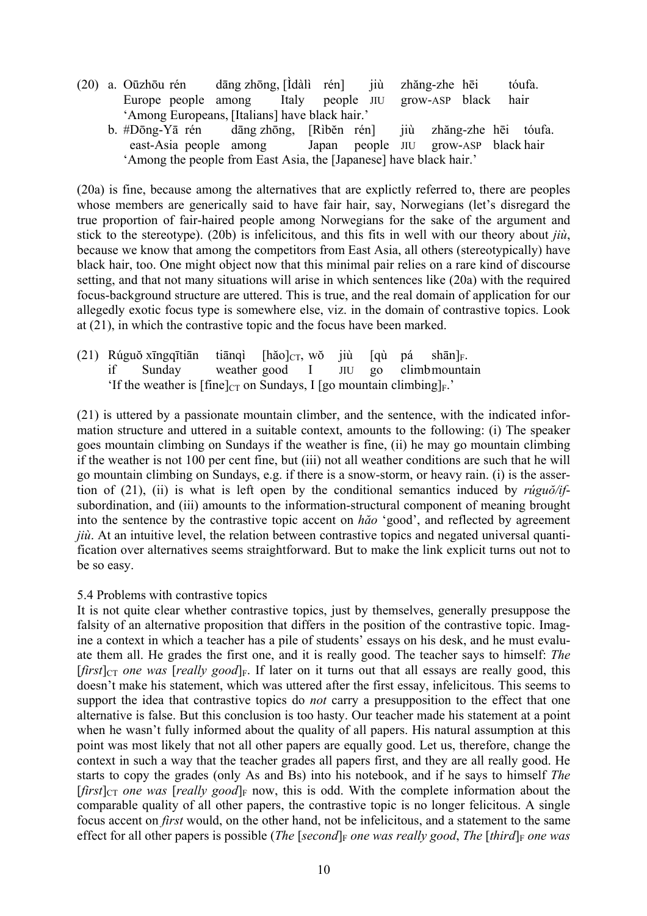- <span id="page-9-0"></span>(20) a. Oūzhōu rén dāng zhōng, [Ìdàlì rén] jiù zhăng-zhe hēi tóufa. Europe people among Italy people JIU grow-ASP black hair 'Among Europeans, [Italians] have black hair.'
	- b. #Dōng-Yā rén dāng zhōng, [Rìbĕn rén] jiù zhăng-zhe hēi tóufa. east-Asia people amongJapan people JIU grow-ASP black hair 'Among the people from East Asia, the [Japanese] have black hair.'

[\(20a](#page-9-0)) is fine, because among the alternatives that are explictly referred to, there are peoples whose members are generically said to have fair hair, say, Norwegians (let's disregard the true proportion of fair-haired people among Norwegians for the sake of the argument and stick to the stereotype). [\(20b](#page-9-0)) is infelicitous, and this fits in well with our theory about *jiù*, because we know that among the competitors from East Asia, all others (stereotypically) have black hair, too. One might object now that this minimal pair relies on a rare kind of discourse setting, and that not many situations will arise in which sentences like [\(20a](#page-9-0)) with the required focus-background structure are uttered. This is true, and the real domain of application for our allegedly exotic focus type is somewhere else, viz. in the domain of contrastive topics. Look at [\(21\)](#page-9-1), in which the contrastive topic and the focus have been marked.

<span id="page-9-1"></span>(21) Rúguŏ xīngqītiān tiānqì [hǎo]<sub>CT</sub>, wǒ jiù [qù pá shān]<sub>F</sub>. if Sunday weather good I JIU go climb mountain 'If the weather is  $[\text{fine}]_{CT}$  on Sundays, I  $[g_0]_{C}$  mountain climbing  $]_F$ .'

[\(21\)](#page-9-1) is uttered by a passionate mountain climber, and the sentence, with the indicated information structure and uttered in a suitable context, amounts to the following: (i) The speaker goes mountain climbing on Sundays if the weather is fine, (ii) he may go mountain climbing if the weather is not 100 per cent fine, but (iii) not all weather conditions are such that he will go mountain climbing on Sundays, e.g. if there is a snow-storm, or heavy rain. (i) is the assertion of [\(21\)](#page-9-1), (ii) is what is left open by the conditional semantics induced by *rúguŏ/if*subordination, and (iii) amounts to the information-structural component of meaning brought into the sentence by the contrastive topic accent on *hăo* 'good', and reflected by agreement *jiù*. At an intuitive level, the relation between contrastive topics and negated universal quantification over alternatives seems straightforward. But to make the link explicit turns out not to be so easy.

### 5.4 Problems with contrastive topics

It is not quite clear whether contrastive topics, just by themselves, generally presuppose the falsity of an alternative proposition that differs in the position of the contrastive topic. Imagine a context in which a teacher has a pile of students' essays on his desk, and he must evaluate them all. He grades the first one, and it is really good. The teacher says to himself: *The*   $[first]_{CT}$  *one was* [*really good*]<sub>F</sub>. If later on it turns out that all essays are really good, this doesn't make his statement, which was uttered after the first essay, infelicitous. This seems to support the idea that contrastive topics do *not* carry a presupposition to the effect that one alternative is false. But this conclusion is too hasty. Our teacher made his statement at a point when he wasn't fully informed about the quality of all papers. His natural assumption at this point was most likely that not all other papers are equally good. Let us, therefore, change the context in such a way that the teacher grades all papers first, and they are all really good. He starts to copy the grades (only As and Bs) into his notebook, and if he says to himself *The*  $[first]_{CT}$  *one was* [*really good*]<sub>F</sub> now, this is odd. With the complete information about the comparable quality of all other papers, the contrastive topic is no longer felicitous. A single focus accent on *first* would, on the other hand, not be infelicitous, and a statement to the same effect for all other papers is possible (*The* [*second*]<sub>F</sub> one was really good, The  $[third]_F$  one was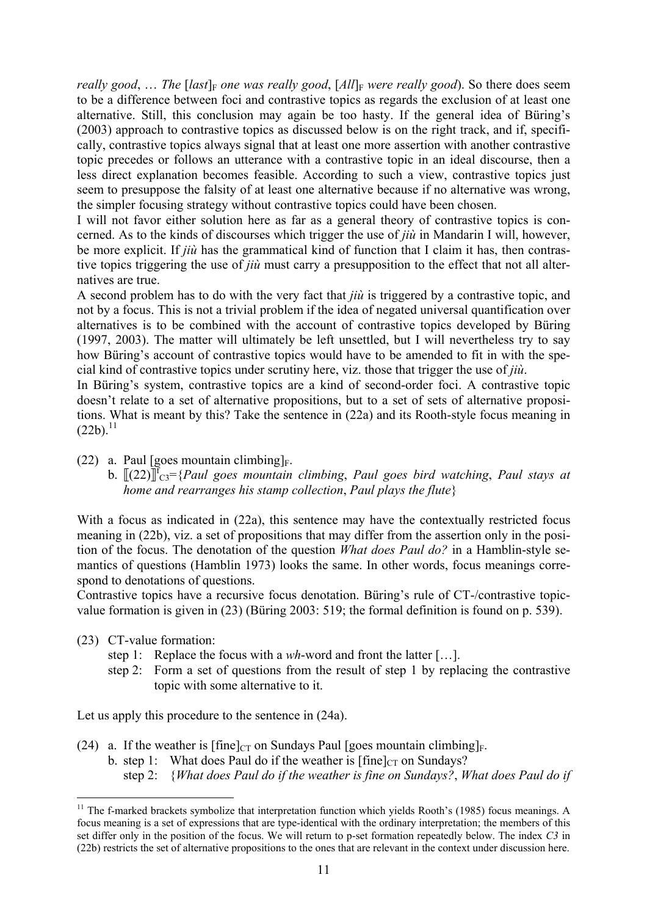*really good, ... The*  $\lceil \text{last} \rceil_F$  *one was really good,*  $\lceil \text{All} \rceil_F$  *were really good*). So there does seem to be a difference between foci and contrastive topics as regards the exclusion of at least one alternative. Still, this conclusion may again be too hasty. If the general idea of Büring's (2003) approach to contrastive topics as discussed below is on the right track, and if, specifically, contrastive topics always signal that at least one more assertion with another contrastive topic precedes or follows an utterance with a contrastive topic in an ideal discourse, then a less direct explanation becomes feasible. According to such a view, contrastive topics just seem to presuppose the falsity of at least one alternative because if no alternative was wrong, the simpler focusing strategy without contrastive topics could have been chosen.

I will not favor either solution here as far as a general theory of contrastive topics is concerned. As to the kinds of discourses which trigger the use of *jiù* in Mandarin I will, however, be more explicit. If *jiù* has the grammatical kind of function that I claim it has, then contrastive topics triggering the use of *jiù* must carry a presupposition to the effect that not all alternatives are true.

A second problem has to do with the very fact that *jiù* is triggered by a contrastive topic, and not by a focus. This is not a trivial problem if the idea of negated universal quantification over alternatives is to be combined with the account of contrastive topics developed by Büring (1997, 2003). The matter will ultimately be left unsettled, but I will nevertheless try to say how Büring's account of contrastive topics would have to be amended to fit in with the special kind of contrastive topics under scrutiny here, viz. those that trigger the use of *jiù*.

In Büring's system, contrastive topics are a kind of second-order foci. A contrastive topic doesn't relate to a set of alternative propositions, but to a set of sets of alternative propositions. What is meant by this? Take the sentence in [\(22a](#page-10-0)) and its Rooth-style focus meaning in  $(22b).<sup>11</sup>$  $(22b).<sup>11</sup>$  $(22b).<sup>11</sup>$  $(22b).<sup>11</sup>$ 

- <span id="page-10-0"></span>(22) a. Paul [goes mountain climbing] $_F$ .
	- b.  $[(22)]^{\text{T}}_{\text{C3}} = {Paul goes mountain climbing, Paul goes bird watching, Paul stays at}$  $[(22)]^{\text{T}}_{\text{C3}} = {Paul goes mountain climbing, Paul goes bird watching, Paul stays at}$  $[(22)]^{\text{T}}_{\text{C3}} = {Paul goes mountain climbing, Paul goes bird watching, Paul stays at}$  *home and rearranges his stamp collection*, *Paul plays the flute*}

With a focus as indicated in [\(22a](#page-10-0)), this sentence may have the contextually restricted focus meaning in [\(22b](#page-10-0)), viz. a set of propositions that may differ from the assertion only in the position of the focus. The denotation of the question *What does Paul do?* in a Hamblin-style semantics of questions (Hamblin 1973) looks the same. In other words, focus meanings correspond to denotations of questions.

Contrastive topics have a recursive focus denotation. Büring's rule of CT-/contrastive topicvalue formation is given in [\(23\)](#page-10-1) (Büring 2003: 519; the formal definition is found on p. 539).

<span id="page-10-1"></span>(23) CT-value formation:

1

- step 1: Replace the focus with a *wh*-word and front the latter […].
- step 2: Form a set of questions from the result of step 1 by replacing the contrastive topic with some alternative to it.

Let us apply this procedure to the sentence in [\(24a](#page-10-2)).

<span id="page-10-2"></span>(24) a. If the weather is  $[\text{fine}]_{CT}$  on Sundays Paul [goes mountain climbing]<sub>F</sub>. b. step 1: What does Paul do if the weather is  $[\text{fine}]_{CT}$  on Sundays? step 2: {*What does Paul do if the weather is fine on Sundays?*, *What does Paul do if* 

<span id="page-10-3"></span> $11$  The f-marked brackets symbolize that interpretation function which yields Rooth's (1985) focus meanings. A focus meaning is a set of expressions that are type-identical with the ordinary interpretation; the members of this set differ only in the position of the focus. We will return to p-set formation repeatedly below. The index *C3* in (22b) restricts the set of alternative propositions to the ones that are relevant in the context under discussion here.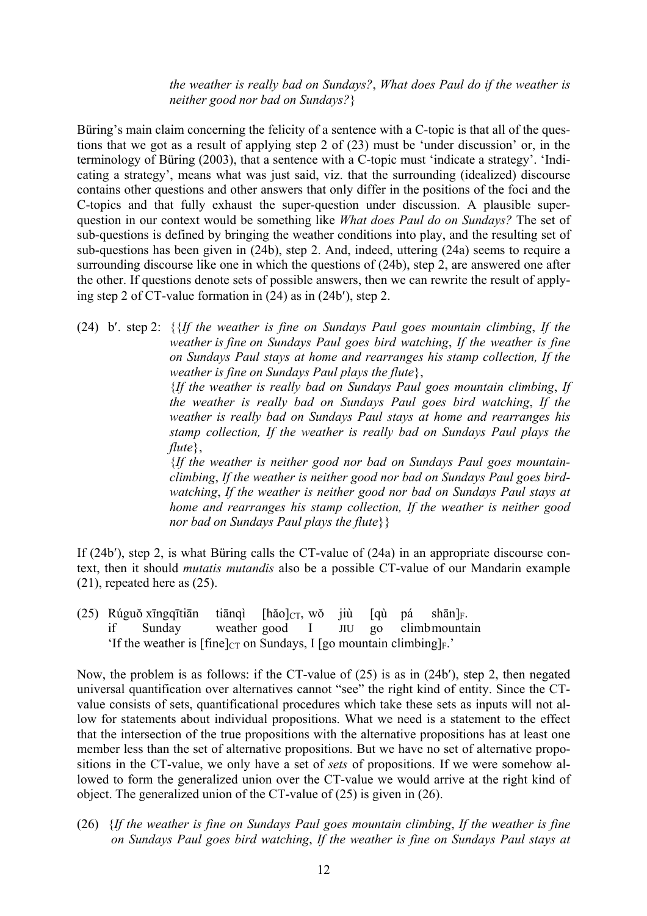*the weather is really bad on Sundays?*, *What does Paul do if the weather is neither good nor bad on Sundays?*}

Büring's main claim concerning the felicity of a sentence with a C-topic is that all of the questions that we got as a result of applying step 2 of [\(23\)](#page-10-1) must be 'under discussion' or, in the terminology of Büring (2003), that a sentence with a C-topic must 'indicate a strategy'. 'Indicating a strategy', means what was just said, viz. that the surrounding (idealized) discourse contains other questions and other answers that only differ in the positions of the foci and the C-topics and that fully exhaust the super-question under discussion. A plausible superquestion in our context would be something like *What does Paul do on Sundays?* The set of sub-questions is defined by bringing the weather conditions into play, and the resulting set of sub-questions has been given in [\(24b](#page-10-2)), step 2. And, indeed, uttering [\(24a](#page-10-2)) seems to require a surrounding discourse like one in which the questions of [\(24b](#page-10-2)), step 2, are answered one after the other. If questions denote sets of possible answers, then we can rewrite the result of applying step 2 of CT-value formation in [\(24\)](#page-10-2) as in [\(24b](#page-10-2)′), step 2.

[\(24\)](#page-10-2) b′. step 2: {{*If the weather is fine on Sundays Paul goes mountain climbing*, *If the weather is fine on Sundays Paul goes bird watching*, *If the weather is fine on Sundays Paul stays at home and rearranges his stamp collection, If the weather is fine on Sundays Paul plays the flute*},

> {*If the weather is really bad on Sundays Paul goes mountain climbing*, *If the weather is really bad on Sundays Paul goes bird watching*, *If the weather is really bad on Sundays Paul stays at home and rearranges his stamp collection, If the weather is really bad on Sundays Paul plays the flute*},

> {*If the weather is neither good nor bad on Sundays Paul goes mountain climbing*, *If the weather is neither good nor bad on Sundays Paul goes bird watching*, *If the weather is neither good nor bad on Sundays Paul stays at home and rearranges his stamp collection, If the weather is neither good nor bad on Sundays Paul plays the flute*}}

If [\(24b](#page-10-2)'), step 2, is what Büring calls the CT-value of [\(24a](#page-10-2)) in an appropriate discourse context, then it should *mutatis mutandis* also be a possible CT-value of our Mandarin example [\(21\)](#page-9-1), repeated here as [\(25\)](#page-11-0).

<span id="page-11-0"></span>(25) Rúguŏ xīngqītiān tiāngì [hǎo] $_{CT}$ , wǒ jiù [qù pá shān] $_{F}$ . if Sunday weather good I JIU go climb mountain 'If the weather is  $[\text{fine}]_{\text{CT}}$  on Sundays, I  $[\text{go mountain climbing}]_F$ .'

Now, the problem is as follows: if the CT-value of [\(25\)](#page-11-0) is as in [\(24b](#page-10-2)′), step 2, then negated universal quantification over alternatives cannot "see" the right kind of entity. Since the CTvalue consists of sets, quantificational procedures which take these sets as inputs will not allow for statements about individual propositions. What we need is a statement to the effect that the intersection of the true propositions with the alternative propositions has at least one member less than the set of alternative propositions. But we have no set of alternative propositions in the CT-value, we only have a set of *sets* of propositions. If we were somehow allowed to form the generalized union over the CT-value we would arrive at the right kind of object. The generalized union of the CT-value of [\(25\)](#page-11-0) is given in [\(26\)](#page-11-1).

<span id="page-11-1"></span>(26) {*If the weather is fine on Sundays Paul goes mountain climbing*, *If the weather is fine on Sundays Paul goes bird watching*, *If the weather is fine on Sundays Paul stays at*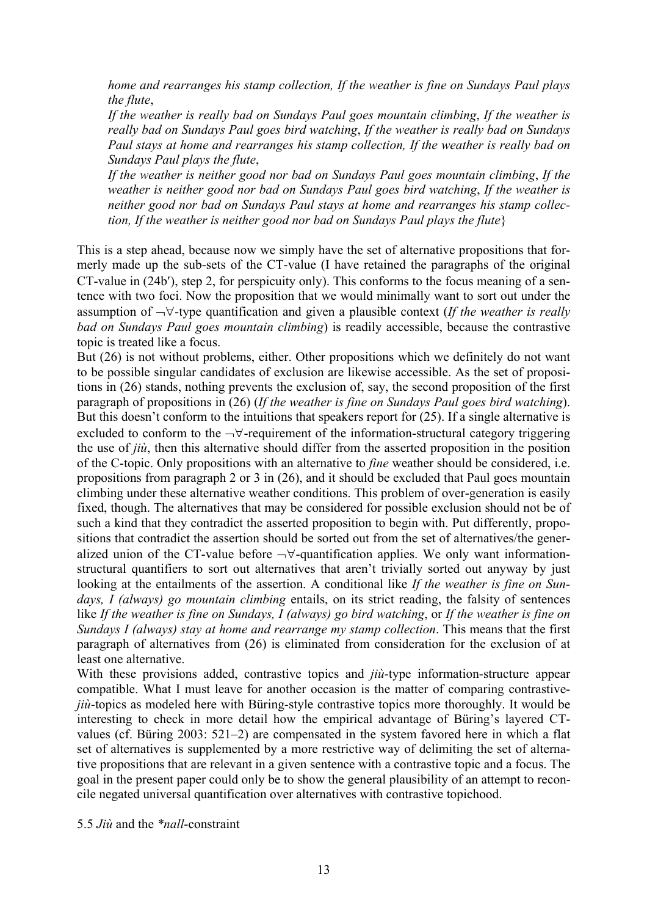*home and rearranges his stamp collection, If the weather is fine on Sundays Paul plays the flute*,

*If the weather is really bad on Sundays Paul goes mountain climbing*, *If the weather is really bad on Sundays Paul goes bird watching*, *If the weather is really bad on Sundays Paul stays at home and rearranges his stamp collection, If the weather is really bad on Sundays Paul plays the flute*,

*If the weather is neither good nor bad on Sundays Paul goes mountain climbing*, *If the weather is neither good nor bad on Sundays Paul goes bird watching*, *If the weather is neither good nor bad on Sundays Paul stays at home and rearranges his stamp collection, If the weather is neither good nor bad on Sundays Paul plays the flute*}

This is a step ahead, because now we simply have the set of alternative propositions that formerly made up the sub-sets of the CT-value (I have retained the paragraphs of the original CT-value in [\(24b](#page-10-2)′), step 2, for perspicuity only). This conforms to the focus meaning of a sentence with two foci. Now the proposition that we would minimally want to sort out under the assumption of ¬∀-type quantification and given a plausible context (*If the weather is really bad on Sundays Paul goes mountain climbing*) is readily accessible, because the contrastive topic is treated like a focus.

But [\(26\)](#page-11-1) is not without problems, either. Other propositions which we definitely do not want to be possible singular candidates of exclusion are likewise accessible. As the set of propositions in [\(26\)](#page-11-1) stands, nothing prevents the exclusion of, say, the second proposition of the first paragraph of propositions in [\(26\)](#page-11-1) (*If the weather is fine on Sundays Paul goes bird watching*). But this doesn't conform to the intuitions that speakers report for [\(25\)](#page-11-0). If a single alternative is excluded to conform to the  $\neg\forall$ -requirement of the information-structural category triggering the use of *jiù*, then this alternative should differ from the asserted proposition in the position of the C-topic. Only propositions with an alternative to *fine* weather should be considered, i.e. propositions from paragraph 2 or 3 in [\(26\)](#page-11-1), and it should be excluded that Paul goes mountain climbing under these alternative weather conditions. This problem of over-generation is easily fixed, though. The alternatives that may be considered for possible exclusion should not be of such a kind that they contradict the asserted proposition to begin with. Put differently, propositions that contradict the assertion should be sorted out from the set of alternatives/the generalized union of the CT-value before  $\neg \forall$ -quantification applies. We only want informationstructural quantifiers to sort out alternatives that aren't trivially sorted out anyway by just looking at the entailments of the assertion. A conditional like *If the weather is fine on Sundays, I (always) go mountain climbing* entails, on its strict reading, the falsity of sentences like *If the weather is fine on Sundays, I (always) go bird watching*, or *If the weather is fine on Sundays I (always) stay at home and rearrange my stamp collection*. This means that the first paragraph of alternatives from [\(26\)](#page-11-1) is eliminated from consideration for the exclusion of at least one alternative.

With these provisions added, contrastive topics and *jiù*-type information-structure appear compatible. What I must leave for another occasion is the matter of comparing contrastive*jiù*-topics as modeled here with Büring-style contrastive topics more thoroughly. It would be interesting to check in more detail how the empirical advantage of Büring's layered CTvalues (cf. Büring 2003: 521–2) are compensated in the system favored here in which a flat set of alternatives is supplemented by a more restrictive way of delimiting the set of alternative propositions that are relevant in a given sentence with a contrastive topic and a focus. The goal in the present paper could only be to show the general plausibility of an attempt to reconcile negated universal quantification over alternatives with contrastive topichood.

5.5 *Jiù* and the *\*nall*-constraint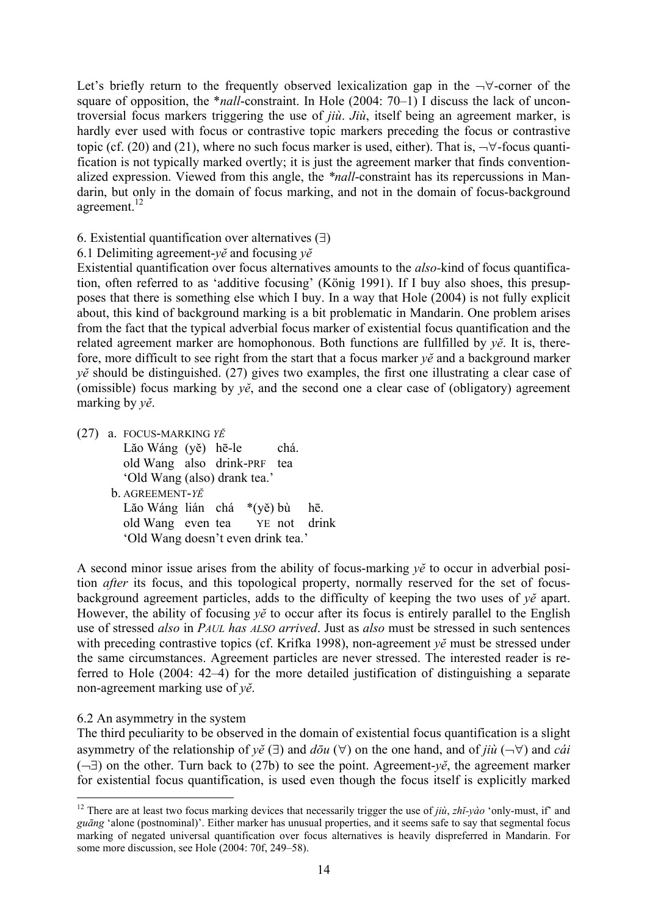Let's briefly return to the frequently observed lexicalization gap in the  $\neg\forall$ -corner of the square of opposition, the \**nall*-constraint. In Hole (2004: 70–1) I discuss the lack of uncontroversial focus markers triggering the use of *jiù*. *Jiù*, itself being an agreement marker, is hardly ever used with focus or contrastive topic markers preceding the focus or contrastive topic (cf. [\(20\)](#page-9-0) and [\(21\)](#page-9-1), where no such focus marker is used, either). That is,  $\neg \forall$ -focus quantification is not typically marked overtly; it is just the agreement marker that finds conventionalized expression. Viewed from this angle, the *\*nall*-constraint has its repercussions in Mandarin, but only in the domain of focus marking, and not in the domain of focus-background agreement.<sup>12</sup>

6. Existential quantification over alternatives (∃)

6.1 Delimiting agreement-*yĕ* and focusing *yĕ*

Existential quantification over focus alternatives amounts to the *also-*kind of focus quantification, often referred to as 'additive focusing' (König 1991). If I buy also shoes, this presupposes that there is something else which I buy. In a way that Hole (2004) is not fully explicit about, this kind of background marking is a bit problematic in Mandarin. One problem arises from the fact that the typical adverbial focus marker of existential focus quantification and the related agreement marker are homophonous. Both functions are fullfilled by *yĕ*. It is, therefore, more difficult to see right from the start that a focus marker *yĕ* and a background marker *yĕ* should be distinguished. [\(27\)](#page-13-0) gives two examples, the first one illustrating a clear case of (omissible) focus marking by *yĕ*, and the second one a clear case of (obligatory) agreement marking by *yĕ*.

<span id="page-13-0"></span>(27) a. FOCUS-MARKING *YĔ*

 Lăo Wáng (yĕ) hē-le chá. old Wang also drink-PRF tea 'Old Wang (also) drank tea.' b. AGREEMENT-*YĔ* Lăo Wáng lián chá \*(yĕ) bù hē. old Wang even tea YE not drink 'Old Wang doesn't even drink tea.'

A second minor issue arises from the ability of focus-marking *yĕ* to occur in adverbial position *after* its focus, and this topological property, normally reserved for the set of focusbackground agreement particles, adds to the difficulty of keeping the two uses of *yĕ* apart. However, the ability of focusing *yĕ* to occur after its focus is entirely parallel to the English use of stressed *also* in *PAUL has ALSO arrived*. Just as *also* must be stressed in such sentences with preceding contrastive topics (cf. Krifka 1998), non-agreement *yĕ* must be stressed under the same circumstances. Agreement particles are never stressed. The interested reader is referred to Hole (2004: 42–4) for the more detailed justification of distinguishing a separate non-agreement marking use of *yĕ*.

# 6.2 An asymmetry in the system

 $\overline{a}$ 

The third peculiarity to be observed in the domain of existential focus quantification is a slight asymmetry of the relationship of  $y \notin (\exists)$  and  $d\bar{\sigma}u$  ( $\forall$ ) on the one hand, and of *jiù* ( $\neg \forall$ ) and *cái* (¬∃) on the other. Turn back to [\(27b](#page-13-0)) to see the point. Agreement-*yĕ*, the agreement marker for existential focus quantification, is used even though the focus itself is explicitly marked

<span id="page-13-1"></span><sup>12</sup> There are at least two focus marking devices that necessarily trigger the use of *jiù*, *zhĭ-yào* 'only-must, if' and *guāng* 'alone (postnominal)'. Either marker has unusual properties, and it seems safe to say that segmental focus marking of negated universal quantification over focus alternatives is heavily dispreferred in Mandarin. For some more discussion, see Hole (2004: 70f, 249–58).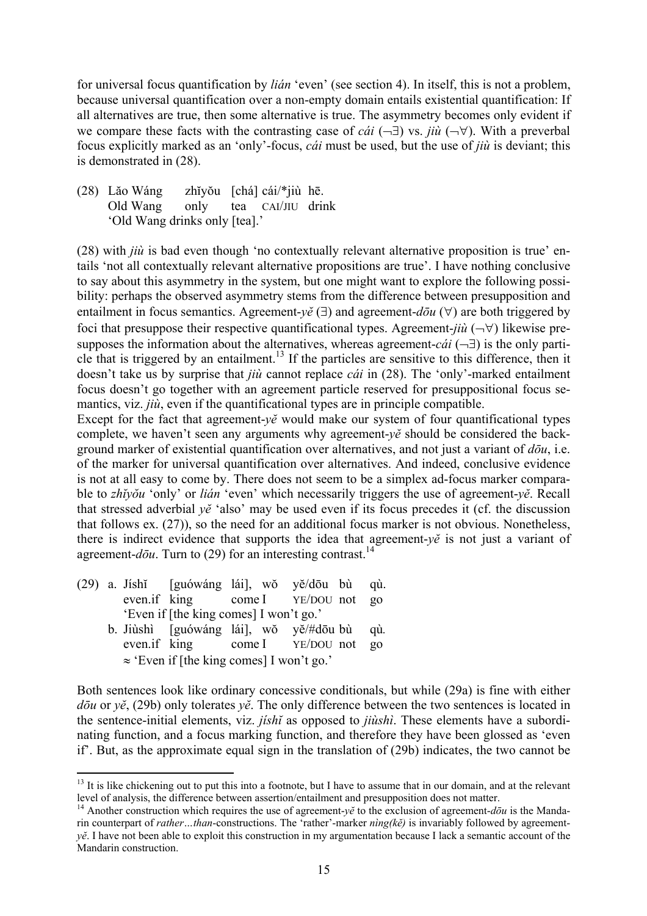for universal focus quantification by *lián* 'even' (see section 4). In itself, this is not a problem, because universal quantification over a non-empty domain entails existential quantification: If all alternatives are true, then some alternative is true. The asymmetry becomes only evident if we compare these facts with the contrasting case of *cái* (¬∃) vs. *jiù* (¬∀). With a preverbal focus explicitly marked as an 'only'-focus, *cái* must be used, but the use of *jiù* is deviant; this is demonstrated in [\(28\)](#page-14-0).

<span id="page-14-0"></span>(28) Lăo Wáng zhĭyŏu [chá] cái/\*jiù hē. Old Wang only tea CAI/JIU drink 'Old Wang drinks only [tea].'

[\(28\)](#page-14-0) with *jiù* is bad even though 'no contextually relevant alternative proposition is true' entails 'not all contextually relevant alternative propositions are true'. I have nothing conclusive to say about this asymmetry in the system, but one might want to explore the following possibility: perhaps the observed asymmetry stems from the difference between presupposition and entailment in focus semantics. Agreement- $y\check{e}$  ( $\exists$ ) and agreement- $d\bar{o}u$  ( $\forall$ ) are both triggered by foci that presuppose their respective quantificational types. Agreement-*jiù* (¬∀) likewise presupposes the information about the alternatives, whereas agreement-*cái* (¬∃) is the only particle that is triggered by an entailment.<sup>13</sup> If the particles are sensitive to this difference, then it doesn't take us by surprise that *jiù* cannot replace *cái* in [\(28\)](#page-14-0). The 'only'-marked entailment focus doesn't go together with an agreement particle reserved for presuppositional focus semantics, viz. *jiù*, even if the quantificational types are in principle compatible.

Except for the fact that agreement-*y*<sup> $\check{e}$ </sup> would make our system of four quantificational types complete, we haven't seen any arguments why agreement-*yĕ* should be considered the background marker of existential quantification over alternatives, and not just a variant of *dōu*, i.e. of the marker for universal quantification over alternatives. And indeed, conclusive evidence is not at all easy to come by. There does not seem to be a simplex ad-focus marker comparable to *zhĭyŏu* 'only' or *lián* 'even' which necessarily triggers the use of agreement-*yĕ*. Recall that stressed adverbial *yĕ* 'also' may be used even if its focus precedes it (cf. the discussion that follows ex. [\(27\)](#page-13-0)), so the need for an additional focus marker is not obvious. Nonetheless, there is indirect evidence that supports the idea that agreement-*yĕ* is not just a variant of agreement- $d\bar{\sigma}$ *u*. Turn to [\(29\)](#page-14-1) for an interesting contrast.<sup>14</sup>

- <span id="page-14-1"></span>(29) a. Jíshĭ [guówáng lái], wŏ yĕ/dōu bù qù. even.if king come I YE/DOU not go 'Even if [the king comes] I won't go.'
	- b. Jiùshì [guówáng lái], wŏ yĕ/#dōu bù qù*.* even.if king come I YE/DOU not go  $\approx$  'Even if [the king comes] I won't go.'

Both sentences look like ordinary concessive conditionals, but while [\(29a](#page-14-1)) is fine with either *dōu* or *yĕ*, [\(29b](#page-14-1)) only tolerates *yĕ*. The only difference between the two sentences is located in the sentence-initial elements, viz. *jíshĭ* as opposed to *jiùshì*. These elements have a subordinating function, and a focus marking function, and therefore they have been glossed as 'even if'. But, as the approximate equal sign in the translation of [\(29b](#page-14-1)) indicates, the two cannot be

<span id="page-14-2"></span> $\overline{a}$ <sup>13</sup> It is like chickening out to put this into a footnote, but I have to assume that in our domain, and at the relevant level of analysis, the difference between assertion/entailment and presupposition does not matter.<br><sup>14</sup> Another construction which requires the use of agreement-*y*e to the exclusion of agreement-*dou* is the Manda-

<span id="page-14-3"></span>rin counterpart of *rather…than*-constructions. The 'rather'-marker *nìng(kĕ)* is invariably followed by agreement*yĕ*. I have not been able to exploit this construction in my argumentation because I lack a semantic account of the Mandarin construction.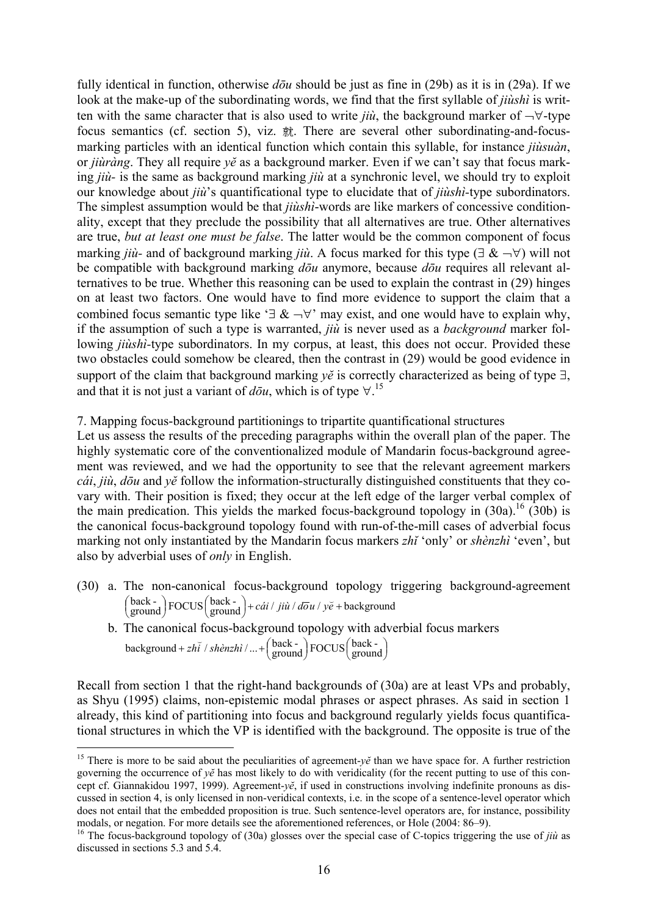fully identical in function, otherwise  $d\bar{\sigma}u$  should be just as fine in [\(29b](#page-14-1)) as it is in [\(29a](#page-14-1)). If we look at the make-up of the subordinating words, we find that the first syllable of *jiùshì* is written with the same character that is also used to write *jiù*, the background marker of ¬∀-type focus semantics (cf. section 5), viz. 就. There are several other subordinating-and-focusmarking particles with an identical function which contain this syllable, for instance *jiùsuàn*, or *jiùràng*. They all require *yĕ* as a background marker. Even if we can't say that focus marking *jiù-* is the same as background marking *jiù* at a synchronic level, we should try to exploit our knowledge about *jiù*'s quantificational type to elucidate that of *jiùshì-*type subordinators. The simplest assumption would be that *jiùshì*-words are like markers of concessive conditionality, except that they preclude the possibility that all alternatives are true. Other alternatives are true, *but at least one must be false*. The latter would be the common component of focus marking *jiù*- and of background marking *jiù*. A focus marked for this type ( $\exists \& \neg \forall$ ) will not be compatible with background marking *dōu* anymore, because *dōu* requires all relevant alternatives to be true. Whether this reasoning can be used to explain the contrast in [\(29\)](#page-14-1) hinges on at least two factors. One would have to find more evidence to support the claim that a combined focus semantic type like ' $\exists \& \neg \forall'$  may exist, and one would have to explain why, if the assumption of such a type is warranted, *jiù* is never used as a *background* marker following *jiùshì-*type subordinators. In my corpus, at least, this does not occur. Provided these two obstacles could somehow be cleared, then the contrast in [\(29\)](#page-14-1) would be good evidence in support of the claim that background marking *yĕ* is correctly characterized as being of type ∃, and that it is not just a variant of  $d\bar{\sigma}u$ , which is of type  $\forall$ .<sup>[15](#page-15-1)</sup>

7. Mapping focus-background partitionings to tripartite quantificational structures

Let us assess the results of the preceding paragraphs within the overall plan of the paper. The highly systematic core of the conventionalized module of Mandarin focus-background agreement was reviewed, and we had the opportunity to see that the relevant agreement markers *cái*, *jiù*, *dōu* and *yĕ* follow the information-structurally distinguished constituents that they covary with. Their position is fixed; they occur at the left edge of the larger verbal complex of the main predication. This yields the marked focus-background topology in  $(30a)$  $(30a)$ .<sup>16</sup> [\(30b](#page-15-0)) is the canonical focus-background topology found with run-of-the-mill cases of adverbial focus marking not only instantiated by the Mandarin focus markers *zhĭ* 'only' or *shènzhì* 'even', but also by adverbial uses of *only* in English.

- <span id="page-15-0"></span>(30) a. The non-canonical focus-background topology triggering background-agreement  $\begin{pmatrix} \text{back} - \\ \text{growth} \end{pmatrix}$ FOCUS $\begin{pmatrix} \text{back} - \\ \text{ground} \end{pmatrix}$ + *cái* / *jiù* / dou / yĕ + background
	- b. The canonical focus-background topology with adverbial focus markers background + *zhǐ / shènzhì* / ... +  $\left(\frac{\text{back} - }{\text{ground}}\right)$  FOCUS $\left(\frac{\text{back} - }{\text{ground}}\right)$

1

Recall from section 1 that the right-hand backgrounds of [\(30a](#page-15-0)) are at least VPs and probably, as Shyu (1995) claims, non-epistemic modal phrases or aspect phrases. As said in section 1 already, this kind of partitioning into focus and background regularly yields focus quantificational structures in which the VP is identified with the background. The opposite is true of the

<span id="page-15-1"></span><sup>&</sup>lt;sup>15</sup> There is more to be said about the peculiarities of agreement- $y\check{e}$  than we have space for. A further restriction governing the occurrence of *yĕ* has most likely to do with veridicality (for the recent putting to use of this concept cf. Giannakidou 1997, 1999). Agreement-*yĕ*, if used in constructions involving indefinite pronouns as discussed in section 4, is only licensed in non-veridical contexts, i.e. in the scope of a sentence-level operator which does not entail that the embedded proposition is true. Such sentence-level operators are, for instance, possibility modals, or negation. For more details see the aforementioned references, or Hole (2004: 86–9). 16 The focus-background topology of (30a) glosses over the special case of C-topics triggering the use of *jiù* as

<span id="page-15-2"></span>discussed in sections 5.3 and 5.4.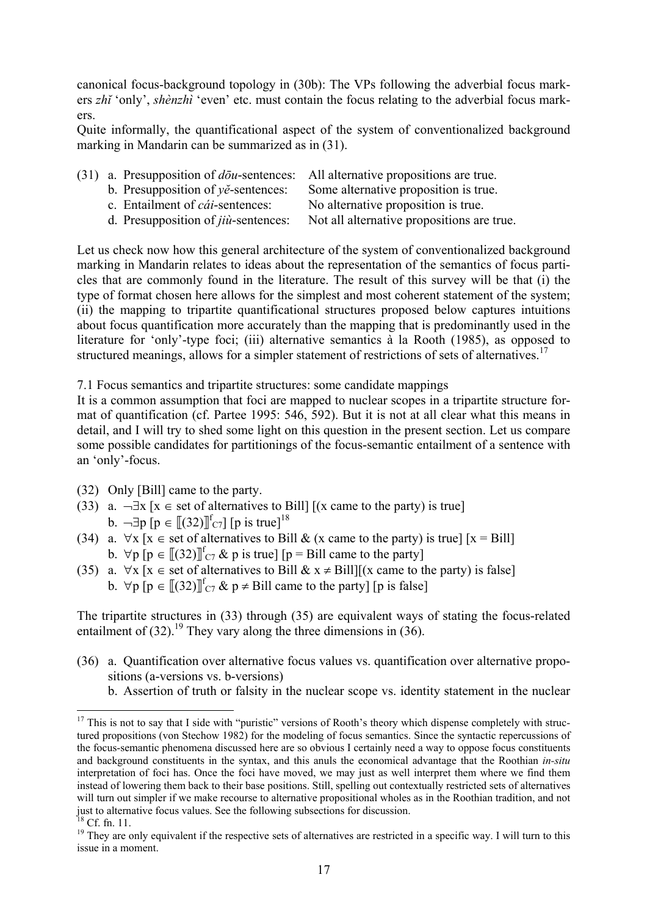canonical focus-background topology in [\(30b](#page-15-0)): The VPs following the adverbial focus markers *zhǐ* 'only', *shènzhì* 'even' etc. must contain the focus relating to the adverbial focus markers.

Quite informally, the quantificational aspect of the system of conventionalized background marking in Mandarin can be summarized as in [\(31\)](#page-16-0).

<span id="page-16-0"></span>

|                                               | (31) a. Presupposition of $d\bar{\sigma}u$ -sentences: All alternative propositions are true. |
|-----------------------------------------------|-----------------------------------------------------------------------------------------------|
| b. Presupposition of $y\check{e}$ -sentences: | Some alternative proposition is true.                                                         |
| c. Entailment of <i>cái</i> -sentences:       | No alternative proposition is true.                                                           |
| d. Presupposition of $ji\dot{u}$ -sentences:  | Not all alternative propositions are true.                                                    |
|                                               |                                                                                               |

Let us check now how this general architecture of the system of conventionalized background marking in Mandarin relates to ideas about the representation of the semantics of focus particles that are commonly found in the literature. The result of this survey will be that (i) the type of format chosen here allows for the simplest and most coherent statement of the system; (ii) the mapping to tripartite quantificational structures proposed below captures intuitions about focus quantification more accurately than the mapping that is predominantly used in the literature for 'only'-type foci; (iii) alternative semantics à la Rooth (1985), as opposed to structured meanings, allows for a simpler statement of restrictions of sets of alternatives.<sup>[17](#page-16-5)</sup>

7.1 Focus semantics and tripartite structures: some candidate mappings

It is a common assumption that foci are mapped to nuclear scopes in a tripartite structure format of quantification (cf. Partee 1995: 546, 592). But it is not at all clear what this means in detail, and I will try to shed some light on this question in the present section. Let us compare some possible candidates for partitionings of the focus-semantic entailment of a sentence with an 'only'-focus.

<span id="page-16-1"></span>(32) Only [Bill] came to the party.

- <span id="page-16-2"></span>(33) a.  $\neg \exists x \ [x \in \text{set of alternatives to Bill } ]$  [(x came to the party) is true] b.  $\neg \exists p [p \in [(32)]^f_{C7}]$  $\neg \exists p [p \in [(32)]^f_{C7}]$  $\neg \exists p [p \in [(32)]^f_{C7}]$  [p is true]<sup>18</sup>
- <span id="page-16-8"></span>(34) a.  $\forall x$  [x  $\in$  set of alternatives to Bill & (x came to the party) is true] [x = Bill] b.  $\forall p$  [ $p \in [(32)]^{\text{f}}_{\text{C7}}$  $p \in [(32)]^{\text{f}}_{\text{C7}}$  $p \in [(32)]^{\text{f}}_{\text{C7}}$  & p is true] [ $p = \text{Bill came to the party}$ ]
- <span id="page-16-3"></span>(35) a.  $\forall x$  [x  $\in$  set of alternatives to Bill &  $x \neq$  Bill][(x came to the party) is false] b.  $\forall p [p \in [(32)]^f_{C7} \& p \neq \text{Bill came to the party}] [p is false]$  $\forall p [p \in [(32)]^f_{C7} \& p \neq \text{Bill came to the party}] [p is false]$  $\forall p [p \in [(32)]^f_{C7} \& p \neq \text{Bill came to the party}] [p is false]$

The tripartite structures in [\(33\)](#page-16-2) through [\(35\)](#page-16-3) are equivalent ways of stating the focus-related entailment of  $(32)$ .<sup>19</sup> They vary along the three dimensions in  $(36)$ .

- <span id="page-16-4"></span>(36) a. Quantification over alternative focus values vs. quantification over alternative propositions (a-versions vs. b-versions)
	- b. Assertion of truth or falsity in the nuclear scope vs. identity statement in the nuclear

<u>.</u>

<span id="page-16-5"></span> $17$  This is not to say that I side with "puristic" versions of Rooth's theory which dispense completely with structured propositions (von Stechow 1982) for the modeling of focus semantics. Since the syntactic repercussions of the focus-semantic phenomena discussed here are so obvious I certainly need a way to oppose focus constituents and background constituents in the syntax, and this anuls the economical advantage that the Roothian *in-situ* interpretation of foci has. Once the foci have moved, we may just as well interpret them where we find them instead of lowering them back to their base positions. Still, spelling out contextually restricted sets of alternatives will turn out simpler if we make recourse to alternative propositional wholes as in the Roothian tradition, and not just to alternative focus values. See the following subsections for discussion.

<span id="page-16-7"></span><span id="page-16-6"></span>

<sup>&</sup>lt;sup>18</sup> Cf. fn. 11.<br><sup>19</sup> They are only equivalent if the respective sets of alternatives are restricted in a specific way. I will turn to this issue in a moment.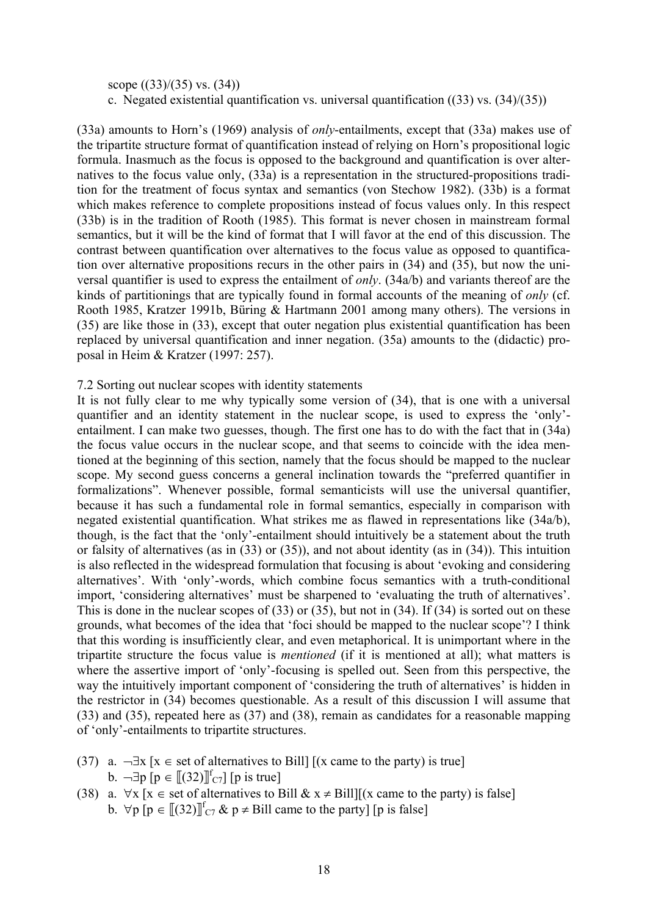scope  $((33)/(35)$  $((33)/(35)$  vs.  $(34)$ ) c. Negated existential quantification vs. universal quantification  $((33)$  $((33)$  vs.  $((34)/(35))$  $((34)/(35))$  $((34)/(35))$ 

[\(33a](#page-16-2)) amounts to Horn's (1969) analysis of *only*-entailments, except that [\(33a](#page-16-2)) makes use of the tripartite structure format of quantification instead of relying on Horn's propositional logic formula. Inasmuch as the focus is opposed to the background and quantification is over alternatives to the focus value only, [\(33a](#page-16-2)) is a representation in the structured-propositions tradition for the treatment of focus syntax and semantics (von Stechow 1982). [\(33b](#page-16-2)) is a format which makes reference to complete propositions instead of focus values only. In this respect [\(33b](#page-16-2)) is in the tradition of Rooth (1985). This format is never chosen in mainstream formal semantics, but it will be the kind of format that I will favor at the end of this discussion. The contrast between quantification over alternatives to the focus value as opposed to quantification over alternative propositions recurs in the other pairs in [\(34\)](#page-16-8) and [\(35\)](#page-16-3), but now the universal quantifier is used to express the entailment of *only*. [\(34a](#page-16-8)/b) and variants thereof are the kinds of partitionings that are typically found in formal accounts of the meaning of *only* (cf. Rooth 1985, Kratzer 1991b, Büring & Hartmann 2001 among many others). The versions in [\(35\)](#page-16-3) are like those in [\(33\)](#page-16-2), except that outer negation plus existential quantification has been replaced by universal quantification and inner negation. [\(35a](#page-16-3)) amounts to the (didactic) proposal in Heim & Kratzer (1997: 257).

#### 7.2 Sorting out nuclear scopes with identity statements

It is not fully clear to me why typically some version of [\(34\)](#page-16-8), that is one with a universal quantifier and an identity statement in the nuclear scope, is used to express the 'only' entailment. I can make two guesses, though. The first one has to do with the fact that in [\(34a](#page-16-8)) the focus value occurs in the nuclear scope, and that seems to coincide with the idea mentioned at the beginning of this section, namely that the focus should be mapped to the nuclear scope. My second guess concerns a general inclination towards the "preferred quantifier in formalizations". Whenever possible, formal semanticists will use the universal quantifier, because it has such a fundamental role in formal semantics, especially in comparison with negated existential quantification. What strikes me as flawed in representations like [\(34a](#page-16-8)/b), though, is the fact that the 'only'-entailment should intuitively be a statement about the truth or falsity of alternatives (as in [\(33\)](#page-16-2) or [\(35\)](#page-16-3)), and not about identity (as in [\(34\)](#page-16-8)). This intuition is also reflected in the widespread formulation that focusing is about 'evoking and considering alternatives'. With 'only'-words, which combine focus semantics with a truth-conditional import, 'considering alternatives' must be sharpened to 'evaluating the truth of alternatives'. This is done in the nuclear scopes of [\(33\)](#page-16-2) or [\(35\)](#page-16-3), but not in [\(34\)](#page-16-8). If [\(34\)](#page-16-8) is sorted out on these grounds, what becomes of the idea that 'foci should be mapped to the nuclear scope'? I think that this wording is insufficiently clear, and even metaphorical. It is unimportant where in the tripartite structure the focus value is *mentioned* (if it is mentioned at all); what matters is where the assertive import of 'only'-focusing is spelled out. Seen from this perspective, the way the intuitively important component of 'considering the truth of alternatives' is hidden in the restrictor in [\(34\)](#page-16-8) becomes questionable. As a result of this discussion I will assume that [\(33\)](#page-16-2) and [\(35\)](#page-16-3), repeated here as [\(37\)](#page-17-0) and [\(38\)](#page-17-1), remain as candidates for a reasonable mapping of 'only'-entailments to tripartite structures.

- <span id="page-17-0"></span>(37) a.  $\neg \exists x \, [x \in \text{set of alternatives to Bill}]$  [(x came to the party) is true]
	- b.  $\neg \exists p [p \in [(32)]^f_{C7}]$  $\neg \exists p [p \in [(32)]^f_{C7}]$  $\neg \exists p [p \in [(32)]^f_{C7}]$  [p is true]
- <span id="page-17-1"></span>(38) a.  $\forall x$  [x  $\in$  set of alternatives to Bill &  $x \neq$  Bill][(x came to the party) is false] b.  $\forall p [p \in [(32)]^f_{C7} \& p \neq \text{Bill came to the party}] [p is false]$  $\forall p [p \in [(32)]^f_{C7} \& p \neq \text{Bill came to the party}] [p is false]$  $\forall p [p \in [(32)]^f_{C7} \& p \neq \text{Bill came to the party}] [p is false]$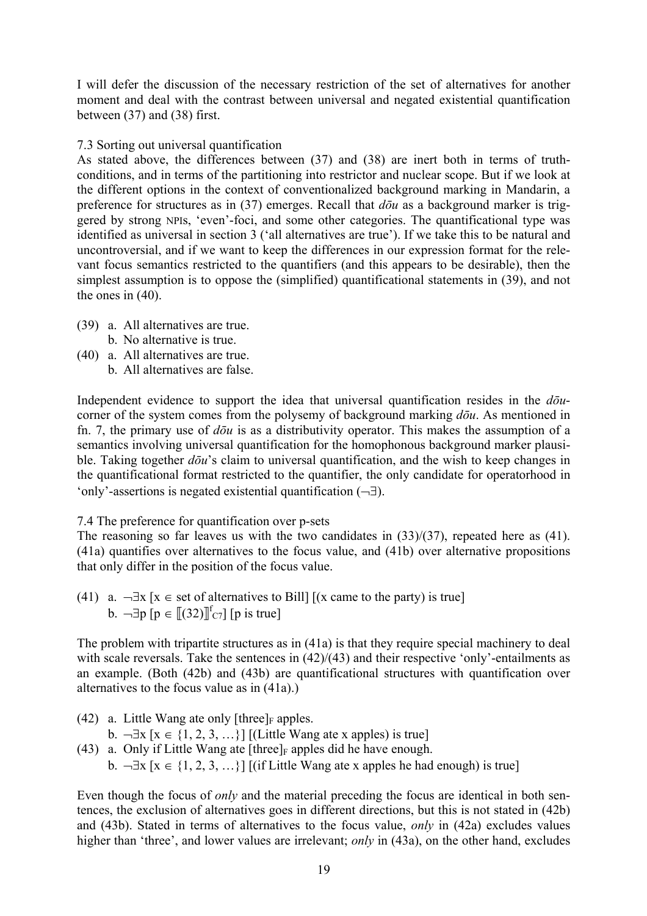I will defer the discussion of the necessary restriction of the set of alternatives for another moment and deal with the contrast between universal and negated existential quantification between [\(37\)](#page-17-0) and [\(38\)](#page-17-1) first.

### 7.3 Sorting out universal quantification

As stated above, the differences between [\(37\)](#page-17-0) and [\(38\)](#page-17-1) are inert both in terms of truthconditions, and in terms of the partitioning into restrictor and nuclear scope. But if we look at the different options in the context of conventionalized background marking in Mandarin, a preference for structures as in [\(37\)](#page-17-0) emerges. Recall that  $d\bar{\sigma}u$  as a background marker is triggered by strong NPIs, 'even'-foci, and some other categories. The quantificational type was identified as universal in section 3 ('all alternatives are true'). If we take this to be natural and uncontroversial, and if we want to keep the differences in our expression format for the relevant focus semantics restricted to the quantifiers (and this appears to be desirable), then the simplest assumption is to oppose the (simplified) quantificational statements in [\(39\)](#page-18-0), and not the ones in [\(40\)](#page-18-1).

- <span id="page-18-0"></span>(39) a. All alternatives are true. b. No alternative is true.
- <span id="page-18-1"></span>(40) a. All alternatives are true. b. All alternatives are false.

Independent evidence to support the idea that universal quantification resides in the *dōu*corner of the system comes from the polysemy of background marking *dōu*. As mentioned in fn. [7,](#page-3-6) the primary use of *dōu* is as a distributivity operator. This makes the assumption of a semantics involving universal quantification for the homophonous background marker plausible. Taking together *dōu*'s claim to universal quantification, and the wish to keep changes in the quantificational format restricted to the quantifier, the only candidate for operatorhood in 'only'-assertions is negated existential quantification (¬∃).

# 7.4 The preference for quantification over p-sets

The reasoning so far leaves us with the two candidates in  $(33)/(37)$  $(33)/(37)$ , repeated here as [\(41\)](#page-18-2). [\(41a](#page-18-2)) quantifies over alternatives to the focus value, and [\(41b](#page-18-2)) over alternative propositions that only differ in the position of the focus value.

<span id="page-18-2"></span>(41) a.  $\neg \exists x \ [x \in \text{set of alternatives to Bill}](x \text{ came to the party}) \text{ is true}]$ b.  $\neg \exists p [p \in [(32)]^f_{C7}]$  $\neg \exists p [p \in [(32)]^f_{C7}]$  $\neg \exists p [p \in [(32)]^f_{C7}]$  [p is true]

The problem with tripartite structures as in [\(41a](#page-18-2)) is that they require special machinery to deal with scale reversals. Take the sentences in  $(42)/(43)$  $(42)/(43)$  and their respective 'only'-entailments as an example. (Both [\(42b](#page-18-3)) and [\(43b](#page-18-4)) are quantificational structures with quantification over alternatives to the focus value as in [\(41a](#page-18-2)).)

- <span id="page-18-3"></span>(42) a. Little Wang ate only [three] $_F$  apples.
	- b.  $\neg \exists x \ [x \in \{1, 2, 3, \ldots\}]$  [(Little Wang ate x apples) is true]
- <span id="page-18-4"></span>(43) a. Only if Little Wang ate  $[three]_F$  apples did he have enough.
	- b.  $\neg \exists x \ [x \in \{1, 2, 3, \ldots\}]$  [(if Little Wang ate x apples he had enough) is true]

Even though the focus of *only* and the material preceding the focus are identical in both sentences, the exclusion of alternatives goes in different directions, but this is not stated in [\(42b](#page-18-3)) and [\(43b](#page-18-4)). Stated in terms of alternatives to the focus value, *only* in [\(42a](#page-18-3)) excludes values higher than 'three', and lower values are irrelevant; *only* in [\(43a](#page-18-4)), on the other hand, excludes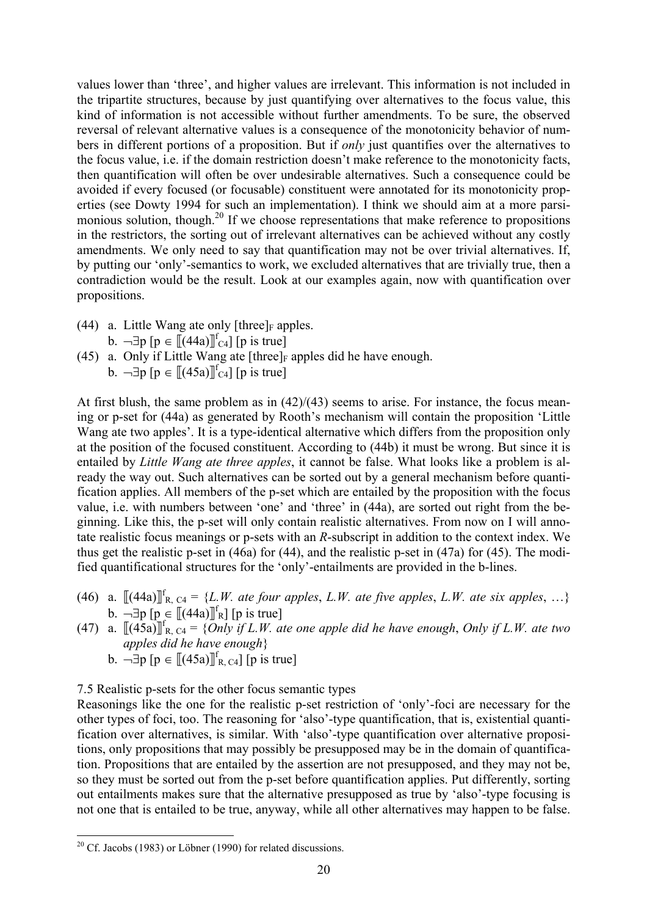values lower than 'three', and higher values are irrelevant. This information is not included in the tripartite structures, because by just quantifying over alternatives to the focus value, this kind of information is not accessible without further amendments. To be sure, the observed reversal of relevant alternative values is a consequence of the monotonicity behavior of numbers in different portions of a proposition. But if *only* just quantifies over the alternatives to the focus value, i.e. if the domain restriction doesn't make reference to the monotonicity facts, then quantification will often be over undesirable alternatives. Such a consequence could be avoided if every focused (or focusable) constituent were annotated for its monotonicity properties (see Dowty 1994 for such an implementation). I think we should aim at a more parsimonious solution, though.<sup>20</sup> If we choose representations that make reference to propositions in the restrictors, the sorting out of irrelevant alternatives can be achieved without any costly amendments. We only need to say that quantification may not be over trivial alternatives. If, by putting our 'only'-semantics to work, we excluded alternatives that are trivially true, then a contradiction would be the result. Look at our examples again, now with quantification over propositions.

- <span id="page-19-0"></span>(44) a. Little Wang ate only [three] $_F$  apples. b.  $\neg \exists p [p \in [(44a)]^f_{c4}]$  $\neg \exists p [p \in [(44a)]^f_{c4}]$  $\neg \exists p [p \in [(44a)]^f_{c4}]$  [p is true]
- <span id="page-19-1"></span>(45) a. Only if Little Wang ate [three] $_F$  apples did he have enough. b.  $\neg \exists p [p \in [(45a)]^f_{c4}]$  $\neg \exists p [p \in [(45a)]^f_{c4}]$  $\neg \exists p [p \in [(45a)]^f_{c4}]$  [p is true]

At first blush, the same problem as in  $(42)/(43)$  $(42)/(43)$  seems to arise. For instance, the focus meaning or p-set for [\(44a](#page-19-0)) as generated by Rooth's mechanism will contain the proposition 'Little Wang ate two apples'. It is a type-identical alternative which differs from the proposition only at the position of the focused constituent. According to [\(44b](#page-19-0)) it must be wrong. But since it is entailed by *Little Wang ate three apples*, it cannot be false. What looks like a problem is already the way out. Such alternatives can be sorted out by a general mechanism before quantification applies. All members of the p-set which are entailed by the proposition with the focus value, i.e. with numbers between 'one' and 'three' in [\(44a](#page-19-0)), are sorted out right from the beginning. Like this, the p-set will only contain realistic alternatives. From now on I will annotate realistic focus meanings or p-sets with an *R*-subscript in addition to the context index. We thus get the realistic p-set in [\(46a](#page-19-2)) for [\(44\)](#page-19-0), and the realistic p-set in [\(47a](#page-19-3)) for [\(45\)](#page-19-1). The modified quantificational structures for the 'only'-entailments are provided in the b-lines.

- <span id="page-19-2"></span>(46) a.  $[[(44a)]^{\text{f}}_{R,\text{C4}} = \{L.W.\text{ ate four apples}, L.W.\text{ ate five apples}, L.W.\text{ ate six apples}, ...\}$  $[[(44a)]^{\text{f}}_{R,\text{C4}} = \{L.W.\text{ ate four apples}, L.W.\text{ ate five apples}, L.W.\text{ ate six apples}, ...\}$  $[[(44a)]^{\text{f}}_{R,\text{C4}} = \{L.W.\text{ ate four apples}, L.W.\text{ ate five apples}, L.W.\text{ ate six apples}, ...\}$ b.  $\neg \exists p [p \in [(44a)]^f$  $\neg \exists p [p \in [(44a)]^f$  $\neg \exists p [p \in [(44a)]^f$ <sub>R</sub>] [p is true]
- <span id="page-19-3"></span>(47) a.  $[(45a)]^{f}$  $[(45a)]^{f}$  $[(45a)]^{f}$ <sub>R, C4</sub> = {*Only if L.W. ate one apple did he have enough, Only if L.W. ate two apples did he have enough*} b.  $\neg \exists p [p \in [(45a)]^f_{R, C4}]$  $\neg \exists p [p \in [(45a)]^f_{R, C4}]$  $\neg \exists p [p \in [(45a)]^f_{R, C4}]$  [p is true]

7.5 Realistic p-sets for the other focus semantic types

Reasonings like the one for the realistic p-set restriction of 'only'-foci are necessary for the other types of foci, too. The reasoning for 'also'-type quantification, that is, existential quantification over alternatives, is similar. With 'also'-type quantification over alternative propositions, only propositions that may possibly be presupposed may be in the domain of quantification. Propositions that are entailed by the assertion are not presupposed, and they may not be, so they must be sorted out from the p-set before quantification applies. Put differently, sorting out entailments makes sure that the alternative presupposed as true by 'also'-type focusing is not one that is entailed to be true, anyway, while all other alternatives may happen to be false.

1

<span id="page-19-4"></span><sup>&</sup>lt;sup>20</sup> Cf. Jacobs (1983) or Löbner (1990) for related discussions.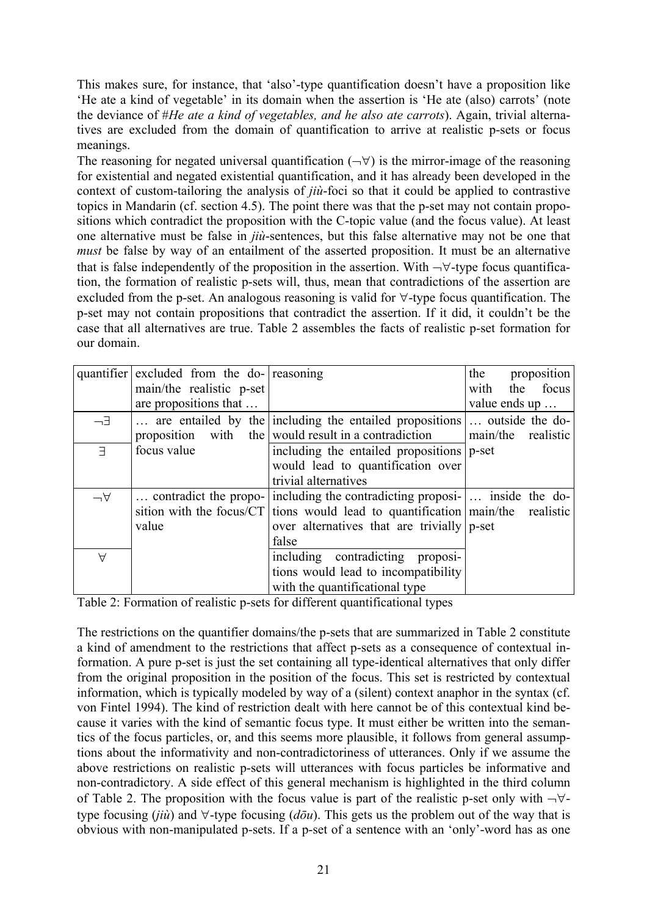This makes sure, for instance, that 'also'-type quantification doesn't have a proposition like 'He ate a kind of vegetable' in its domain when the assertion is 'He ate (also) carrots' (note the deviance of #*He ate a kind of vegetables, and he also ate carrots*). Again, trivial alternatives are excluded from the domain of quantification to arrive at realistic p-sets or focus meanings.

The reasoning for negated universal quantification  $(\neg \forall)$  is the mirror-image of the reasoning for existential and negated existential quantification, and it has already been developed in the context of custom-tailoring the analysis of *jiù*-foci so that it could be applied to contrastive topics in Mandarin (cf. section 4.5). The point there was that the p-set may not contain propositions which contradict the proposition with the C-topic value (and the focus value). At least one alternative must be false in *jiù*-sentences, but this false alternative may not be one that *must* be false by way of an entailment of the asserted proposition. It must be an alternative that is false independently of the proposition in the assertion. With  $\neg \forall$ -type focus quantification, the formation of realistic p-sets will, thus, mean that contradictions of the assertion are excluded from the p-set. An analogous reasoning is valid for ∀-type focus quantification. The p-set may not contain propositions that contradict the assertion. If it did, it couldn't be the case that all alternatives are true. Table 2 assembles the facts of realistic p-set formation for our domain.

|                | quantifier excluded from the do- reasoning |                                                                                   | the                | proposition |
|----------------|--------------------------------------------|-----------------------------------------------------------------------------------|--------------------|-------------|
|                | main/the realistic p-set                   |                                                                                   | with               | the focus   |
|                | are propositions that                      |                                                                                   | value ends up      |             |
| $-1$           |                                            | are entailed by the including the entailed propositions                           | outside the do-    |             |
|                |                                            | proposition with the would result in a contradiction                              | main/the realistic |             |
| 극              | focus value                                | including the entailed propositions   p-set                                       |                    |             |
|                |                                            | would lead to quantification over                                                 |                    |             |
|                |                                            | trivial alternatives                                                              |                    |             |
| $\neg \forall$ | contradict the propo-                      | including the contradicting proposi-   inside the do-                             |                    |             |
|                |                                            | sition with the focus/ $CT$ tions would lead to quantification main/the realistic |                    |             |
|                | value                                      | over alternatives that are trivially p-set                                        |                    |             |
|                |                                            | false                                                                             |                    |             |
| $\forall$      |                                            | including contradicting proposi-                                                  |                    |             |
|                |                                            | tions would lead to incompatibility                                               |                    |             |
|                |                                            | with the quantificational type                                                    |                    |             |

Table 2: Formation of realistic p-sets for different quantificational types

The restrictions on the quantifier domains/the p-sets that are summarized in Table 2 constitute a kind of amendment to the restrictions that affect p-sets as a consequence of contextual information. A pure p-set is just the set containing all type-identical alternatives that only differ from the original proposition in the position of the focus. This set is restricted by contextual information, which is typically modeled by way of a (silent) context anaphor in the syntax (cf. von Fintel 1994). The kind of restriction dealt with here cannot be of this contextual kind because it varies with the kind of semantic focus type. It must either be written into the semantics of the focus particles, or, and this seems more plausible, it follows from general assumptions about the informativity and non-contradictoriness of utterances. Only if we assume the above restrictions on realistic p-sets will utterances with focus particles be informative and non-contradictory. A side effect of this general mechanism is highlighted in the third column of Table 2. The proposition with the focus value is part of the realistic p-set only with  $\neg \forall$ type focusing (*jiù*) and  $\forall$ -type focusing ( $d\bar{\sigma}u$ ). This gets us the problem out of the way that is obvious with non-manipulated p-sets. If a p-set of a sentence with an 'only'-word has as one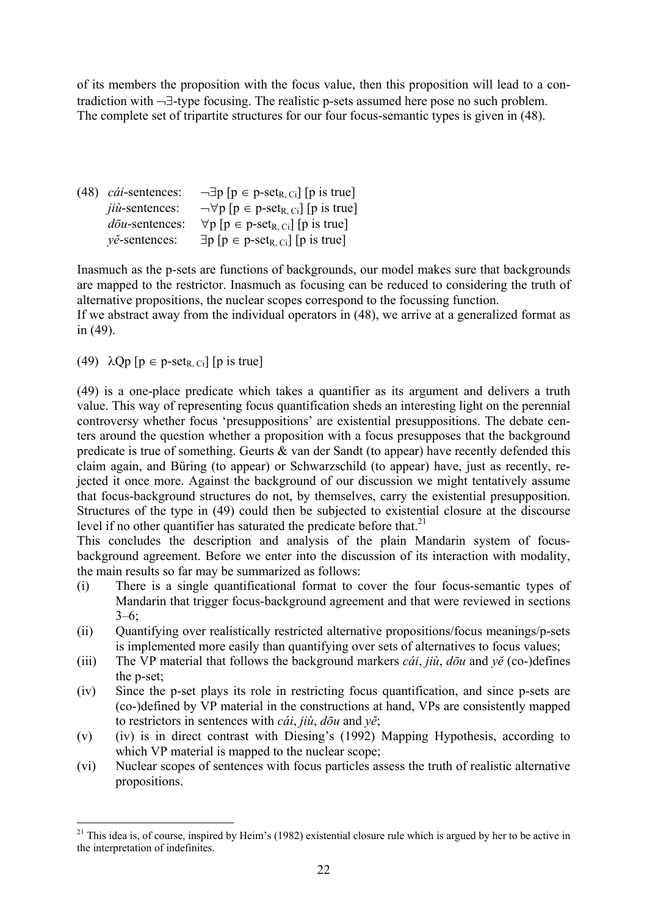of its members the proposition with the focus value, then this proposition will lead to a contradiction with ¬∃-type focusing. The realistic p-sets assumed here pose no such problem. The complete set of tripartite structures for our four focus-semantic types is given in [\(48\)](#page-21-0).

<span id="page-21-0"></span>

| $(48)$ <i>cái</i> -sentences: | $\neg \exists p \ [p \in p\text{-set}_{R, Ci}] \ [p \text{ is true}]$ |
|-------------------------------|-----------------------------------------------------------------------|
| $ji\dot{u}$ -sentences:       | $\neg \forall p$ [p $\in$ p-set <sub>R, Ci</sub> ] [p is true]        |
| $d\bar{\sigma}u$ -sentences:  | $\forall p$ [p $\in$ p-set <sub>R, Ci</sub> ] [p is true]             |
| $y\check{e}$ -sentences:      | $\exists p$ [ $p \in p\text{-set}_{R, Ci}$ ] [p is true]              |

Inasmuch as the p-sets are functions of backgrounds, our model makes sure that backgrounds are mapped to the restrictor. Inasmuch as focusing can be reduced to considering the truth of alternative propositions, the nuclear scopes correspond to the focussing function. If we abstract away from the individual operators in [\(48\)](#page-21-0), we arrive at a generalized format as in [\(49\)](#page-21-1).

<span id="page-21-1"></span>(49)  $\lambda$ Qp [p  $\in$  p-set<sub>R, Ci</sub>] [p is true]

 $\overline{a}$ 

[\(49\)](#page-21-1) is a one-place predicate which takes a quantifier as its argument and delivers a truth value. This way of representing focus quantification sheds an interesting light on the perennial controversy whether focus 'presuppositions' are existential presuppositions. The debate centers around the question whether a proposition with a focus presupposes that the background predicate is true of something. Geurts & van der Sandt (to appear) have recently defended this claim again, and Büring (to appear) or Schwarzschild (to appear) have, just as recently, rejected it once more. Against the background of our discussion we might tentatively assume that focus-background structures do not, by themselves, carry the existential presupposition. Structures of the type in [\(49\)](#page-21-1) could then be subjected to existential closure at the discourse level if no other quantifier has saturated the predicate before that. $21$ 

This concludes the description and analysis of the plain Mandarin system of focusbackground agreement. Before we enter into the discussion of its interaction with modality, the main results so far may be summarized as follows:

- (i) There is a single quantificational format to cover the four focus-semantic types of Mandarin that trigger focus-background agreement and that were reviewed in sections  $3-6$ ;
- (ii) Quantifying over realistically restricted alternative propositions/focus meanings/p-sets is implemented more easily than quantifying over sets of alternatives to focus values;
- (iii) The VP material that follows the background markers *cái*, *jiù*, *dōu* and *yĕ* (co-)defines the p-set;
- (iv) Since the p-set plays its role in restricting focus quantification, and since p-sets are (co-)defined by VP material in the constructions at hand, VPs are consistently mapped to restrictors in sentences with *cái*, *jiù*, *dōu* and *yĕ*;
- (v) (iv) is in direct contrast with Diesing's (1992) Mapping Hypothesis, according to which VP material is mapped to the nuclear scope;
- (vi) Nuclear scopes of sentences with focus particles assess the truth of realistic alternative propositions.

<span id="page-21-2"></span> $21$  This idea is, of course, inspired by Heim's (1982) existential closure rule which is argued by her to be active in the interpretation of indefinites.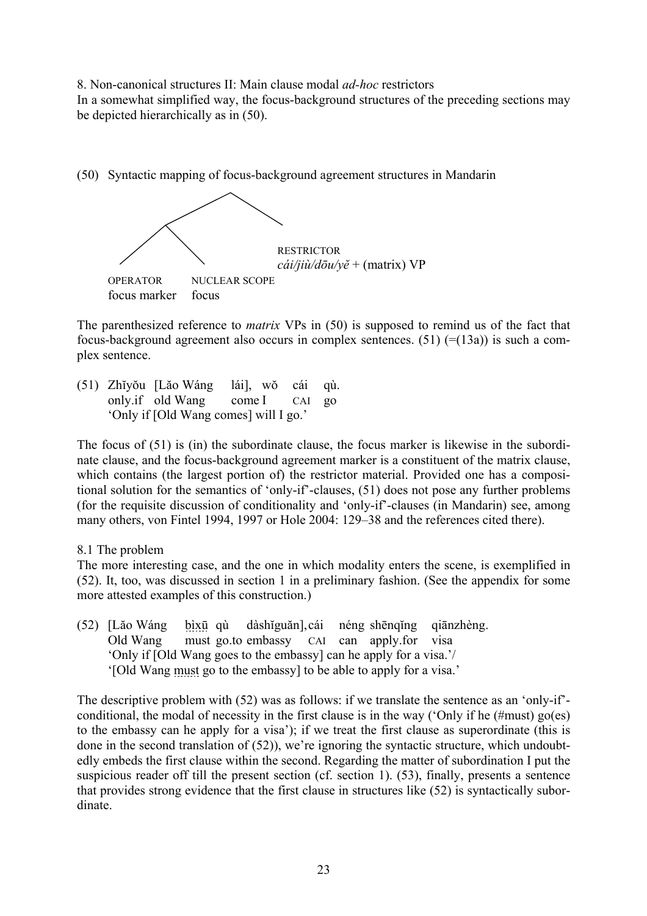8. Non-canonical structures II: Main clause modal *ad-hoc* restrictors

In a somewhat simplified way, the focus-background structures of the preceding sections may be depicted hierarchically as in [\(50\)](#page-22-0).

<span id="page-22-0"></span>(50) Syntactic mapping of focus-background agreement structures in Mandarin



The parenthesized reference to *matrix* VPs in [\(50\)](#page-22-0) is supposed to remind us of the fact that focus-background agreement also occurs in complex sentences. [\(51\)](#page-22-1)  $(=(13a))$  $(=(13a))$  $(=(13a))$  is such a complex sentence.

<span id="page-22-1"></span>(51) Zhĭyŏu [Lăo Wáng lái], wŏ cái qù. only.if old Wang come I CAI go 'Only if [Old Wang comes] will I go.'

The focus of [\(51\)](#page-22-1) is (in) the subordinate clause, the focus marker is likewise in the subordinate clause, and the focus-background agreement marker is a constituent of the matrix clause, which contains (the largest portion of) the restrictor material. Provided one has a compositional solution for the semantics of 'only-if'-clauses, [\(51\)](#page-22-1) does not pose any further problems (for the requisite discussion of conditionality and 'only-if'-clauses (in Mandarin) see, among many others, von Fintel 1994, 1997 or Hole 2004: 129–38 and the references cited there).

# 8.1 The problem

The more interesting case, and the one in which modality enters the scene, is exemplified in [\(52\)](#page-22-2). It, too, was discussed in section 1 in a preliminary fashion. (See the appendix for some more attested examples of this construction.)

<span id="page-22-2"></span>(52) [Lăo Wáng bìxū qù dàshĭguăn], cái néng shēnqĭng qiānzhèng. Old Wang must go.to embassy CAI can apply.for visa 'Only if [Old Wang goes to the embassy] can he apply for a visa.'/ '[Old Wang must go to the embassy] to be able to apply for a visa.'

The descriptive problem with [\(52\)](#page-22-2) was as follows: if we translate the sentence as an 'only-if' conditional, the modal of necessity in the first clause is in the way ('Only if he (#must) go(es) to the embassy can he apply for a visa'); if we treat the first clause as superordinate (this is done in the second translation of [\(52\)](#page-22-2)), we're ignoring the syntactic structure, which undoubtedly embeds the first clause within the second. Regarding the matter of subordination I put the suspicious reader off till the present section (cf. section 1). [\(53\)](#page-23-0), finally, presents a sentence that provides strong evidence that the first clause in structures like [\(52\)](#page-22-2) is syntactically subordinate.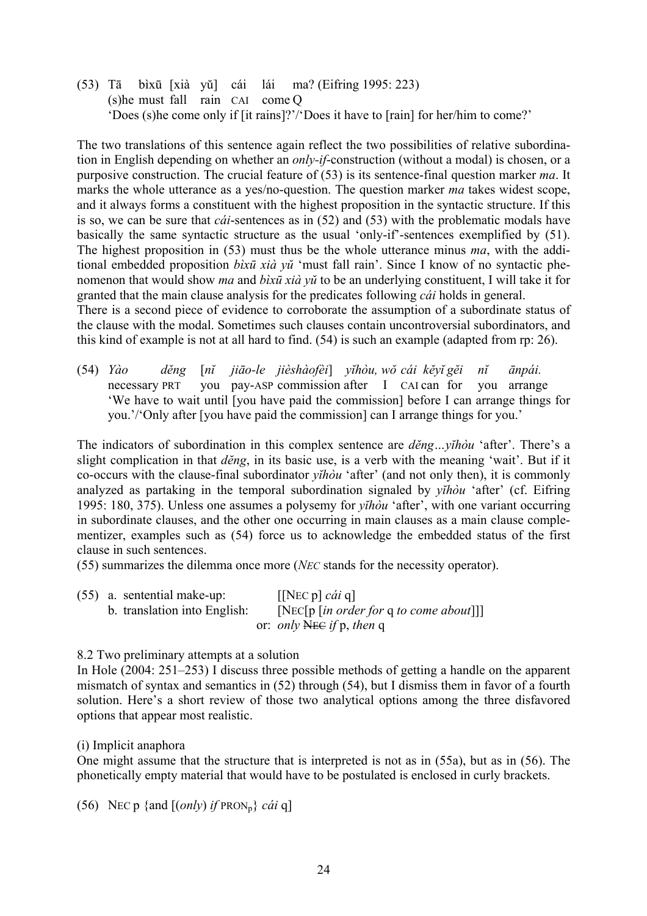<span id="page-23-0"></span>(53) Tā bìxū [xià yŭ] cái lái ma? (Eifring 1995: 223) (s)he must fall rain CAI come Q 'Does (s)he come only if [it rains]?'/'Does it have to [rain] for her/him to come?'

The two translations of this sentence again reflect the two possibilities of relative subordination in English depending on whether an *only-if*-construction (without a modal) is chosen, or a purposive construction. The crucial feature of [\(53\)](#page-23-0) is its sentence-final question marker *ma*. It marks the whole utterance as a yes/no-question. The question marker *ma* takes widest scope, and it always forms a constituent with the highest proposition in the syntactic structure. If this is so, we can be sure that *cái*-sentences as in [\(52\)](#page-22-2) and [\(53\)](#page-23-0) with the problematic modals have basically the same syntactic structure as the usual 'only-if'-sentences exemplified by [\(51\)](#page-22-1). The highest proposition in [\(53\)](#page-23-0) must thus be the whole utterance minus *ma*, with the additional embedded proposition *bìxū xià yŭ* 'must fall rain'. Since I know of no syntactic phenomenon that would show *ma* and *bìxū xià yŭ* to be an underlying constituent, I will take it for granted that the main clause analysis for the predicates following *cái* holds in general.

There is a second piece of evidence to corroborate the assumption of a subordinate status of the clause with the modal. Sometimes such clauses contain uncontroversial subordinators, and this kind of example is not at all hard to find. [\(54\)](#page-23-1) is such an example (adapted from rp: 26).

<span id="page-23-1"></span>(54) Yào děng [nǐ jiāo-le jièshàofèi] yihòu, wǒ cái kěyǐ gěi nǐ ānpái. necessary PRT you pay-ASP commission after I CAI can for you arrange 'We have to wait until [you have paid the commission] before I can arrange things for you.'/'Only after [you have paid the commission] can I arrange things for you.'

The indicators of subordination in this complex sentence are *dĕng…yĭhòu* 'after'. There's a slight complication in that *dĕng*, in its basic use, is a verb with the meaning 'wait'. But if it co-occurs with the clause-final subordinator *yĭhòu* 'after' (and not only then), it is commonly analyzed as partaking in the temporal subordination signaled by *yĭhòu* 'after' (cf. Eifring 1995: 180, 375). Unless one assumes a polysemy for *yĭhòu* 'after', with one variant occurring in subordinate clauses, and the other one occurring in main clauses as a main clause complementizer, examples such as [\(54\)](#page-23-1) force us to acknowledge the embedded status of the first clause in such sentences.

[\(55\)](#page-23-2) summarizes the dilemma once more (*NEC* stands for the necessity operator).

<span id="page-23-2"></span>

|  | $(55)$ a. sentential make-up: | $[\text{NEC p}]$ <i>cái</i> q                           |
|--|-------------------------------|---------------------------------------------------------|
|  | b. translation into English:  | $[NEC[p]$ <i>in order for</i> q <i>to come about</i> ]] |
|  |                               | or: <i>only</i> NEC <i>if</i> p, <i>then</i> q          |

### 8.2 Two preliminary attempts at a solution

In Hole (2004: 251–253) I discuss three possible methods of getting a handle on the apparent mismatch of syntax and semantics in [\(52\)](#page-22-2) through [\(54\)](#page-23-1), but I dismiss them in favor of a fourth solution. Here's a short review of those two analytical options among the three disfavored options that appear most realistic.

# (i) Implicit anaphora

One might assume that the structure that is interpreted is not as in [\(55a](#page-23-2)), but as in [\(56\)](#page-23-3). The phonetically empty material that would have to be postulated is enclosed in curly brackets.

```
(56) NEC p {and [ (only) if PRON<sub>p</sub>} cái q]
```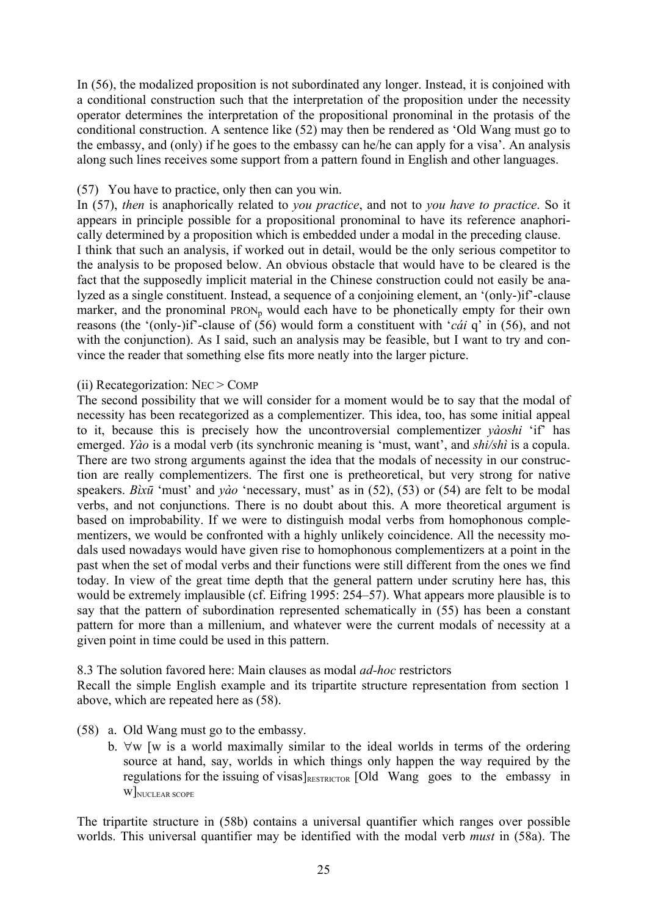In [\(56\)](#page-23-3), the modalized proposition is not subordinated any longer. Instead, it is conjoined with a conditional construction such that the interpretation of the proposition under the necessity operator determines the interpretation of the propositional pronominal in the protasis of the conditional construction. A sentence like [\(52\)](#page-22-2) may then be rendered as 'Old Wang must go to the embassy, and (only) if he goes to the embassy can he/he can apply for a visa'. An analysis along such lines receives some support from a pattern found in English and other languages.

### <span id="page-24-0"></span>(57) You have to practice, only then can you win.

In [\(57\)](#page-24-0), *then* is anaphorically related to *you practice*, and not to *you have to practice*. So it appears in principle possible for a propositional pronominal to have its reference anaphorically determined by a proposition which is embedded under a modal in the preceding clause. I think that such an analysis, if worked out in detail, would be the only serious competitor to the analysis to be proposed below. An obvious obstacle that would have to be cleared is the fact that the supposedly implicit material in the Chinese construction could not easily be analyzed as a single constituent. Instead, a sequence of a conjoining element, an '(only-)if'-clause marker, and the pronominal  $PRON<sub>p</sub>$  would each have to be phonetically empty for their own reasons (the '(only-)if'-clause of [\(56\)](#page-23-3) would form a constituent with '*cái* q' in [\(56\)](#page-23-3), and not with the conjunction). As I said, such an analysis may be feasible, but I want to try and convince the reader that something else fits more neatly into the larger picture.

### (ii) Recategorization: NEC > COMP

The second possibility that we will consider for a moment would be to say that the modal of necessity has been recategorized as a complementizer. This idea, too, has some initial appeal to it, because this is precisely how the uncontroversial complementizer *yàoshi* 'if' has emerged. *Yào* is a modal verb (its synchronic meaning is 'must, want', and *shi/shì* is a copula. There are two strong arguments against the idea that the modals of necessity in our construction are really complementizers. The first one is pretheoretical, but very strong for native speakers. *Bìxū* 'must' and *yào* 'necessary, must' as in [\(52\)](#page-22-2), [\(53\)](#page-23-0) or [\(54\)](#page-23-1) are felt to be modal verbs, and not conjunctions. There is no doubt about this. A more theoretical argument is based on improbability. If we were to distinguish modal verbs from homophonous complementizers, we would be confronted with a highly unlikely coincidence. All the necessity modals used nowadays would have given rise to homophonous complementizers at a point in the past when the set of modal verbs and their functions were still different from the ones we find today. In view of the great time depth that the general pattern under scrutiny here has, this would be extremely implausible (cf. Eifring 1995: 254–57). What appears more plausible is to say that the pattern of subordination represented schematically in [\(55\)](#page-23-2) has been a constant pattern for more than a millenium, and whatever were the current modals of necessity at a given point in time could be used in this pattern.

8.3 The solution favored here: Main clauses as modal *ad-hoc* restrictors

Recall the simple English example and its tripartite structure representation from section 1 above, which are repeated here as [\(58\)](#page-24-1).

- <span id="page-24-1"></span>(58) a. Old Wang must go to the embassy.
	- b. ∀w [w is a world maximally similar to the ideal worlds in terms of the ordering source at hand, say, worlds in which things only happen the way required by the regulations for the issuing of visas] $R_{\text{ESTRICTOR}}$  [Old Wang goes to the embassy in W NUCLEAR SCOPE

The tripartite structure in [\(58b](#page-24-1)) contains a universal quantifier which ranges over possible worlds. This universal quantifier may be identified with the modal verb *must* in [\(58a](#page-24-1)). The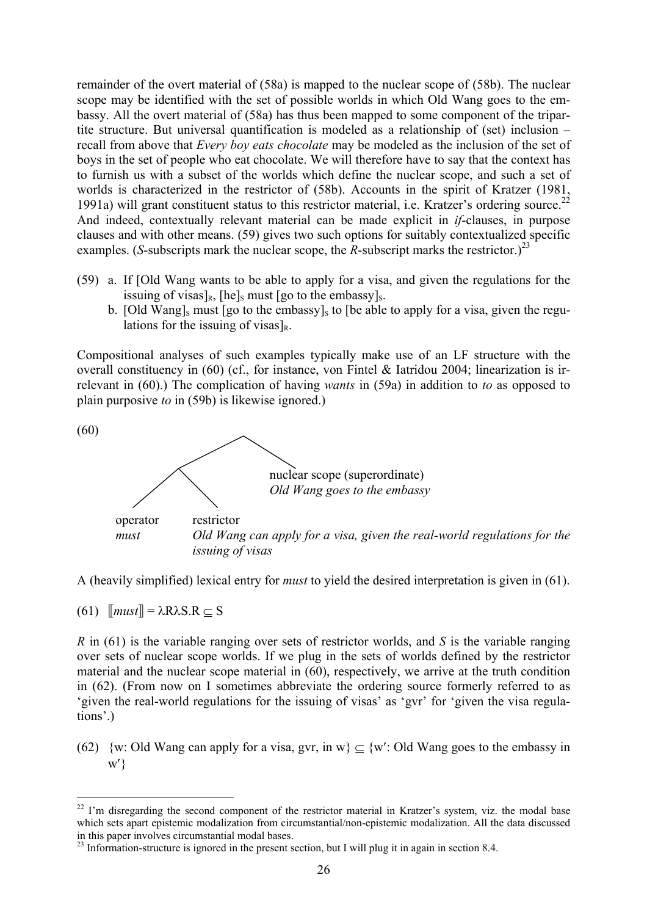remainder of the overt material of [\(58a](#page-24-1)) is mapped to the nuclear scope of [\(58b](#page-24-1)). The nuclear scope may be identified with the set of possible worlds in which Old Wang goes to the embassy. All the overt material of [\(58a](#page-24-1)) has thus been mapped to some component of the tripartite structure. But universal quantification is modeled as a relationship of (set) inclusion – recall from above that *Every boy eats chocolate* may be modeled as the inclusion of the set of boys in the set of people who eat chocolate. We will therefore have to say that the context has to furnish us with a subset of the worlds which define the nuclear scope, and such a set of worlds is characterized in the restrictor of [\(58b](#page-24-1)). Accounts in the spirit of Kratzer (1981, 1991a) will grant constituent status to this restrictor material, i.e. Kratzer's ordering source.<sup>22</sup> And indeed, contextually relevant material can be made explicit in *if*-clauses, in purpose clauses and with other means. [\(59\)](#page-25-0) gives two such options for suitably contextualized specific examples. (*S*-subscripts mark the nuclear scope, the  $\overline{R}$ -subscript marks the restrictor.)<sup>[23](#page-25-5)</sup>

- <span id="page-25-0"></span>(59) a. If [Old Wang wants to be able to apply for a visa, and given the regulations for the issuing of visas]<sub>R</sub>, [he]<sub>S</sub> must [go to the embassy]<sub>S</sub>.
	- b. [Old Wang]<sub>s</sub> must [go to the embassy]<sub>s</sub> to [be able to apply for a visa, given the regulations for the issuing of visas $\vert_{\mathbb{R}}$ .

Compositional analyses of such examples typically make use of an LF structure with the overall constituency in [\(60\)](#page-25-1) (cf., for instance, von Fintel & Iatridou 2004; linearization is irrelevant in [\(60\)](#page-25-1).) The complication of having *wants* in [\(59a](#page-25-0)) in addition to *to* as opposed to plain purposive *to* in [\(59b](#page-25-0)) is likewise ignored.)

<span id="page-25-1"></span>

A (heavily simplified) lexical entry for *must* to yield the desired interpretation is given in [\(61\)](#page-25-2).

<span id="page-25-2"></span>(61)  $\text{Imust} = \lambda \text{R} \lambda \text{S} \cdot \text{R} \subseteq \text{S}$ 

1

*R* in [\(61\)](#page-25-2) is the variable ranging over sets of restrictor worlds, and *S* is the variable ranging over sets of nuclear scope worlds. If we plug in the sets of worlds defined by the restrictor material and the nuclear scope material in [\(60\)](#page-25-1), respectively, we arrive at the truth condition in [\(62\)](#page-25-3). (From now on I sometimes abbreviate the ordering source formerly referred to as 'given the real-world regulations for the issuing of visas' as 'gvr' for 'given the visa regulations'.)

<span id="page-25-3"></span>(62) {w: Old Wang can apply for a visa, gvr, in w}  $\subset$  {w': Old Wang goes to the embassy in  $W'\}$ 

<span id="page-25-4"></span> $22$  I'm disregarding the second component of the restrictor material in Kratzer's system, viz. the modal base which sets apart epistemic modalization from circumstantial/non-epistemic modalization. All the data discussed in this paper involves circumstantial modal bases. 23 Information-structure is ignored in the present section, but I will plug it in again in section 8.4.

<span id="page-25-5"></span>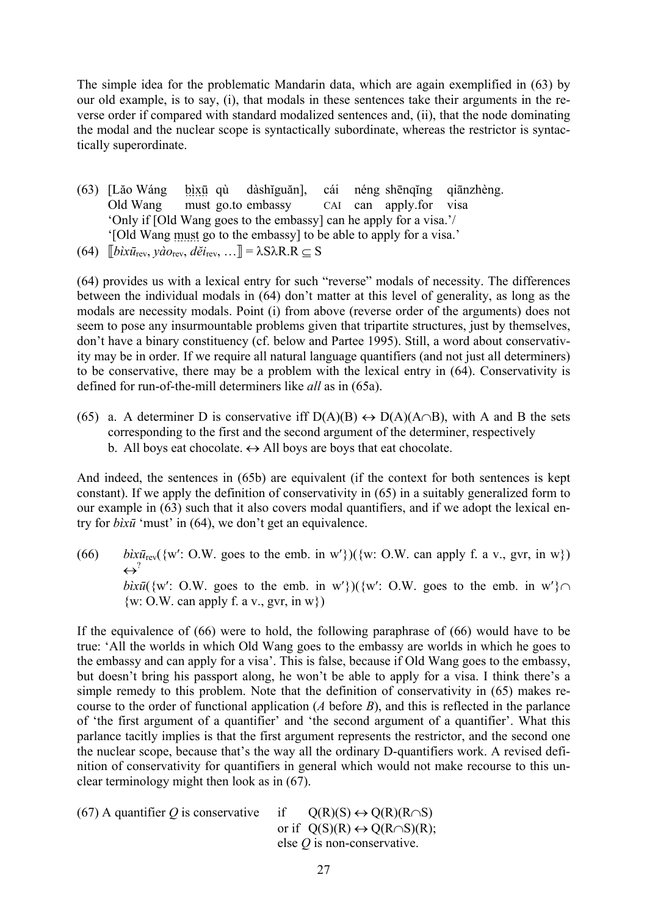The simple idea for the problematic Mandarin data, which are again exemplified in [\(63\)](#page-26-0) by our old example, is to say, (i), that modals in these sentences take their arguments in the reverse order if compared with standard modalized sentences and, (ii), that the node dominating the modal and the nuclear scope is syntactically subordinate, whereas the restrictor is syntactically superordinate.

- <span id="page-26-0"></span>(63) [Lăo Wáng bìxū qù dàshĭguăn], cái néng shēnqĭng qiānzhèng. Old Wang must go.to embassy CAI can apply.for visa 'Only if [Old Wang goes to the embassy] can he apply for a visa.'/ '[Old Wang must go to the embassy] to be able to apply for a visa.'
- <span id="page-26-1"></span>(64)  $\left[\right] b\right] \dot{x} \bar{u}_{\text{rev}}, \quad \left\{ \dot{a} \right\}_{\text{rev}}, \quad \left\{ \dot{e} \right\}_{\text{rev}}, \quad \dots \left\| = \lambda S \lambda R \cdot R \right| \subset S$

[\(64\)](#page-26-1) provides us with a lexical entry for such "reverse" modals of necessity. The differences between the individual modals in [\(64\)](#page-26-1) don't matter at this level of generality, as long as the modals are necessity modals. Point (i) from above (reverse order of the arguments) does not seem to pose any insurmountable problems given that tripartite structures, just by themselves, don't have a binary constituency (cf. below and Partee 1995). Still, a word about conservativity may be in order. If we require all natural language quantifiers (and not just all determiners) to be conservative, there may be a problem with the lexical entry in [\(64\)](#page-26-1). Conservativity is defined for run-of-the-mill determiners like *all* as in [\(65a](#page-26-2)).

<span id="page-26-2"></span>(65) a. A determiner D is conservative iff  $D(A)(B) \leftrightarrow D(A)(A \cap B)$ , with A and B the sets corresponding to the first and the second argument of the determiner, respectively b. All boys eat chocolate.  $\leftrightarrow$  All boys are boys that eat chocolate.

And indeed, the sentences in [\(65b](#page-26-2)) are equivalent (if the context for both sentences is kept constant). If we apply the definition of conservativity in [\(65\)](#page-26-2) in a suitably generalized form to our example in [\(63\)](#page-26-0) such that it also covers modal quantifiers, and if we adopt the lexical entry for *bìxū* 'must' in [\(64\)](#page-26-1), we don't get an equivalence.

<span id="page-26-3"></span>(66) *bixu*<sub>rev</sub>({w': O.W. goes to the emb. in w'})({w: O.W. can apply f. a v., gvr, in w})  $\leftrightarrow^?$ *bìxū*({w': O.W. goes to the emb. in w'})({w': O.W. goes to the emb. in w'}∩  $\{w: O.W.$  can apply f. a v., gyr, in w $\})$ 

If the equivalence of [\(66\)](#page-26-3) were to hold, the following paraphrase of [\(66\)](#page-26-3) would have to be true: 'All the worlds in which Old Wang goes to the embassy are worlds in which he goes to the embassy and can apply for a visa'. This is false, because if Old Wang goes to the embassy, but doesn't bring his passport along, he won't be able to apply for a visa. I think there's a simple remedy to this problem. Note that the definition of conservativity in [\(65\)](#page-26-2) makes recourse to the order of functional application (*A* before *B*), and this is reflected in the parlance of 'the first argument of a quantifier' and 'the second argument of a quantifier'. What this parlance tacitly implies is that the first argument represents the restrictor, and the second one the nuclear scope, because that's the way all the ordinary D-quantifiers work. A revised definition of conservativity for quantifiers in general which would not make recourse to this unclear terminology might then look as in [\(67\)](#page-26-4).

<span id="page-26-4"></span>(67) A quantifier *Q* is conservative if  $Q(R)(S) \leftrightarrow Q(R)(R \cap S)$ 

or if  $Q(S)(R) \leftrightarrow Q(R \cap S)(R)$ ; else *Q* is non-conservative.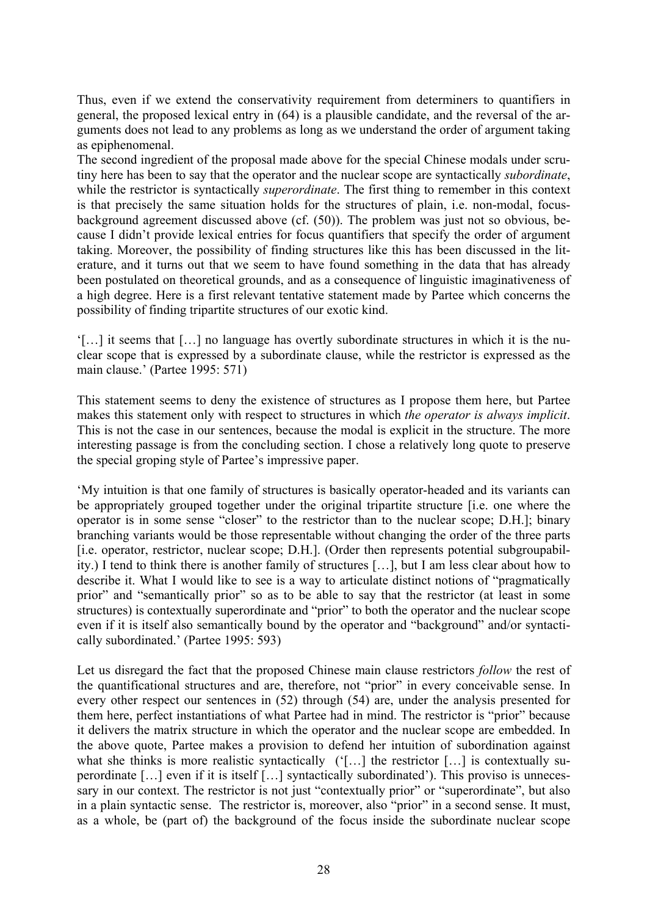Thus, even if we extend the conservativity requirement from determiners to quantifiers in general, the proposed lexical entry in [\(64\)](#page-26-1) is a plausible candidate, and the reversal of the arguments does not lead to any problems as long as we understand the order of argument taking as epiphenomenal.

The second ingredient of the proposal made above for the special Chinese modals under scrutiny here has been to say that the operator and the nuclear scope are syntactically *subordinate*, while the restrictor is syntactically *superordinate*. The first thing to remember in this context is that precisely the same situation holds for the structures of plain, i.e. non-modal, focusbackground agreement discussed above (cf. [\(50\)](#page-22-0)). The problem was just not so obvious, because I didn't provide lexical entries for focus quantifiers that specify the order of argument taking. Moreover, the possibility of finding structures like this has been discussed in the literature, and it turns out that we seem to have found something in the data that has already been postulated on theoretical grounds, and as a consequence of linguistic imaginativeness of a high degree. Here is a first relevant tentative statement made by Partee which concerns the possibility of finding tripartite structures of our exotic kind.

'[…] it seems that […] no language has overtly subordinate structures in which it is the nuclear scope that is expressed by a subordinate clause, while the restrictor is expressed as the main clause.' (Partee 1995: 571)

This statement seems to deny the existence of structures as I propose them here, but Partee makes this statement only with respect to structures in which *the operator is always implicit*. This is not the case in our sentences, because the modal is explicit in the structure. The more interesting passage is from the concluding section. I chose a relatively long quote to preserve the special groping style of Partee's impressive paper.

'My intuition is that one family of structures is basically operator-headed and its variants can be appropriately grouped together under the original tripartite structure [i.e. one where the operator is in some sense "closer" to the restrictor than to the nuclear scope; D.H.]; binary branching variants would be those representable without changing the order of the three parts [i.e. operator, restrictor, nuclear scope; D.H.]. (Order then represents potential subgroupability.) I tend to think there is another family of structures […], but I am less clear about how to describe it. What I would like to see is a way to articulate distinct notions of "pragmatically prior" and "semantically prior" so as to be able to say that the restrictor (at least in some structures) is contextually superordinate and "prior" to both the operator and the nuclear scope even if it is itself also semantically bound by the operator and "background" and/or syntactically subordinated.' (Partee 1995: 593)

Let us disregard the fact that the proposed Chinese main clause restrictors *follow* the rest of the quantificational structures and are, therefore, not "prior" in every conceivable sense. In every other respect our sentences in [\(52\)](#page-22-2) through [\(54\)](#page-23-1) are, under the analysis presented for them here, perfect instantiations of what Partee had in mind. The restrictor is "prior" because it delivers the matrix structure in which the operator and the nuclear scope are embedded. In the above quote, Partee makes a provision to defend her intuition of subordination against what she thinks is more realistic syntactically ('[...] the restrictor [...] is contextually superordinate […] even if it is itself […] syntactically subordinated'). This proviso is unnecessary in our context. The restrictor is not just "contextually prior" or "superordinate", but also in a plain syntactic sense. The restrictor is, moreover, also "prior" in a second sense. It must, as a whole, be (part of) the background of the focus inside the subordinate nuclear scope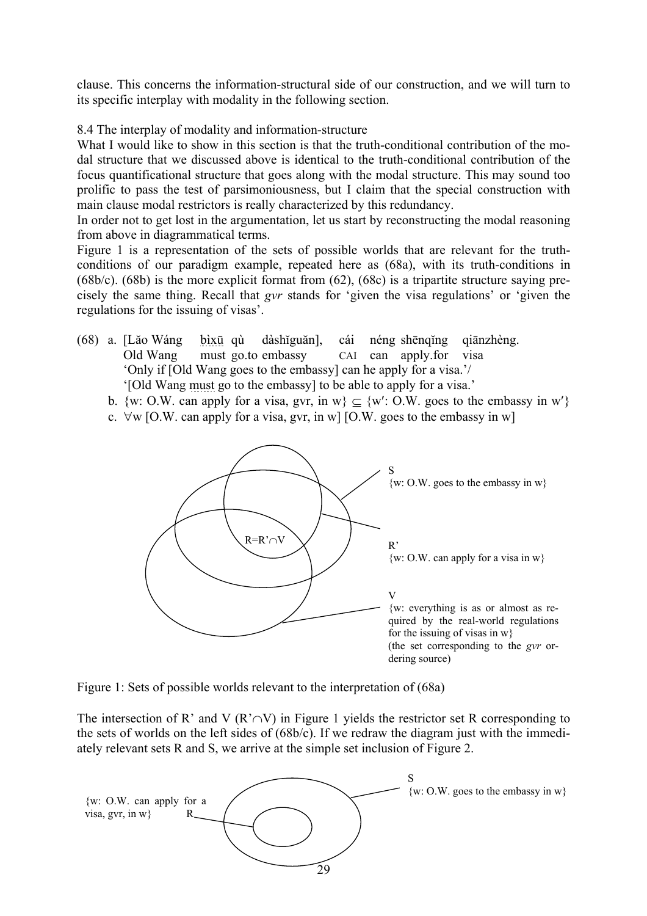clause. This concerns the information-structural side of our construction, and we will turn to its specific interplay with modality in the following section.

8.4 The interplay of modality and information-structure

What I would like to show in this section is that the truth-conditional contribution of the modal structure that we discussed above is identical to the truth-conditional contribution of the focus quantificational structure that goes along with the modal structure. This may sound too prolific to pass the test of parsimoniousness, but I claim that the special construction with main clause modal restrictors is really characterized by this redundancy.

In order not to get lost in the argumentation, let us start by reconstructing the modal reasoning from above in diagrammatical terms.

Figure 1 is a representation of the sets of possible worlds that are relevant for the truthconditions of our paradigm example, repeated here as [\(68a](#page-28-0)), with its truth-conditions in  $(68b/c)$  $(68b/c)$ .  $(68b)$  is the more explicit format from  $(62)$ ,  $(68c)$  $(68c)$  is a tripartite structure saying precisely the same thing. Recall that *gvr* stands for 'given the visa regulations' or 'given the regulations for the issuing of visas'.

- <span id="page-28-0"></span> $(68)$  a. [Lăo Wáng bìxū qù dàshǐguǎn], cái néng shēngǐng qiānzhèng. Old Wang must go.to embassy CAI can apply.for visa 'Only if [Old Wang goes to the embassy] can he apply for a visa.'/ '[Old Wang must go to the embassy] to be able to apply for a visa.'
	- b. {w: O.W. can apply for a visa, gvr, in w}  $\subset$  {w': O.W. goes to the embassy in w'}
	- c.  $\forall w$  [O.W. can apply for a visa, gvr, in w] [O.W. goes to the embassy in w]



Figure 1: Sets of possible worlds relevant to the interpretation of [\(68a](#page-28-0))

The intersection of R' and V ( $R' \cap V$ ) in Figure 1 yields the restrictor set R corresponding to the sets of worlds on the left sides of [\(68b](#page-28-0)/c). If we redraw the diagram just with the immediately relevant sets R and S, we arrive at the simple set inclusion of Figure 2.

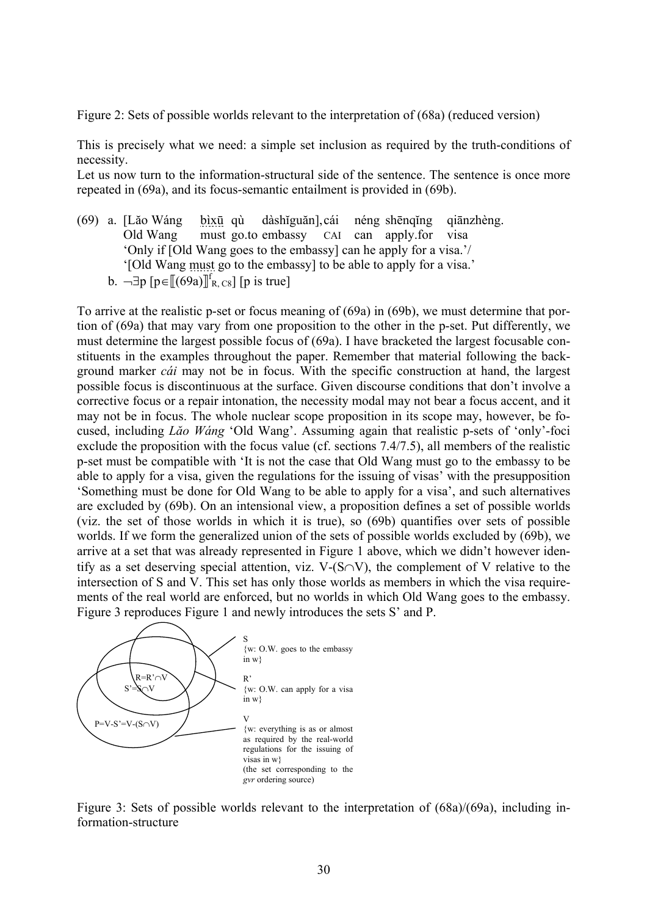Figure 2: Sets of possible worlds relevant to the interpretation of [\(68a](#page-28-0)) (reduced version)

This is precisely what we need: a simple set inclusion as required by the truth-conditions of necessity.

Let us now turn to the information-structural side of the sentence. The sentence is once more repeated in [\(69a](#page-29-0)), and its focus-semantic entailment is provided in [\(69b](#page-29-0)).

<span id="page-29-0"></span>(69) a. [Lăo Wáng bìxū qù dàshĭguăn], cái néng shēnqĭng qiānzhèng. Old Wang must go.to embassy CAI can apply.for visa 'Only if [Old Wang goes to the embassy] can he apply for a visa.'/ '[Old Wang must go to the embassy] to be able to apply for a visa.' b.  $\neg \exists p [p \in [(69a)]^f_{R, C8}]$  $\neg \exists p [p \in [(69a)]^f_{R, C8}]$  $\neg \exists p [p \in [(69a)]^f_{R, C8}]$  [p is true]

To arrive at the realistic p-set or focus meaning of [\(69a](#page-29-0)) in [\(69b](#page-29-0)), we must determine that portion of [\(69a](#page-29-0)) that may vary from one proposition to the other in the p-set. Put differently, we must determine the largest possible focus of [\(69a](#page-29-0)). I have bracketed the largest focusable constituents in the examples throughout the paper. Remember that material following the background marker *cái* may not be in focus. With the specific construction at hand, the largest possible focus is discontinuous at the surface. Given discourse conditions that don't involve a corrective focus or a repair intonation, the necessity modal may not bear a focus accent, and it may not be in focus. The whole nuclear scope proposition in its scope may, however, be focused, including *Lăo Wáng* 'Old Wang'. Assuming again that realistic p-sets of 'only'-foci exclude the proposition with the focus value (cf. sections 7.4/7.5), all members of the realistic p-set must be compatible with 'It is not the case that Old Wang must go to the embassy to be able to apply for a visa, given the regulations for the issuing of visas' with the presupposition 'Something must be done for Old Wang to be able to apply for a visa', and such alternatives are excluded by [\(69b](#page-29-0)). On an intensional view, a proposition defines a set of possible worlds (viz. the set of those worlds in which it is true), so [\(69b](#page-29-0)) quantifies over sets of possible worlds. If we form the generalized union of the sets of possible worlds excluded by [\(69b](#page-29-0)), we arrive at a set that was already represented in Figure 1 above, which we didn't however identify as a set deserving special attention, viz. V-(S∩V), the complement of V relative to the intersection of S and V. This set has only those worlds as members in which the visa requirements of the real world are enforced, but no worlds in which Old Wang goes to the embassy. Figure 3 reproduces Figure 1 and newly introduces the sets S' and P.



Figure 3: Sets of possible worlds relevant to the interpretation of [\(68a](#page-28-0))[/\(69a](#page-29-0)), including information-structure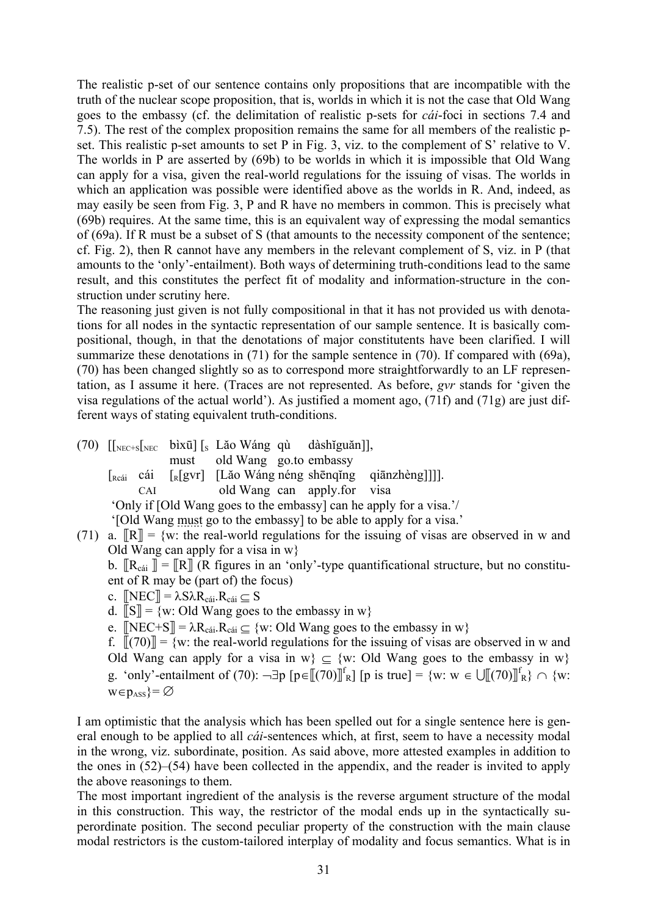The realistic p-set of our sentence contains only propositions that are incompatible with the truth of the nuclear scope proposition, that is, worlds in which it is not the case that Old Wang goes to the embassy (cf. the delimitation of realistic p-sets for *cái*-foci in sections 7.4 and 7.5). The rest of the complex proposition remains the same for all members of the realistic pset. This realistic p-set amounts to set P in Fig. 3, viz. to the complement of S' relative to V. The worlds in P are asserted by [\(69b](#page-29-0)) to be worlds in which it is impossible that Old Wang can apply for a visa, given the real-world regulations for the issuing of visas. The worlds in which an application was possible were identified above as the worlds in R. And, indeed, as may easily be seen from Fig. 3, P and R have no members in common. This is precisely what [\(69b](#page-29-0)) requires. At the same time, this is an equivalent way of expressing the modal semantics of [\(69a](#page-29-0)). If R must be a subset of S (that amounts to the necessity component of the sentence; cf. Fig. 2), then R cannot have any members in the relevant complement of S, viz. in P (that amounts to the 'only'-entailment). Both ways of determining truth-conditions lead to the same result, and this constitutes the perfect fit of modality and information-structure in the construction under scrutiny here.

The reasoning just given is not fully compositional in that it has not provided us with denotations for all nodes in the syntactic representation of our sample sentence. It is basically compositional, though, in that the denotations of major constitutents have been clarified. I will summarize these denotations in [\(71\)](#page-30-0) for the sample sentence in [\(70\)](#page-30-1). If compared with [\(69a](#page-29-0)), [\(70\)](#page-30-1) has been changed slightly so as to correspond more straightforwardly to an LF representation, as I assume it here. (Traces are not represented. As before, *gvr* stands for 'given the visa regulations of the actual world'). As justified a moment ago, [\(71f](#page-30-0)) and [\(71g](#page-30-0)) are just different ways of stating equivalent truth-conditions.

- <span id="page-30-1"></span>(70) [[NEC+S[NEC bìxū] [S Lăo Wáng qù dàshĭguăn]], must old Wang go.to embassy [Rcái cái [R[gvr] [Lăo Wáng néng shēnqǐng qiānzhèng]]]]. CAI old Wang can apply.for visa 'Only if [Old Wang goes to the embassy] can he apply for a visa.'/ '[Old Wang must go to the embassy] to be able to apply for a visa.'
- <span id="page-30-0"></span>(71) a.  $\mathbb{R} = \{w: \text{ the real-world regulations for the issuing of visas are observed in } w \text{ and } w$ Old Wang can apply for a visa in w}
	- b.  $[\mathbb{R}_{\text{cai}}] = [\mathbb{R}]$  (R figures in an 'only'-type quantificational structure, but no constituent of R may be (part of) the focus)
	- c.  $[NEC] = \lambda S \lambda R_{c\acute{a}i} \cdot R_{c\acute{a}i} \subseteq S$
	- d.  $[[S]] = \{w: Old Wang goes to the embassy in w\}$
	- e.  $[\text{NEC+S}] = \lambda \text{R}_{\text{cái}} \text{R}_{\text{cái}} \subseteq \{w: \text{Old Wang goes to the embassy in } w\}$

f.  $[(70)] = \{w: \text{ the real-world regulations for the issuing of visas are observed in w and }\}$  $[(70)] = \{w: \text{ the real-world regulations for the issuing of visas are observed in w and }\}$  $[(70)] = \{w: \text{ the real-world regulations for the issuing of visas are observed in w and }\}$ Old Wang can apply for a visa in w}  $\subseteq$  {w: Old Wang goes to the embassy in w} g. 'only'-entailment of [\(70\)](#page-30-1):  $\neg \exists p \, [p \in [[(70)]]^f_R] [p \text{ is true}] = \{w: w \in \bigcup [[(70)]]^f_R\} \cap \{w:$  $w \in p_{ASS}$ }=  $\varnothing$ 

I am optimistic that the analysis which has been spelled out for a single sentence here is general enough to be applied to all *cái*-sentences which, at first, seem to have a necessity modal in the wrong, viz. subordinate, position. As said above, more attested examples in addition to the ones in [\(52\)](#page-22-2)[–\(54\)](#page-23-1) have been collected in the appendix, and the reader is invited to apply the above reasonings to them.

The most important ingredient of the analysis is the reverse argument structure of the modal in this construction. This way, the restrictor of the modal ends up in the syntactically superordinate position. The second peculiar property of the construction with the main clause modal restrictors is the custom-tailored interplay of modality and focus semantics. What is in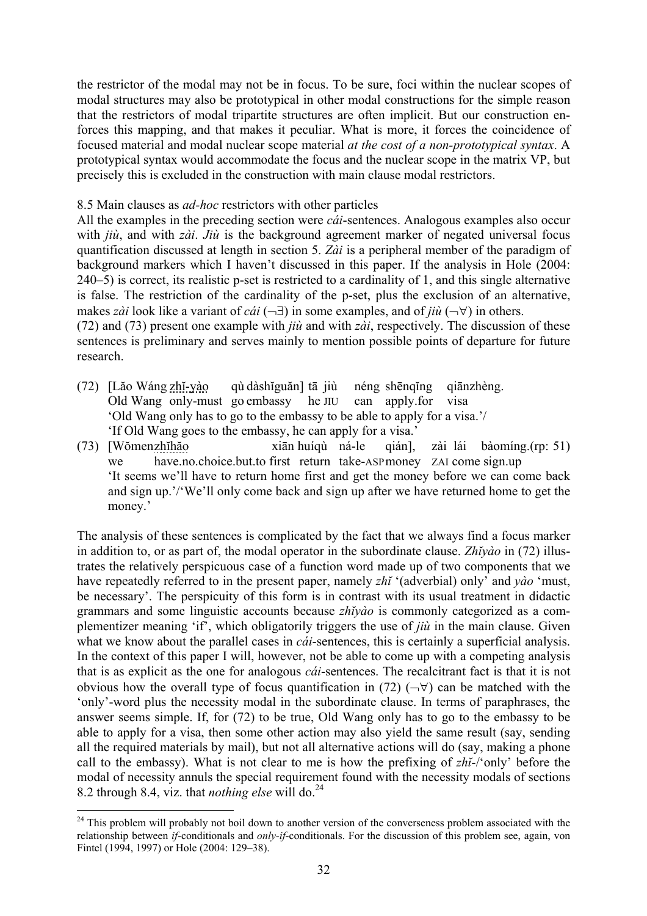the restrictor of the modal may not be in focus. To be sure, foci within the nuclear scopes of modal structures may also be prototypical in other modal constructions for the simple reason that the restrictors of modal tripartite structures are often implicit. But our construction enforces this mapping, and that makes it peculiar. What is more, it forces the coincidence of focused material and modal nuclear scope material *at the cost of a non-prototypical syntax*. A prototypical syntax would accommodate the focus and the nuclear scope in the matrix VP, but precisely this is excluded in the construction with main clause modal restrictors.

### 8.5 Main clauses as *ad-hoc* restrictors with other particles

All the examples in the preceding section were *cái*-sentences. Analogous examples also occur with *jiù*, and with *zài*. *Jiù* is the background agreement marker of negated universal focus quantification discussed at length in section 5. *Zài* is a peripheral member of the paradigm of background markers which I haven't discussed in this paper. If the analysis in Hole (2004: 240–5) is correct, its realistic p-set is restricted to a cardinality of 1, and this single alternative is false. The restriction of the cardinality of the p-set, plus the exclusion of an alternative, makes *zài* look like a variant of *cái* (¬∃) in some examples, and of *jiù* (¬∀) in others.

[\(72\)](#page-31-0) and [\(73\)](#page-31-1) present one example with *jiù* and with *zài*, respectively. The discussion of these sentences is preliminary and serves mainly to mention possible points of departure for future research.

- <span id="page-31-0"></span>(72)[Lăo Wáng zhĭ-yào qù dàshĭguăn] tā jiù néng shēnqĭng qiānzhèng. Old Wang only-must go embassy he JIU can apply.for visa 'Old Wang only has to go to the embassy to be able to apply for a visa.'/ 'If Old Wang goes to the embassy, he can apply for a visa.'
- <span id="page-31-1"></span>(73)[Wŏmen zhĭhăo xiān huíqù ná-le qián], zài lái bàomíng.(rp: 51) we have.no.choice.but.to first return take-ASP money ZAI come sign.up 'It seems we'll have to return home first and get the money before we can come back and sign up.'/'We'll only come back and sign up after we have returned home to get the money.'

The analysis of these sentences is complicated by the fact that we always find a focus marker in addition to, or as part of, the modal operator in the subordinate clause. *Zhĭyào* in [\(72\)](#page-31-0) illustrates the relatively perspicuous case of a function word made up of two components that we have repeatedly referred to in the present paper, namely *zhĭ* '(adverbial) only' and *yào* 'must, be necessary'. The perspicuity of this form is in contrast with its usual treatment in didactic grammars and some linguistic accounts because *zhĭyào* is commonly categorized as a complementizer meaning 'if', which obligatorily triggers the use of *jiù* in the main clause. Given what we know about the parallel cases in *cái*-sentences, this is certainly a superficial analysis. In the context of this paper I will, however, not be able to come up with a competing analysis that is as explicit as the one for analogous *cái*-sentences. The recalcitrant fact is that it is not obvious how the overall type of focus quantification in [\(72\)](#page-31-0) ( $\neg \forall$ ) can be matched with the 'only'-word plus the necessity modal in the subordinate clause. In terms of paraphrases, the answer seems simple. If, for [\(72\)](#page-31-0) to be true, Old Wang only has to go to the embassy to be able to apply for a visa, then some other action may also yield the same result (say, sending all the required materials by mail), but not all alternative actions will do (say, making a phone call to the embassy). What is not clear to me is how the prefixing of *zhĭ-*/'only' before the modal of necessity annuls the special requirement found with the necessity modals of sections 8.2 through 8.4, viz. that *nothing else* will do.<sup>[24](#page-31-2)</sup>

1

<span id="page-31-2"></span><sup>&</sup>lt;sup>24</sup> This problem will probably not boil down to another version of the converseness problem associated with the relationship between *if*-conditionals and *only-if*-conditionals. For the discussion of this problem see, again, von Fintel (1994, 1997) or Hole (2004: 129–38).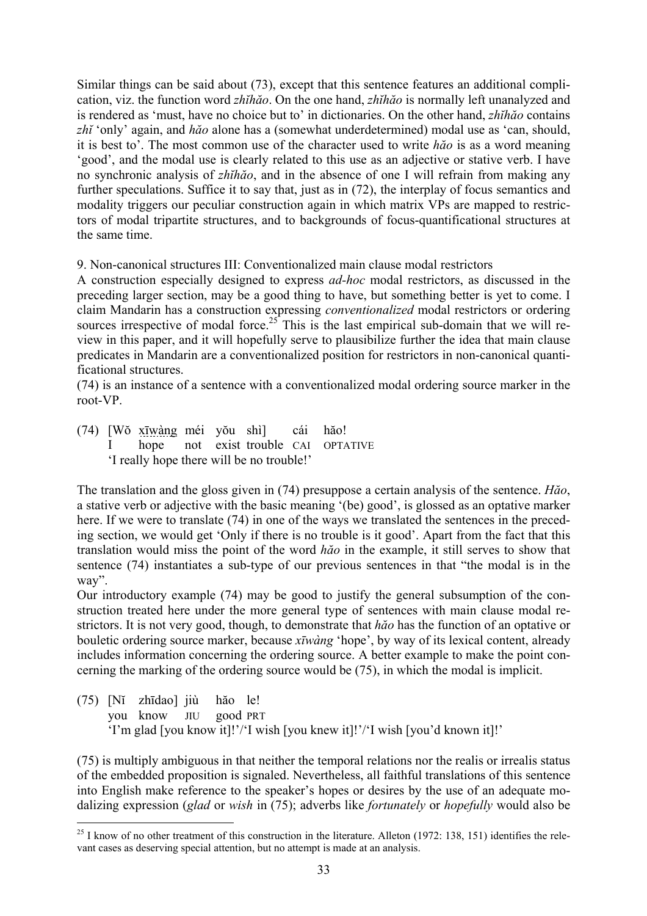Similar things can be said about [\(73\)](#page-31-1), except that this sentence features an additional complication, viz. the function word *zhĭhăo*. On the one hand, *zhĭhăo* is normally left unanalyzed and is rendered as 'must, have no choice but to' in dictionaries. On the other hand, *zhĭhăo* contains *zhĭ* 'only' again, and *hăo* alone has a (somewhat underdetermined) modal use as 'can, should, it is best to'. The most common use of the character used to write *hăo* is as a word meaning 'good', and the modal use is clearly related to this use as an adjective or stative verb. I have no synchronic analysis of *zhĭhăo*, and in the absence of one I will refrain from making any further speculations. Suffice it to say that, just as in [\(72\)](#page-31-0), the interplay of focus semantics and modality triggers our peculiar construction again in which matrix VPs are mapped to restrictors of modal tripartite structures, and to backgrounds of focus-quantificational structures at the same time.

9. Non-canonical structures III: Conventionalized main clause modal restrictors

A construction especially designed to express *ad-hoc* modal restrictors, as discussed in the preceding larger section, may be a good thing to have, but something better is yet to come. I claim Mandarin has a construction expressing *conventionalized* modal restrictors or ordering sources irrespective of modal force.<sup>25</sup> This is the last empirical sub-domain that we will review in this paper, and it will hopefully serve to plausibilize further the idea that main clause predicates in Mandarin are a conventionalized position for restrictors in non-canonical quantificational structures.

[\(74\)](#page-32-0) is an instance of a sentence with a conventionalized modal ordering source marker in the root-VP.

<span id="page-32-0"></span>(74) [Wŏ xīwàng méi yŏu shì] cái hăo! I hope not exist trouble CAI OPTATIVE 'I really hope there will be no trouble!'

1

The translation and the gloss given in [\(74\)](#page-32-0) presuppose a certain analysis of the sentence. *Hăo*, a stative verb or adjective with the basic meaning '(be) good', is glossed as an optative marker here. If we were to translate [\(74\)](#page-32-0) in one of the ways we translated the sentences in the preceding section, we would get 'Only if there is no trouble is it good'. Apart from the fact that this translation would miss the point of the word *hăo* in the example, it still serves to show that sentence [\(74\)](#page-32-0) instantiates a sub-type of our previous sentences in that "the modal is in the way".

Our introductory example [\(74\)](#page-32-0) may be good to justify the general subsumption of the construction treated here under the more general type of sentences with main clause modal restrictors. It is not very good, though, to demonstrate that *hăo* has the function of an optative or bouletic ordering source marker, because *xīwàng* 'hope', by way of its lexical content, already includes information concerning the ordering source. A better example to make the point concerning the marking of the ordering source would be [\(75\)](#page-32-1), in which the modal is implicit.

<span id="page-32-1"></span>(75) [Nĭ zhīdao] jiù hăo le! you know JIU good PRT 'I'm glad [you know it]!'/'I wish [you knew it]!'/'I wish [you'd known it]!'

[\(75\)](#page-32-1) is multiply ambiguous in that neither the temporal relations nor the realis or irrealis status of the embedded proposition is signaled. Nevertheless, all faithful translations of this sentence into English make reference to the speaker's hopes or desires by the use of an adequate modalizing expression (*glad* or *wish* in [\(75\)](#page-32-1); adverbs like *fortunately* or *hopefully* would also be

<span id="page-32-2"></span> $25$  I know of no other treatment of this construction in the literature. Alleton (1972: 138, 151) identifies the relevant cases as deserving special attention, but no attempt is made at an analysis.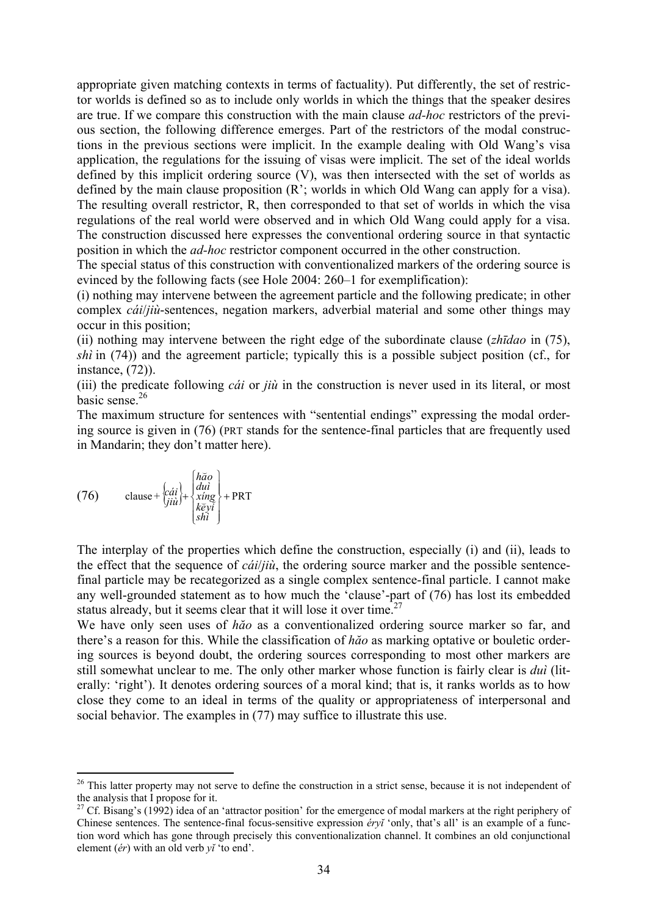appropriate given matching contexts in terms of factuality). Put differently, the set of restrictor worlds is defined so as to include only worlds in which the things that the speaker desires are true. If we compare this construction with the main clause *ad-hoc* restrictors of the previous section, the following difference emerges. Part of the restrictors of the modal constructions in the previous sections were implicit. In the example dealing with Old Wang's visa application, the regulations for the issuing of visas were implicit. The set of the ideal worlds defined by this implicit ordering source (V), was then intersected with the set of worlds as defined by the main clause proposition  $(R^{\prime})$ ; worlds in which Old Wang can apply for a visa). The resulting overall restrictor, R, then corresponded to that set of worlds in which the visa regulations of the real world were observed and in which Old Wang could apply for a visa. The construction discussed here expresses the conventional ordering source in that syntactic position in which the *ad-hoc* restrictor component occurred in the other construction.

The special status of this construction with conventionalized markers of the ordering source is evinced by the following facts (see Hole 2004: 260–1 for exemplification):

(i) nothing may intervene between the agreement particle and the following predicate; in other complex *cái*/*jiù*-sentences, negation markers, adverbial material and some other things may occur in this position;

(ii) nothing may intervene between the right edge of the subordinate clause (*zhīdao* in [\(75\)](#page-32-1), *shì* in [\(74\)](#page-32-0)) and the agreement particle; typically this is a possible subject position (cf., for instance, [\(72\)](#page-31-0)).

(iii) the predicate following *cái* or *jiù* in the construction is never used in its literal, or most  $\overline{base}$ <sup>[26](#page-33-1)</sup>

The maximum structure for sentences with "sentential endings" expressing the modal ordering source is given in [\(76\)](#page-33-0) (PRT stands for the sentence-final particles that are frequently used in Mandarin; they don't matter here).

<span id="page-33-0"></span>(76) clause + 
$$
\begin{cases} \hbar \vec{a}o \\ \hbar \vec{a}il \end{cases}
$$
 +  $\begin{cases} \hbar \vec{a}o \\ \hbar \vec{a}li \end{cases}$  + PRT  
 $\begin{cases} \hbar \vec{a}o \\ \hbar \vec{e}y\vec{i} \\ \hbar \vec{n} \end{cases}$  + PRT

1

The interplay of the properties which define the construction, especially (i) and (ii), leads to the effect that the sequence of *cái*/*jiù*, the ordering source marker and the possible sentencefinal particle may be recategorized as a single complex sentence-final particle. I cannot make any well-grounded statement as to how much the 'clause'-part of [\(76\)](#page-33-0) has lost its embedded status already, but it seems clear that it will lose it over time.<sup>27</sup>

We have only seen uses of *hăo* as a conventionalized ordering source marker so far, and there's a reason for this. While the classification of *hăo* as marking optative or bouletic ordering sources is beyond doubt, the ordering sources corresponding to most other markers are still somewhat unclear to me. The only other marker whose function is fairly clear is *duì* (literally: 'right'). It denotes ordering sources of a moral kind; that is, it ranks worlds as to how close they come to an ideal in terms of the quality or appropriateness of interpersonal and social behavior. The examples in [\(77\)](#page-34-0) may suffice to illustrate this use.

<span id="page-33-1"></span> $26$  This latter property may not serve to define the construction in a strict sense, because it is not independent of the analysis that I propose for it.<br><sup>27</sup> Cf. Bisang's (1992) idea of an 'attractor position' for the emergence of modal markers at the right periphery of

<span id="page-33-2"></span>Chinese sentences. The sentence-final focus-sensitive expression *éryĭ* 'only, that's all' is an example of a function word which has gone through precisely this conventionalization channel. It combines an old conjunctional element (*ér*) with an old verb *yĭ* 'to end'.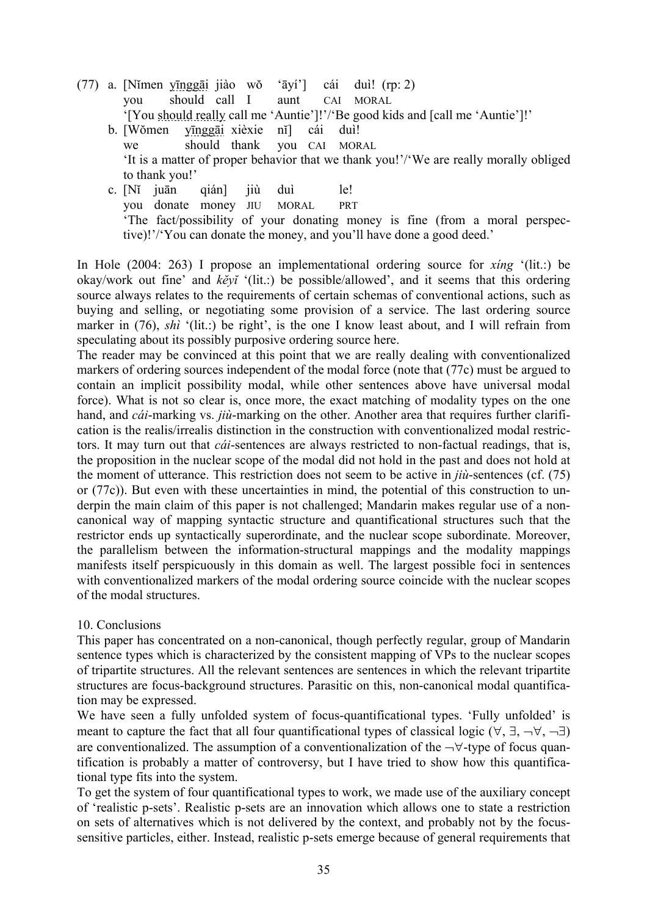- <span id="page-34-0"></span>(77) a. [Nĭmen yīnggāi jiào wŏ 'āyí'] cái duì! (rp: 2) you should call I aunt CAI MORAL '[You should really call me 'Auntie']!'/'Be good kids and [call me 'Auntie']!' b. [Wŏmen yīnggāi xièxie nǐ] cái duì! we should thank you CAI MORAL 'It is a matter of proper behavior that we thank you!'/'We are really morally obliged to thank you!'
	- c. [Nĭ juān qián] jiù duì le! you donate money JIU MORAL PRT 'The fact/possibility of your donating money is fine (from a moral perspec tive)!'/'You can donate the money, and you'll have done a good deed.'

In Hole (2004: 263) I propose an implementational ordering source for *xíng* '(lit.:) be okay/work out fine' and *kĕyĭ* '(lit.:) be possible/allowed', and it seems that this ordering source always relates to the requirements of certain schemas of conventional actions, such as buying and selling, or negotiating some provision of a service. The last ordering source marker in [\(76\)](#page-33-0), *shì* '(lit.:) be right', is the one I know least about, and I will refrain from speculating about its possibly purposive ordering source here.

The reader may be convinced at this point that we are really dealing with conventionalized markers of ordering sources independent of the modal force (note that [\(77c](#page-34-0)) must be argued to contain an implicit possibility modal, while other sentences above have universal modal force). What is not so clear is, once more, the exact matching of modality types on the one hand, and *cái*-marking vs. *jiù*-marking on the other. Another area that requires further clarification is the realis/irrealis distinction in the construction with conventionalized modal restrictors. It may turn out that *cái*-sentences are always restricted to non-factual readings, that is, the proposition in the nuclear scope of the modal did not hold in the past and does not hold at the moment of utterance. This restriction does not seem to be active in *jiù*-sentences (cf. [\(75\)](#page-32-1) or [\(77c](#page-34-0))). But even with these uncertainties in mind, the potential of this construction to underpin the main claim of this paper is not challenged; Mandarin makes regular use of a noncanonical way of mapping syntactic structure and quantificational structures such that the restrictor ends up syntactically superordinate, and the nuclear scope subordinate. Moreover, the parallelism between the information-structural mappings and the modality mappings manifests itself perspicuously in this domain as well. The largest possible foci in sentences with conventionalized markers of the modal ordering source coincide with the nuclear scopes of the modal structures.

### 10. Conclusions

This paper has concentrated on a non-canonical, though perfectly regular, group of Mandarin sentence types which is characterized by the consistent mapping of VPs to the nuclear scopes of tripartite structures. All the relevant sentences are sentences in which the relevant tripartite structures are focus-background structures. Parasitic on this, non-canonical modal quantification may be expressed.

We have seen a fully unfolded system of focus-quantificational types. 'Fully unfolded' is meant to capture the fact that all four quantificational types of classical logic ( $\forall$ ,  $\exists$ ,  $\neg \forall$ ,  $\neg \exists$ ) are conventionalized. The assumption of a conventionalization of the  $\neg\forall$ -type of focus quantification is probably a matter of controversy, but I have tried to show how this quantificational type fits into the system.

To get the system of four quantificational types to work, we made use of the auxiliary concept of 'realistic p-sets'. Realistic p-sets are an innovation which allows one to state a restriction on sets of alternatives which is not delivered by the context, and probably not by the focussensitive particles, either. Instead, realistic p-sets emerge because of general requirements that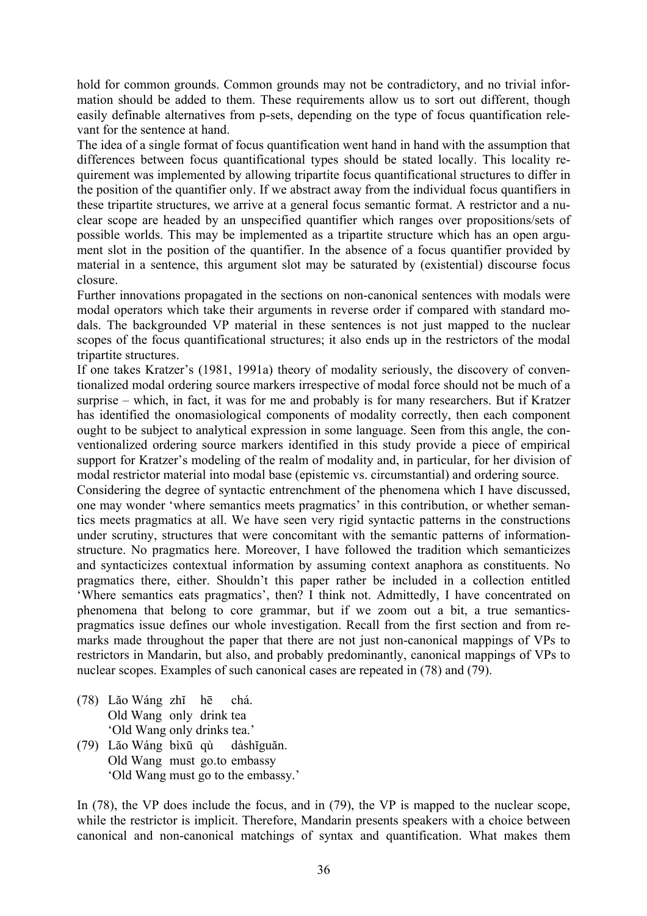hold for common grounds. Common grounds may not be contradictory, and no trivial information should be added to them. These requirements allow us to sort out different, though easily definable alternatives from p-sets, depending on the type of focus quantification relevant for the sentence at hand.

The idea of a single format of focus quantification went hand in hand with the assumption that differences between focus quantificational types should be stated locally. This locality requirement was implemented by allowing tripartite focus quantificational structures to differ in the position of the quantifier only. If we abstract away from the individual focus quantifiers in these tripartite structures, we arrive at a general focus semantic format. A restrictor and a nuclear scope are headed by an unspecified quantifier which ranges over propositions/sets of possible worlds. This may be implemented as a tripartite structure which has an open argument slot in the position of the quantifier. In the absence of a focus quantifier provided by material in a sentence, this argument slot may be saturated by (existential) discourse focus closure.

Further innovations propagated in the sections on non-canonical sentences with modals were modal operators which take their arguments in reverse order if compared with standard modals. The backgrounded VP material in these sentences is not just mapped to the nuclear scopes of the focus quantificational structures; it also ends up in the restrictors of the modal tripartite structures.

If one takes Kratzer's (1981, 1991a) theory of modality seriously, the discovery of conventionalized modal ordering source markers irrespective of modal force should not be much of a surprise – which, in fact, it was for me and probably is for many researchers. But if Kratzer has identified the onomasiological components of modality correctly, then each component ought to be subject to analytical expression in some language. Seen from this angle, the conventionalized ordering source markers identified in this study provide a piece of empirical support for Kratzer's modeling of the realm of modality and, in particular, for her division of modal restrictor material into modal base (epistemic vs. circumstantial) and ordering source.

Considering the degree of syntactic entrenchment of the phenomena which I have discussed, one may wonder 'where semantics meets pragmatics' in this contribution, or whether semantics meets pragmatics at all. We have seen very rigid syntactic patterns in the constructions under scrutiny, structures that were concomitant with the semantic patterns of informationstructure. No pragmatics here. Moreover, I have followed the tradition which semanticizes and syntacticizes contextual information by assuming context anaphora as constituents. No pragmatics there, either. Shouldn't this paper rather be included in a collection entitled 'Where semantics eats pragmatics', then? I think not. Admittedly, I have concentrated on phenomena that belong to core grammar, but if we zoom out a bit, a true semanticspragmatics issue defines our whole investigation. Recall from the first section and from remarks made throughout the paper that there are not just non-canonical mappings of VPs to restrictors in Mandarin, but also, and probably predominantly, canonical mappings of VPs to nuclear scopes. Examples of such canonical cases are repeated in [\(78\)](#page-35-0) and [\(79\)](#page-35-1).

- <span id="page-35-0"></span>(78) Lăo Wáng zhĭ hē chá. Old Wang only drink tea 'Old Wang only drinks tea.'
- <span id="page-35-1"></span>(79) Lăo Wáng bìxū qù dàshĭguăn. Old Wang must go.to embassy 'Old Wang must go to the embassy.'

In [\(78\)](#page-35-0), the VP does include the focus, and in [\(79\)](#page-35-1), the VP is mapped to the nuclear scope, while the restrictor is implicit. Therefore, Mandarin presents speakers with a choice between canonical and non-canonical matchings of syntax and quantification. What makes them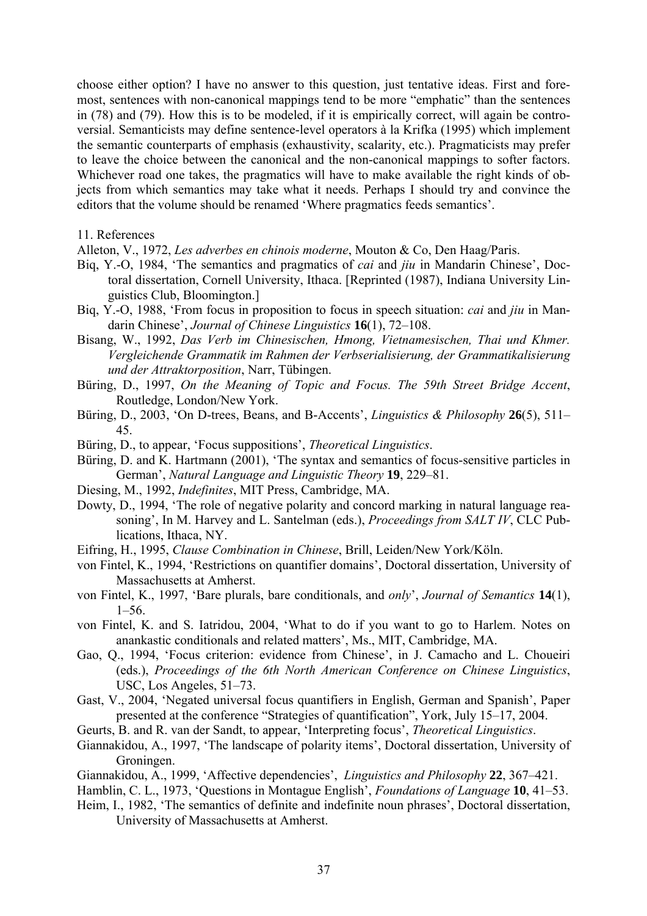choose either option? I have no answer to this question, just tentative ideas. First and foremost, sentences with non-canonical mappings tend to be more "emphatic" than the sentences in [\(78\)](#page-35-0) and [\(79\)](#page-35-1). How this is to be modeled, if it is empirically correct, will again be controversial. Semanticists may define sentence-level operators à la Krifka (1995) which implement the semantic counterparts of emphasis (exhaustivity, scalarity, etc.). Pragmaticists may prefer to leave the choice between the canonical and the non-canonical mappings to softer factors. Whichever road one takes, the pragmatics will have to make available the right kinds of objects from which semantics may take what it needs. Perhaps I should try and convince the editors that the volume should be renamed 'Where pragmatics feeds semantics'.

11. References

Alleton, V., 1972, *Les adverbes en chinois moderne*, Mouton & Co, Den Haag/Paris.

- Biq, Y.-O, 1984, 'The semantics and pragmatics of *cai* and *jiu* in Mandarin Chinese', Doctoral dissertation, Cornell University, Ithaca. [Reprinted (1987), Indiana University Linguistics Club, Bloomington.]
- Biq, Y.-O, 1988, 'From focus in proposition to focus in speech situation: *cai* and *jiu* in Mandarin Chinese', *Journal of Chinese Linguistics* **16**(1), 72–108.
- Bisang, W., 1992, *Das Verb im Chinesischen, Hmong, Vietnamesischen, Thai und Khmer. Vergleichende Grammatik im Rahmen der Verbserialisierung, der Grammatikalisierung und der Attraktorposition*, Narr, Tübingen.
- Büring, D., 1997, *On the Meaning of Topic and Focus. The 59th Street Bridge Accent*, Routledge, London/New York.
- Büring, D., 2003, 'On D-trees, Beans, and B-Accents', *Linguistics & Philosophy* **26**(5), 511– 45.
- Büring, D., to appear, 'Focus suppositions', *Theoretical Linguistics*.
- Büring, D. and K. Hartmann (2001), 'The syntax and semantics of focus-sensitive particles in German', *Natural Language and Linguistic Theory* **19**, 229–81.
- Diesing, M., 1992, *Indefinites*, MIT Press, Cambridge, MA.
- Dowty, D., 1994, 'The role of negative polarity and concord marking in natural language reasoning', In M. Harvey and L. Santelman (eds.), *Proceedings from SALT IV*, CLC Publications, Ithaca, NY.
- Eifring, H., 1995, *Clause Combination in Chinese*, Brill, Leiden/New York/Köln.
- von Fintel, K., 1994, 'Restrictions on quantifier domains', Doctoral dissertation, University of Massachusetts at Amherst.
- von Fintel, K., 1997, 'Bare plurals, bare conditionals, and *only*', *Journal of Semantics* **14**(1), 1–56.
- von Fintel, K. and S. Iatridou, 2004, 'What to do if you want to go to Harlem. Notes on anankastic conditionals and related matters', Ms., MIT, Cambridge, MA.
- Gao, Q., 1994, 'Focus criterion: evidence from Chinese', in J. Camacho and L. Choueiri (eds.), *Proceedings of the 6th North American Conference on Chinese Linguistics*, USC, Los Angeles, 51–73.
- Gast, V., 2004, 'Negated universal focus quantifiers in English, German and Spanish', Paper presented at the conference "Strategies of quantification", York, July 15–17, 2004.
- Geurts, B. and R. van der Sandt, to appear, 'Interpreting focus', *Theoretical Linguistics*.
- Giannakidou, A., 1997, 'The landscape of polarity items', Doctoral dissertation, University of Groningen.
- Giannakidou, A., 1999, 'Affective dependencies', *Linguistics and Philosophy* **22**, 367–421.
- Hamblin, C. L., 1973, 'Questions in Montague English', *Foundations of Language* **10**, 41–53.
- Heim, I., 1982, 'The semantics of definite and indefinite noun phrases', Doctoral dissertation, University of Massachusetts at Amherst.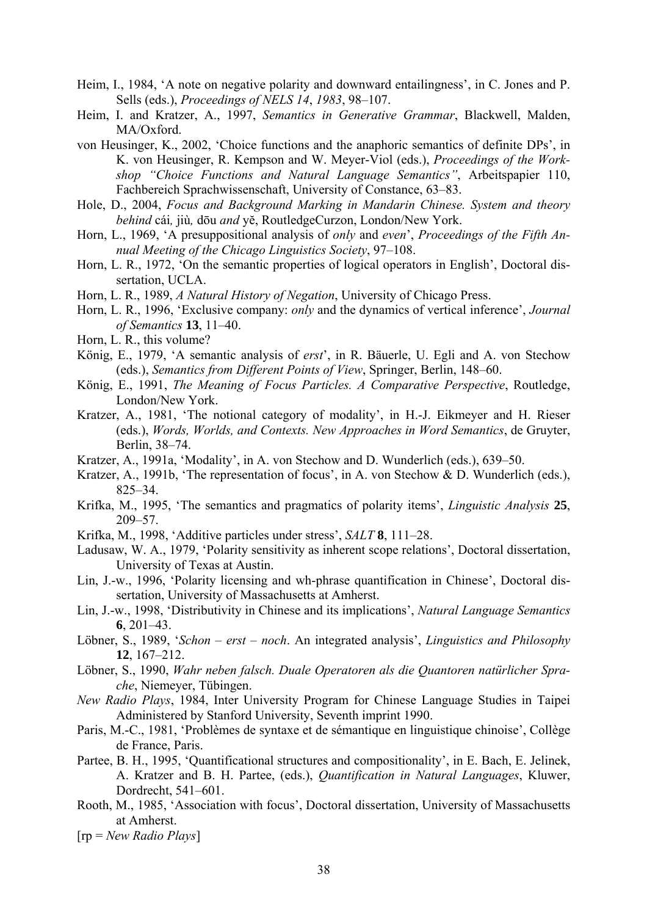- Heim, I., 1984, 'A note on negative polarity and downward entailingness', in C. Jones and P. Sells (eds.), *Proceedings of NELS 14*, *1983*, 98–107.
- Heim, I. and Kratzer, A., 1997, *Semantics in Generative Grammar*, Blackwell, Malden, MA/Oxford.
- von Heusinger, K., 2002, 'Choice functions and the anaphoric semantics of definite DPs', in K. von Heusinger, R. Kempson and W. Meyer-Viol (eds.), *Proceedings of the Workshop "Choice Functions and Natural Language Semantics"*, Arbeitspapier 110, Fachbereich Sprachwissenschaft, University of Constance, 63–83.
- Hole, D., 2004, *Focus and Background Marking in Mandarin Chinese. System and theory behind* cái*,* jiù*,* dōu *and* yĕ, RoutledgeCurzon, London/New York.
- Horn, L., 1969, 'A presuppositional analysis of *only* and *even*', *Proceedings of the Fifth Annual Meeting of the Chicago Linguistics Society*, 97–108.
- Horn, L. R., 1972, 'On the semantic properties of logical operators in English', Doctoral dissertation, UCLA.
- Horn, L. R., 1989, *A Natural History of Negation*, University of Chicago Press.
- Horn, L. R., 1996, 'Exclusive company: *only* and the dynamics of vertical inference', *Journal of Semantics* **13**, 11–40.
- Horn, L. R., this volume?
- König, E., 1979, 'A semantic analysis of *erst*', in R. Bäuerle, U. Egli and A. von Stechow (eds.), *Semantics from Different Points of View*, Springer, Berlin, 148–60.
- König, E., 1991, *The Meaning of Focus Particles. A Comparative Perspective*, Routledge, London/New York.
- Kratzer, A., 1981, 'The notional category of modality', in H.-J. Eikmeyer and H. Rieser (eds.), *Words, Worlds, and Contexts. New Approaches in Word Semantics*, de Gruyter, Berlin, 38–74.
- Kratzer, A., 1991a, 'Modality', in A. von Stechow and D. Wunderlich (eds.), 639–50.
- Kratzer, A., 1991b, 'The representation of focus', in A. von Stechow & D. Wunderlich (eds.), 825–34.
- Krifka, M., 1995, 'The semantics and pragmatics of polarity items', *Linguistic Analysis* **25**, 209–57.
- Krifka, M., 1998, 'Additive particles under stress', *SALT* **8**, 111–28.
- Ladusaw, W. A., 1979, 'Polarity sensitivity as inherent scope relations', Doctoral dissertation, University of Texas at Austin.
- Lin, J.-w., 1996, 'Polarity licensing and wh-phrase quantification in Chinese', Doctoral dissertation, University of Massachusetts at Amherst.
- Lin, J.-w., 1998, 'Distributivity in Chinese and its implications', *Natural Language Semantics* **6**, 201–43.
- Löbner, S., 1989, '*Schon erst noch*. An integrated analysis', *Linguistics and Philosophy* **12**, 167–212.
- Löbner, S., 1990, *Wahr neben falsch. Duale Operatoren als die Quantoren natürlicher Sprache*, Niemeyer, Tübingen.
- *New Radio Plays*, 1984, Inter University Program for Chinese Language Studies in Taipei Administered by Stanford University, Seventh imprint 1990.
- Paris, M.-C., 1981, 'Problèmes de syntaxe et de sémantique en linguistique chinoise', Collège de France, Paris.
- Partee, B. H., 1995, 'Quantificational structures and compositionality', in E. Bach, E. Jelinek, A. Kratzer and B. H. Partee, (eds.), *Quantification in Natural Languages*, Kluwer, Dordrecht, 541–601.
- Rooth, M., 1985, 'Association with focus', Doctoral dissertation, University of Massachusetts at Amherst.
- [rp = *New Radio Plays*]